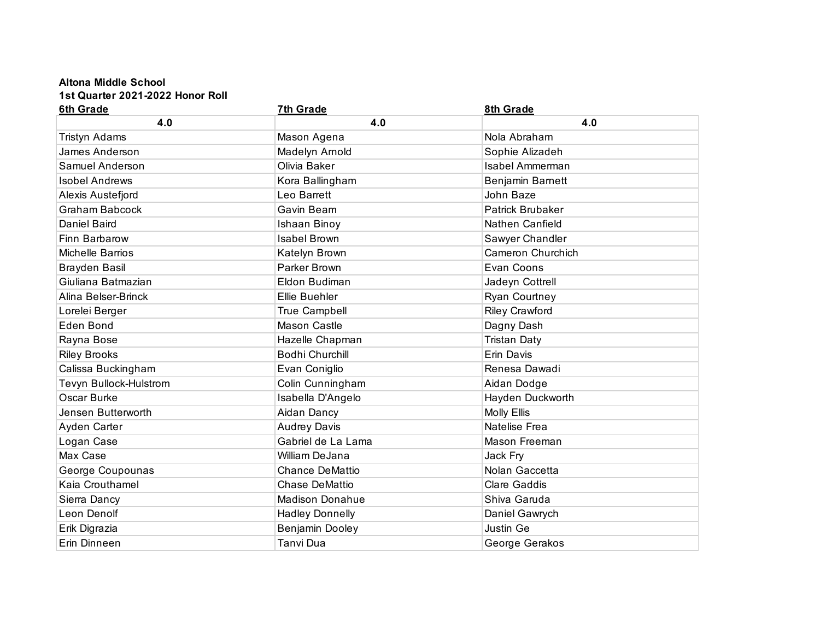## **Altona Middle School**

**1st Quarter 2021-2022 Honor Roll**

| <b>6th Grade</b>       | 7th Grade              | 8th Grade               |
|------------------------|------------------------|-------------------------|
| 4.0                    | 4.0                    | 4.0                     |
| <b>Tristyn Adams</b>   | Mason Agena            | Nola Abraham            |
| James Anderson         | Madelyn Arnold         | Sophie Alizadeh         |
| Samuel Anderson        | Olivia Baker           | <b>Isabel Ammerman</b>  |
| <b>Isobel Andrews</b>  | Kora Ballingham        | Benjamin Barnett        |
| Alexis Austefjord      | Leo Barrett            | John Baze               |
| <b>Graham Babcock</b>  | Gavin Beam             | <b>Patrick Brubaker</b> |
| <b>Daniel Baird</b>    | Ishaan Binoy           | Nathen Canfield         |
| Finn Barbarow          | <b>Isabel Brown</b>    | Sawyer Chandler         |
| Michelle Barrios       | Katelyn Brown          | Cameron Churchich       |
| <b>Brayden Basil</b>   | Parker Brown           | Evan Coons              |
| Giuliana Batmazian     | Eldon Budiman          | Jadeyn Cottrell         |
| Alina Belser-Brinck    | Ellie Buehler          | Ryan Courtney           |
| Lorelei Berger         | True Campbell          | <b>Riley Crawford</b>   |
| <b>Eden Bond</b>       | Mason Castle           | Dagny Dash              |
| Rayna Bose             | Hazelle Chapman        | <b>Tristan Daty</b>     |
| <b>Riley Brooks</b>    | <b>Bodhi Churchill</b> | Erin Davis              |
| Calissa Buckingham     | Evan Coniglio          | Renesa Dawadi           |
| Tevyn Bullock-Hulstrom | Colin Cunningham       | Aidan Dodge             |
| Oscar Burke            | Isabella D'Angelo      | Hayden Duckworth        |
| Jensen Butterworth     | Aidan Dancy            | <b>Molly Ellis</b>      |
| Ayden Carter           | <b>Audrey Davis</b>    | Natelise Frea           |
| Logan Case             | Gabriel de La Lama     | Mason Freeman           |
| Max Case               | William DeJana         | Jack Fry                |
| George Coupounas       | <b>Chance DeMattio</b> | Nolan Gaccetta          |
| Kaia Crouthamel        | <b>Chase DeMattio</b>  | <b>Clare Gaddis</b>     |
| Sierra Dancy           | Madison Donahue        | Shiva Garuda            |
| Leon Denolf            | <b>Hadley Donnelly</b> | Daniel Gawrych          |
| Erik Digrazia          | Benjamin Dooley        | Justin Ge               |
| Erin Dinneen           | Tanvi Dua              | George Gerakos          |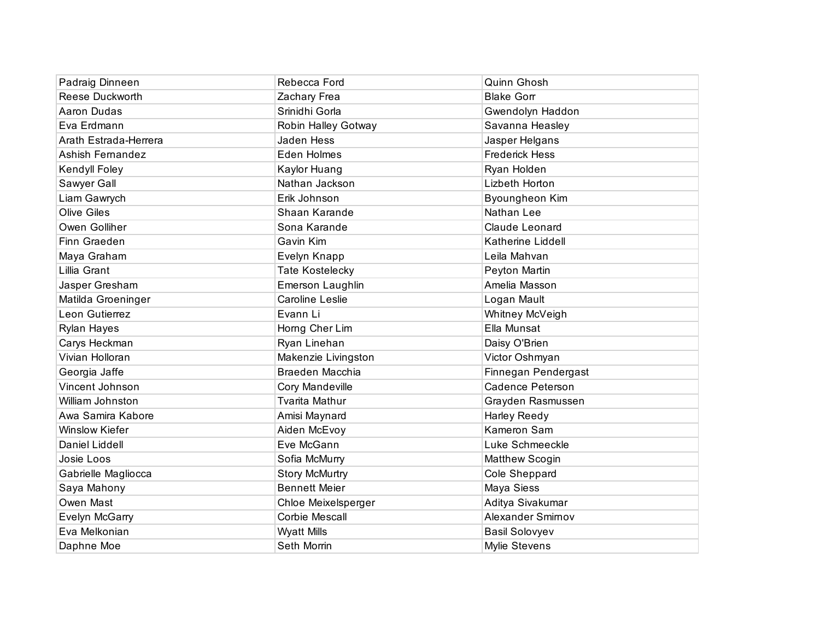| Padraig Dinneen       | Rebecca Ford           | Quinn Ghosh             |
|-----------------------|------------------------|-------------------------|
| Reese Duckworth       | Zachary Frea           | <b>Blake Gorr</b>       |
| Aaron Dudas           | Srinidhi Gorla         | Gwendolyn Haddon        |
| Eva Erdmann           | Robin Halley Gotway    | Savanna Heasley         |
| Arath Estrada-Herrera | Jaden Hess             | Jasper Helgans          |
| Ashish Fernandez      | Eden Holmes            | <b>Frederick Hess</b>   |
| Kendyll Foley         | Kaylor Huang           | Ryan Holden             |
| Sawyer Gall           | Nathan Jackson         | Lizbeth Horton          |
| Liam Gawrych          | Erik Johnson           | Byoungheon Kim          |
| <b>Olive Giles</b>    | Shaan Karande          | Nathan Lee              |
| Owen Golliher         | Sona Karande           | Claude Leonard          |
| Finn Graeden          | Gavin Kim              | Katherine Liddell       |
| Maya Graham           | Evelyn Knapp           | Leila Mahvan            |
| Lillia Grant          | <b>Tate Kostelecky</b> | Peyton Martin           |
| Jasper Gresham        | Emerson Laughlin       | Amelia Masson           |
| Matilda Groeninger    | <b>Caroline Leslie</b> | Logan Mault             |
| Leon Gutierrez        | Evann Li               | Whitney McVeigh         |
| Rylan Hayes           | Horng Cher Lim         | Ella Munsat             |
| Carys Heckman         | Ryan Linehan           | Daisy O'Brien           |
| Vivian Holloran       | Makenzie Livingston    | Victor Oshmyan          |
| Georgia Jaffe         | Braeden Macchia        | Finnegan Pendergast     |
| Vincent Johnson       | Cory Mandeville        | <b>Cadence Peterson</b> |
| William Johnston      | <b>Tvarita Mathur</b>  | Grayden Rasmussen       |
| Awa Samira Kabore     | Amisi Maynard          | Harley Reedy            |
| <b>Winslow Kiefer</b> | Aiden McEvoy           | Kameron Sam             |
| Daniel Liddell        | Eve McGann             | Luke Schmeeckle         |
| Josie Loos            | Sofia McMurry          | Matthew Scogin          |
| Gabrielle Magliocca   | <b>Story McMurtry</b>  | Cole Sheppard           |
| Saya Mahony           | <b>Bennett Meier</b>   | Maya Siess              |
| Owen Mast             | Chloe Meixelsperger    | Aditya Sivakumar        |
| Evelyn McGarry        | <b>Corbie Mescall</b>  | Alexander Smirnov       |
| Eva Melkonian         | <b>Wyatt Mills</b>     | <b>Basil Solovyev</b>   |
| Daphne Moe            | Seth Morrin            | <b>Mylie Stevens</b>    |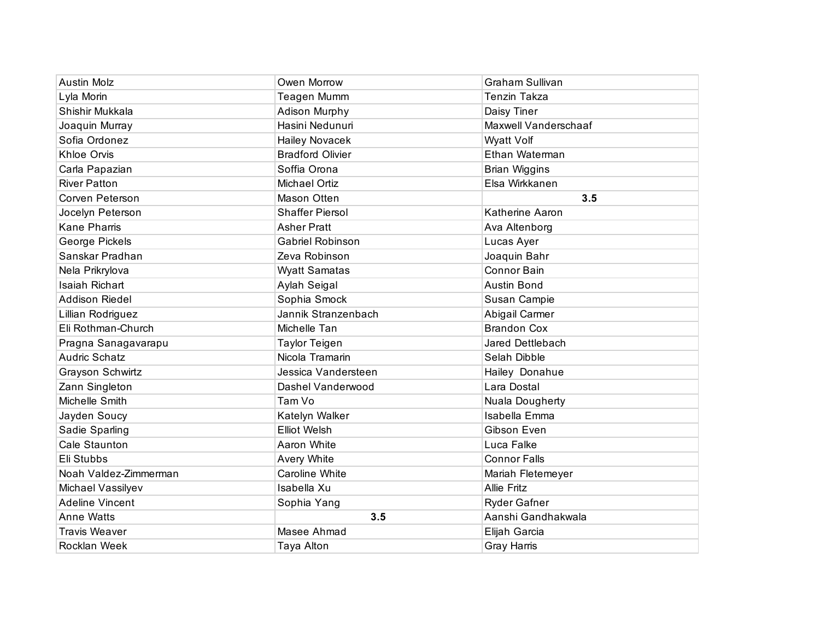| <b>Austin Molz</b>     | Owen Morrow             | <b>Graham Sullivan</b> |
|------------------------|-------------------------|------------------------|
| Lyla Morin             | <b>Teagen Mumm</b>      | <b>Tenzin Takza</b>    |
| Shishir Mukkala        | Adison Murphy           | Daisy Tiner            |
| Joaquin Murray         | Hasini Nedunuri         | Maxwell Vanderschaaf   |
| Sofia Ordonez          | <b>Hailey Novacek</b>   | Wyatt Volf             |
| Khloe Orvis            | <b>Bradford Olivier</b> | Ethan Waterman         |
| Carla Papazian         | Soffia Orona            | <b>Brian Wiggins</b>   |
| <b>River Patton</b>    | <b>Michael Ortiz</b>    | Elsa Wirkkanen         |
| Corven Peterson        | Mason Otten             | 3.5                    |
| Jocelyn Peterson       | <b>Shaffer Piersol</b>  | Katherine Aaron        |
| <b>Kane Pharris</b>    | <b>Asher Pratt</b>      | Ava Altenborg          |
| George Pickels         | Gabriel Robinson        | Lucas Ayer             |
| Sanskar Pradhan        | Zeva Robinson           | Joaquin Bahr           |
| Nela Prikrylova        | <b>Wyatt Samatas</b>    | <b>Connor Bain</b>     |
| Isaiah Richart         | Aylah Seigal            | <b>Austin Bond</b>     |
| <b>Addison Riedel</b>  | Sophia Smock            | Susan Campie           |
| Lillian Rodriguez      | Jannik Stranzenbach     | Abigail Carmer         |
| Eli Rothman-Church     | Michelle Tan            | <b>Brandon Cox</b>     |
| Pragna Sanagavarapu    | <b>Taylor Teigen</b>    | Jared Dettlebach       |
| <b>Audric Schatz</b>   | Nicola Tramarin         | Selah Dibble           |
| Grayson Schwirtz       | Jessica Vandersteen     | Hailey Donahue         |
| Zann Singleton         | Dashel Vanderwood       | Lara Dostal            |
| Michelle Smith         | Tam Vo                  | Nuala Dougherty        |
| Jayden Soucy           | Katelyn Walker          | Isabella Emma          |
| Sadie Sparling         | <b>Elliot Welsh</b>     | Gibson Even            |
| Cale Staunton          | Aaron White             | Luca Falke             |
| Eli Stubbs             | <b>Avery White</b>      | <b>Connor Falls</b>    |
| Noah Valdez-Zimmerman  | Caroline White          | Mariah Fletemeyer      |
| Michael Vassilyev      | Isabella Xu             | <b>Allie Fritz</b>     |
| <b>Adeline Vincent</b> | Sophia Yang             | <b>Ryder Gafner</b>    |
| <b>Anne Watts</b>      | 3.5                     | Aanshi Gandhakwala     |
| <b>Travis Weaver</b>   | Masee Ahmad             | Elijah Garcia          |
| <b>Rocklan Week</b>    | Taya Alton              | Gray Harris            |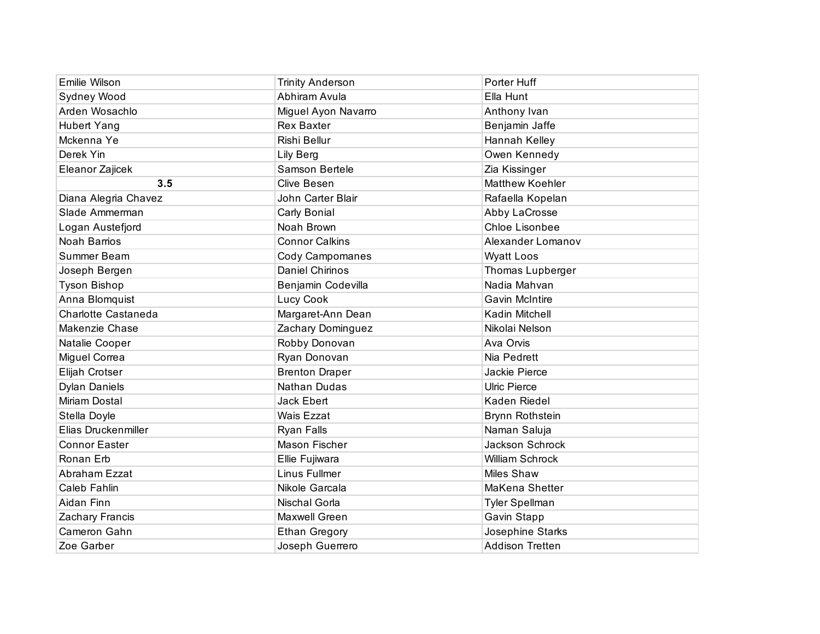| Emilie Wilson        | <b>Trinity Anderson</b> | Porter Huff            |
|----------------------|-------------------------|------------------------|
| Sydney Wood          | Abhiram Avula           | Ella Hunt              |
| Arden Wosachlo       | Miguel Ayon Navarro     | Anthony Ivan           |
| <b>Hubert Yang</b>   | <b>Rex Baxter</b>       | Benjamin Jaffe         |
| Mckenna Ye           | Rishi Bellur            | Hannah Kelley          |
| Derek Yin            | Lily Berg               | Owen Kennedy           |
| Eleanor Zajicek      | Samson Bertele          | Zia Kissinger          |
| 3.5                  | <b>Clive Besen</b>      | <b>Matthew Koehler</b> |
| Diana Alegria Chavez | John Carter Blair       | Rafaella Kopelan       |
| Slade Ammerman       | Carly Bonial            | Abby LaCrosse          |
| Logan Austefjord     | Noah Brown              | Chloe Lisonbee         |
| Noah Barrios         | <b>Connor Calkins</b>   | Alexander Lomanov      |
| Summer Beam          | Cody Campomanes         | <b>Wyatt Loos</b>      |
| Joseph Bergen        | Daniel Chirinos         | Thomas Lupberger       |
| <b>Tyson Bishop</b>  | Benjamin Codevilla      | Nadia Mahvan           |
| Anna Blomquist       | Lucy Cook               | <b>Gavin McIntire</b>  |
| Charlotte Castaneda  | Margaret-Ann Dean       | Kadin Mitchell         |
| Makenzie Chase       | Zachary Dominguez       | Nikolai Nelson         |
| Natalie Cooper       | Robby Donovan           | Ava Orvis              |
| Miguel Correa        | Ryan Donovan            | Nia Pedrett            |
| Elijah Crotser       | <b>Brenton Draper</b>   | Jackie Pierce          |
| <b>Dylan Daniels</b> | Nathan Dudas            | <b>Ulric Pierce</b>    |
| Miriam Dostal        | Jack Ebert              | Kaden Riedel           |
| Stella Doyle         | <b>Wais Ezzat</b>       | Brynn Rothstein        |
| Elias Druckenmiller  | Ryan Falls              | Naman Saluja           |
| <b>Connor Easter</b> | Mason Fischer           | Jackson Schrock        |
| Ronan Erb            | Ellie Fujiwara          | William Schrock        |
| Abraham Ezzat        | Linus Fullmer           | <b>Miles Shaw</b>      |
| Caleb Fahlin         | Nikole Garcala          | MaKena Shetter         |
| Aidan Finn           | Nischal Gorla           | Tyler Spellman         |
| Zachary Francis      | Maxwell Green           | Gavin Stapp            |
| Cameron Gahn         | <b>Ethan Gregory</b>    | Josephine Starks       |
| Zoe Garber           | Joseph Guerrero         | <b>Addison Tretten</b> |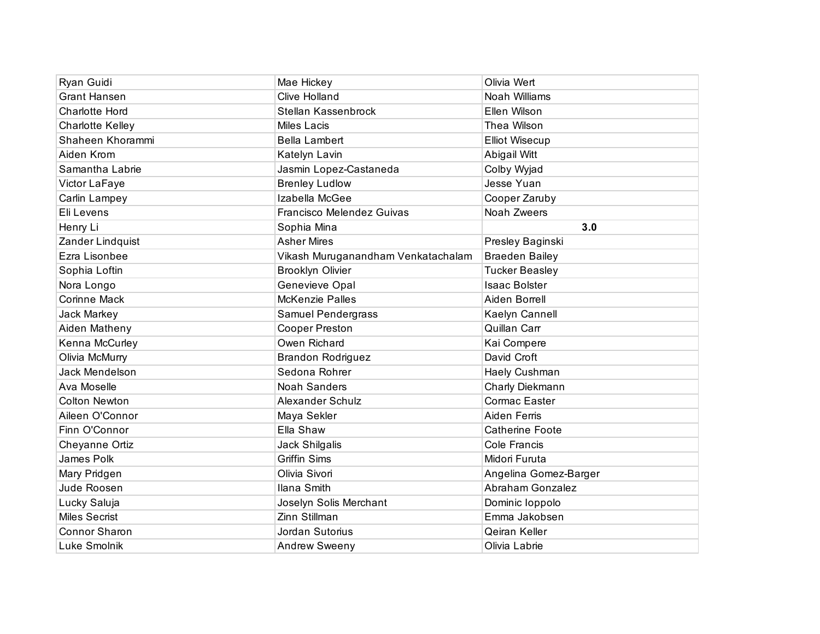| Ryan Guidi              | Mae Hickey                         | Olivia Wert            |
|-------------------------|------------------------------------|------------------------|
| <b>Grant Hansen</b>     | <b>Clive Holland</b>               | Noah Williams          |
| <b>Charlotte Hord</b>   | Stellan Kassenbrock                | Ellen Wilson           |
| <b>Charlotte Kelley</b> | Miles Lacis                        | Thea Wilson            |
| Shaheen Khorammi        | <b>Bella Lambert</b>               | <b>Elliot Wisecup</b>  |
| Aiden Krom              | Katelyn Lavin                      | Abigail Witt           |
| Samantha Labrie         | Jasmin Lopez-Castaneda             | Colby Wyjad            |
| Victor LaFaye           | <b>Brenley Ludlow</b>              | Jesse Yuan             |
| Carlin Lampey           | Izabella McGee                     | Cooper Zaruby          |
| Eli Levens              | Francisco Melendez Guivas          | Noah Zweers            |
| Henry Li                | Sophia Mina                        | 3.0                    |
| Zander Lindquist        | <b>Asher Mires</b>                 | Presley Baginski       |
| Ezra Lisonbee           | Vikash Muruganandham Venkatachalam | <b>Braeden Bailey</b>  |
| Sophia Loftin           | <b>Brooklyn Olivier</b>            | <b>Tucker Beasley</b>  |
| Nora Longo              | Genevieve Opal                     | <b>Isaac Bolster</b>   |
| <b>Corinne Mack</b>     | McKenzie Palles                    | Aiden Borrell          |
| Jack Markey             | Samuel Pendergrass                 | Kaelyn Cannell         |
| Aiden Matheny           | <b>Cooper Preston</b>              | Quillan Carr           |
| Kenna McCurley          | Owen Richard                       | Kai Compere            |
| Olivia McMurry          | <b>Brandon Rodriguez</b>           | David Croft            |
| Jack Mendelson          | Sedona Rohrer                      | Haely Cushman          |
| Ava Moselle             | <b>Noah Sanders</b>                | Charly Diekmann        |
| <b>Colton Newton</b>    | Alexander Schulz                   | Cormac Easter          |
| Aileen O'Connor         | Maya Sekler                        | Aiden Ferris           |
| Finn O'Connor           | Ella Shaw                          | <b>Catherine Foote</b> |
| Cheyanne Ortiz          | Jack Shilgalis                     | Cole Francis           |
| James Polk              | <b>Griffin Sims</b>                | Midori Furuta          |
| Mary Pridgen            | Olivia Sivori                      | Angelina Gomez-Barger  |
| Jude Roosen             | Ilana Smith                        | Abraham Gonzalez       |
| Lucky Saluja            | Joselyn Solis Merchant             | Dominic loppolo        |
| <b>Miles Secrist</b>    | Zinn Stillman                      | Emma Jakobsen          |
| Connor Sharon           | Jordan Sutorius                    | Qeiran Keller          |
| Luke Smolnik            | <b>Andrew Sweeny</b>               | Olivia Labrie          |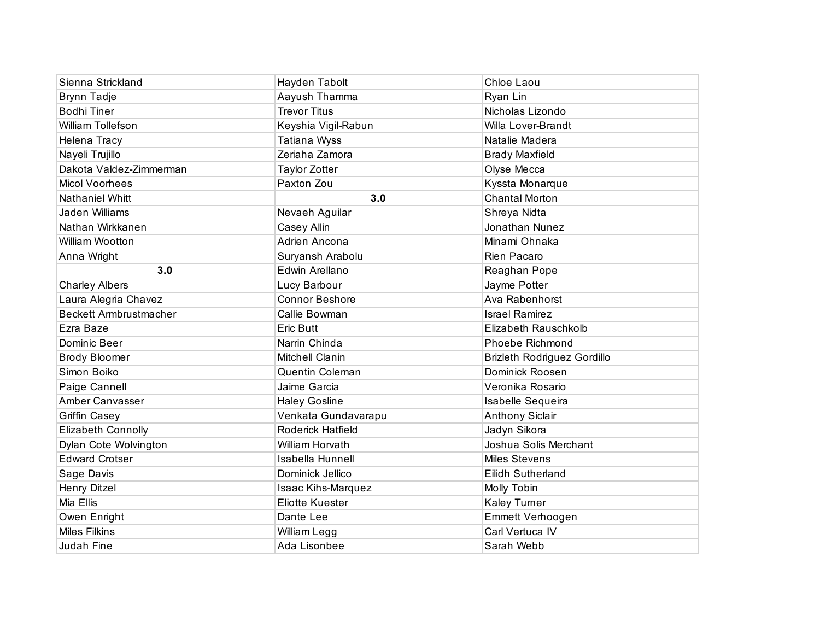| Sienna Strickland             | Hayden Tabolt             | Chloe Laou                         |
|-------------------------------|---------------------------|------------------------------------|
| Brynn Tadje                   | Aayush Thamma             | Ryan Lin                           |
| <b>Bodhi Tiner</b>            | <b>Trevor Titus</b>       | Nicholas Lizondo                   |
| William Tollefson             | Keyshia Vigil-Rabun       | <b>Willa Lover-Brandt</b>          |
| Helena Tracy                  | Tatiana Wyss              | Natalie Madera                     |
| Nayeli Trujillo               | Zeriaha Zamora            | <b>Brady Maxfield</b>              |
| Dakota Valdez-Zimmerman       | <b>Taylor Zotter</b>      | Olyse Mecca                        |
| <b>Micol Voorhees</b>         | Paxton Zou                | Kyssta Monarque                    |
| <b>Nathaniel Whitt</b>        | 3.0                       | <b>Chantal Morton</b>              |
| Jaden Williams                | Nevaeh Aguilar            | Shreya Nidta                       |
| Nathan Wirkkanen              | Casey Allin               | Jonathan Nunez                     |
| William Wootton               | Adrien Ancona             | Minami Ohnaka                      |
| Anna Wright                   | Suryansh Arabolu          | Rien Pacaro                        |
| 3.0                           | Edwin Arellano            | Reaghan Pope                       |
| <b>Charley Albers</b>         | Lucy Barbour              | Jayme Potter                       |
| Laura Alegria Chavez          | <b>Connor Beshore</b>     | Ava Rabenhorst                     |
| <b>Beckett Armbrustmacher</b> | Callie Bowman             | <b>Israel Ramirez</b>              |
| Ezra Baze                     | Eric Butt                 | Elizabeth Rauschkolb               |
| Dominic Beer                  | Narrin Chinda             | Phoebe Richmond                    |
| <b>Brody Bloomer</b>          | Mitchell Clanin           | <b>Brizleth Rodriguez Gordillo</b> |
| Simon Boiko                   | Quentin Coleman           | Dominick Roosen                    |
| Paige Cannell                 | Jaime Garcia              | Veronika Rosario                   |
| Amber Canvasser               | <b>Haley Gosline</b>      | Isabelle Sequeira                  |
| <b>Griffin Casey</b>          | Venkata Gundavarapu       | <b>Anthony Siclair</b>             |
| Elizabeth Connolly            | Roderick Hatfield         | Jadyn Sikora                       |
| Dylan Cote Wolvington         | William Horvath           | Joshua Solis Merchant              |
| <b>Edward Crotser</b>         | <b>Isabella Hunnell</b>   | <b>Miles Stevens</b>               |
| Sage Davis                    | Dominick Jellico          | Eilidh Sutherland                  |
| <b>Henry Ditzel</b>           | <b>Isaac Kihs-Marquez</b> | Molly Tobin                        |
| Mia Ellis                     | <b>Eliotte Kuester</b>    | Kaley Turner                       |
| Owen Enright                  | Dante Lee                 | Emmett Verhoogen                   |
| <b>Miles Filkins</b>          | William Legg              | Carl Vertuca IV                    |
| Judah Fine                    | Ada Lisonbee              | Sarah Webb                         |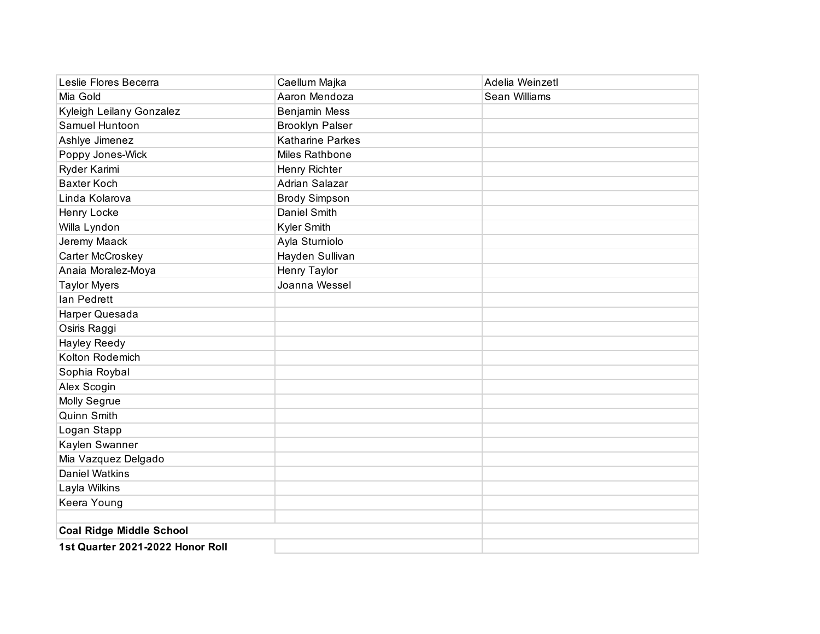| Leslie Flores Becerra            | Caellum Majka           | Adelia Weinzetl |
|----------------------------------|-------------------------|-----------------|
| Mia Gold                         | Aaron Mendoza           | Sean Williams   |
| Kyleigh Leilany Gonzalez         | <b>Benjamin Mess</b>    |                 |
| Samuel Huntoon                   | <b>Brooklyn Palser</b>  |                 |
| Ashlye Jimenez                   | <b>Katharine Parkes</b> |                 |
| Poppy Jones-Wick                 | Miles Rathbone          |                 |
| Ryder Karimi                     | Henry Richter           |                 |
| <b>Baxter Koch</b>               | Adrian Salazar          |                 |
| Linda Kolarova                   | <b>Brody Simpson</b>    |                 |
| Henry Locke                      | <b>Daniel Smith</b>     |                 |
| Willa Lyndon                     | Kyler Smith             |                 |
| Jeremy Maack                     | Ayla Sturniolo          |                 |
| Carter McCroskey                 | Hayden Sullivan         |                 |
| Anaia Moralez-Moya               | Henry Taylor            |                 |
| <b>Taylor Myers</b>              | Joanna Wessel           |                 |
| lan Pedrett                      |                         |                 |
| Harper Quesada                   |                         |                 |
| Osiris Raggi                     |                         |                 |
| Hayley Reedy                     |                         |                 |
| Kolton Rodemich                  |                         |                 |
| Sophia Roybal                    |                         |                 |
| Alex Scogin                      |                         |                 |
| Molly Segrue                     |                         |                 |
| Quinn Smith                      |                         |                 |
| Logan Stapp                      |                         |                 |
| Kaylen Swanner                   |                         |                 |
| Mia Vazquez Delgado              |                         |                 |
| <b>Daniel Watkins</b>            |                         |                 |
| Layla Wilkins                    |                         |                 |
| Keera Young                      |                         |                 |
|                                  |                         |                 |
| <b>Coal Ridge Middle School</b>  |                         |                 |
| 1st Quarter 2021-2022 Honor Roll |                         |                 |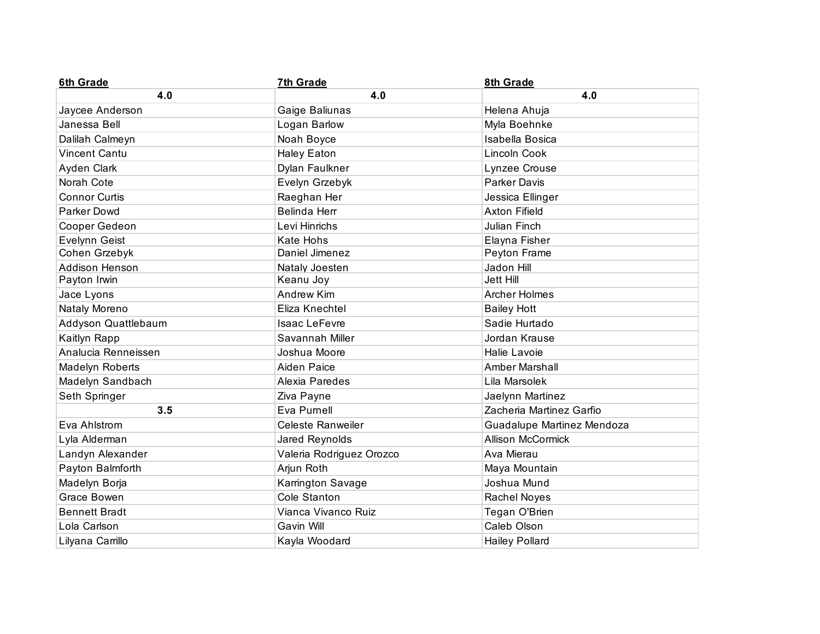| <b>6th Grade</b>       | 7th Grade                | 8th Grade                  |
|------------------------|--------------------------|----------------------------|
| 4.0                    | 4.0                      | 4.0                        |
| Jaycee Anderson        | Gaige Baliunas           | Helena Ahuja               |
| Janessa Bell           | Logan Barlow             | Myla Boehnke               |
| Dalilah Calmeyn        | Noah Boyce               | Isabella Bosica            |
| <b>Vincent Cantu</b>   | <b>Haley Eaton</b>       | Lincoln Cook               |
| Ayden Clark            | Dylan Faulkner           | Lynzee Crouse              |
| Norah Cote             | Evelyn Grzebyk           | <b>Parker Davis</b>        |
| <b>Connor Curtis</b>   | Raeghan Her              | Jessica Ellinger           |
| <b>Parker Dowd</b>     | Belinda Herr             | <b>Axton Fifield</b>       |
| Cooper Gedeon          | Levi Hinrichs            | Julian Finch               |
| Evelynn Geist          | Kate Hohs                | Elayna Fisher              |
| Cohen Grzebyk          | Daniel Jimenez           | Peyton Frame               |
| Addison Henson         | Nataly Joesten           | Jadon Hill                 |
| Payton Irwin           | Keanu Joy                | Jett Hill                  |
| Jace Lyons             | Andrew Kim               | <b>Archer Holmes</b>       |
| Nataly Moreno          | Eliza Knechtel           | <b>Bailey Hott</b>         |
| Addyson Quattlebaum    | Isaac LeFevre            | Sadie Hurtado              |
| Kaitlyn Rapp           | Savannah Miller          | Jordan Krause              |
| Analucia Renneissen    | Joshua Moore             | Halie Lavoie               |
| <b>Madelyn Roberts</b> | <b>Aiden Paice</b>       | <b>Amber Marshall</b>      |
| Madelyn Sandbach       | Alexia Paredes           | Lila Marsolek              |
| Seth Springer          | Ziva Payne               | Jaelynn Martinez           |
| 3.5                    | Eva Purnell              | Zacheria Martinez Garfio   |
| Eva Ahlstrom           | <b>Celeste Ranweiler</b> | Guadalupe Martinez Mendoza |
| Lyla Alderman          | Jared Reynolds           | <b>Allison McCormick</b>   |
| Landyn Alexander       | Valeria Rodriguez Orozco | Ava Mierau                 |
| Payton Balmforth       | Arjun Roth               | Maya Mountain              |
| Madelyn Borja          | Karrington Savage        | Joshua Mund                |
| Grace Bowen            | Cole Stanton             | <b>Rachel Noyes</b>        |
| <b>Bennett Bradt</b>   | Vianca Vivanco Ruiz      | Tegan O'Brien              |
| Lola Carlson           | Gavin Will               | Caleb Olson                |
| Lilyana Carrillo       | Kayla Woodard            | <b>Hailey Pollard</b>      |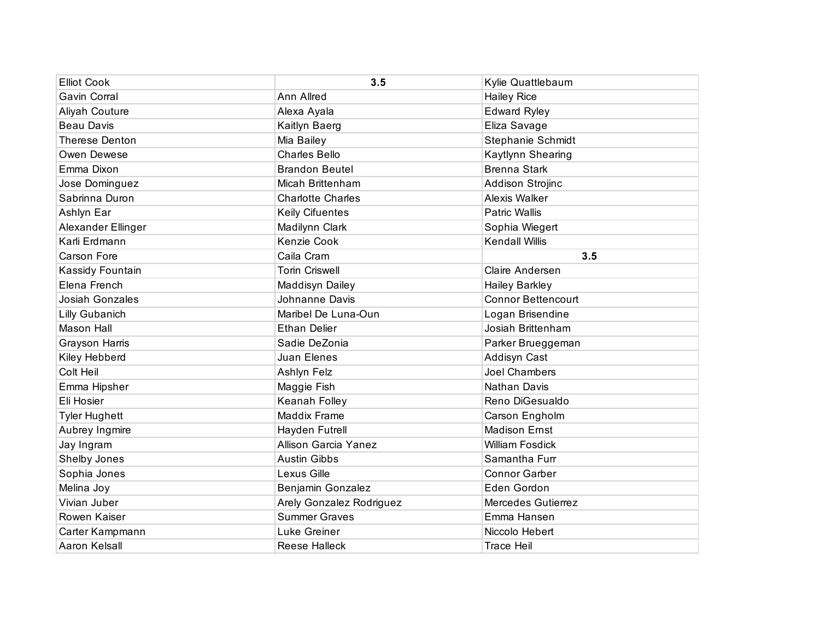| <b>Elliot Cook</b>    | 3.5                         | Kylie Quattlebaum         |
|-----------------------|-----------------------------|---------------------------|
| Gavin Corral          | Ann Allred                  | <b>Hailey Rice</b>        |
| Aliyah Couture        | Alexa Ayala                 | <b>Edward Ryley</b>       |
| <b>Beau Davis</b>     | Kaitlyn Baerg               | Eliza Savage              |
| <b>Therese Denton</b> | Mia Bailey                  | Stephanie Schmidt         |
| Owen Dewese           | <b>Charles Bello</b>        | Kaytlynn Shearing         |
| Emma Dixon            | <b>Brandon Beutel</b>       | <b>Brenna Stark</b>       |
| Jose Dominguez        | Micah Brittenham            | Addison Strojinc          |
| Sabrinna Duron        | <b>Charlotte Charles</b>    | Alexis Walker             |
| Ashlyn Ear            | <b>Keily Cifuentes</b>      | <b>Patric Wallis</b>      |
| Alexander Ellinger    | Madilynn Clark              | Sophia Wiegert            |
| Karli Erdmann         | Kenzie Cook                 | <b>Kendall Willis</b>     |
| <b>Carson Fore</b>    | Caila Cram                  | 3.5                       |
| Kassidy Fountain      | <b>Torin Criswell</b>       | Claire Andersen           |
| Elena French          | Maddisyn Dailey             | <b>Hailey Barkley</b>     |
| Josiah Gonzales       | Johnanne Davis              | <b>Connor Bettencourt</b> |
| <b>Lilly Gubanich</b> | Maribel De Luna-Oun         | Logan Brisendine          |
| Mason Hall            | <b>Ethan Delier</b>         | Josiah Brittenham         |
| Grayson Harris        | Sadie DeZonia               | Parker Brueggeman         |
| Kiley Hebberd         | Juan Elenes                 | Addisyn Cast              |
| Colt Heil             | Ashlyn Felz                 | Joel Chambers             |
| Emma Hipsher          | Maggie Fish                 | Nathan Davis              |
| Eli Hosier            | Keanah Folley               | Reno DiGesualdo           |
| <b>Tyler Hughett</b>  | Maddix Frame                | Carson Engholm            |
| Aubrey Ingmire        | Hayden Futrell              | <b>Madison Ernst</b>      |
| Jay Ingram            | <b>Allison Garcia Yanez</b> | <b>William Fosdick</b>    |
| Shelby Jones          | <b>Austin Gibbs</b>         | Samantha Furr             |
| Sophia Jones          | Lexus Gille                 | <b>Connor Garber</b>      |
| Melina Joy            | Benjamin Gonzalez           | Eden Gordon               |
| Vivian Juber          | Arely Gonzalez Rodriguez    | Mercedes Gutierrez        |
| Rowen Kaiser          | <b>Summer Graves</b>        | Emma Hansen               |
| Carter Kampmann       | Luke Greiner                | Niccolo Hebert            |
| Aaron Kelsall         | Reese Halleck               | <b>Trace Heil</b>         |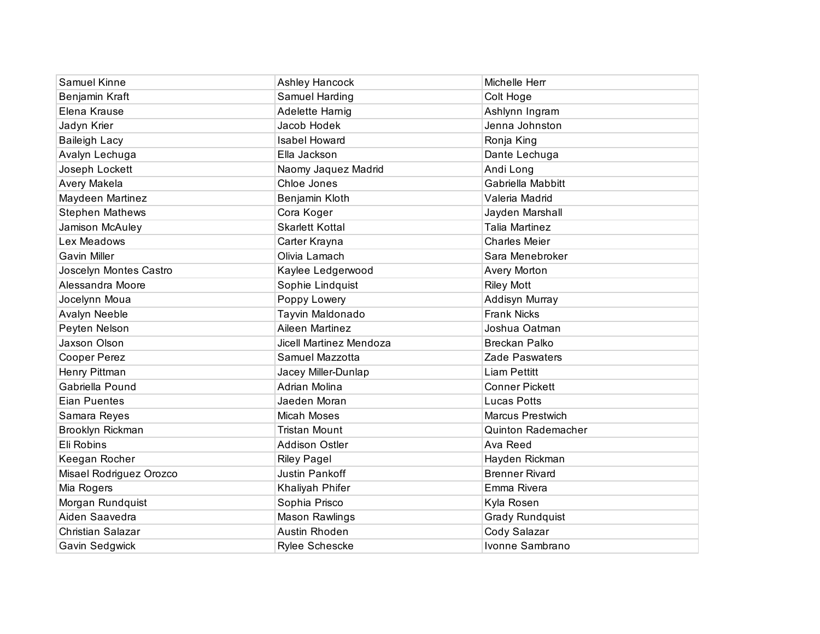| Samuel Kinne            | <b>Ashley Hancock</b>   | Michelle Herr             |
|-------------------------|-------------------------|---------------------------|
| Benjamin Kraft          | Samuel Harding          | Colt Hoge                 |
| Elena Krause            | Adelette Harnig         | Ashlynn Ingram            |
| Jadyn Krier             | Jacob Hodek             | Jenna Johnston            |
| <b>Baileigh Lacy</b>    | <b>Isabel Howard</b>    | Ronja King                |
| Avalyn Lechuga          | Ella Jackson            | Dante Lechuga             |
| Joseph Lockett          | Naomy Jaquez Madrid     | Andi Long                 |
| Avery Makela            | Chloe Jones             | Gabriella Mabbitt         |
| Maydeen Martinez        | Benjamin Kloth          | Valeria Madrid            |
| <b>Stephen Mathews</b>  | Cora Koger              | Jayden Marshall           |
| Jamison McAuley         | <b>Skarlett Kottal</b>  | <b>Talia Martinez</b>     |
| Lex Meadows             | Carter Krayna           | <b>Charles Meier</b>      |
| <b>Gavin Miller</b>     | Olivia Lamach           | Sara Menebroker           |
| Joscelyn Montes Castro  | Kaylee Ledgerwood       | Avery Morton              |
| Alessandra Moore        | Sophie Lindquist        | <b>Riley Mott</b>         |
| Jocelynn Moua           | Poppy Lowery            | Addisyn Murray            |
| Avalyn Neeble           | Tayvin Maldonado        | <b>Frank Nicks</b>        |
| Peyten Nelson           | Aileen Martinez         | Joshua Oatman             |
| Jaxson Olson            | Jicell Martinez Mendoza | <b>Breckan Palko</b>      |
| Cooper Perez            | Samuel Mazzotta         | Zade Paswaters            |
| Henry Pittman           | Jacey Miller-Dunlap     | <b>Liam Pettitt</b>       |
| Gabriella Pound         | Adrian Molina           | <b>Conner Pickett</b>     |
| <b>Eian Puentes</b>     | Jaeden Moran            | <b>Lucas Potts</b>        |
| Samara Reyes            | Micah Moses             | <b>Marcus Prestwich</b>   |
| Brooklyn Rickman        | <b>Tristan Mount</b>    | <b>Quinton Rademacher</b> |
| Eli Robins              | <b>Addison Ostler</b>   | Ava Reed                  |
| Keegan Rocher           | <b>Riley Pagel</b>      | Hayden Rickman            |
| Misael Rodriguez Orozco | Justin Pankoff          | <b>Brenner Rivard</b>     |
| Mia Rogers              | Khaliyah Phifer         | Emma Rivera               |
| Morgan Rundquist        | Sophia Prisco           | Kyla Rosen                |
| Aiden Saavedra          | <b>Mason Rawlings</b>   | <b>Grady Rundquist</b>    |
| Christian Salazar       | Austin Rhoden           | Cody Salazar              |
| Gavin Sedgwick          | <b>Rylee Schescke</b>   | Ivonne Sambrano           |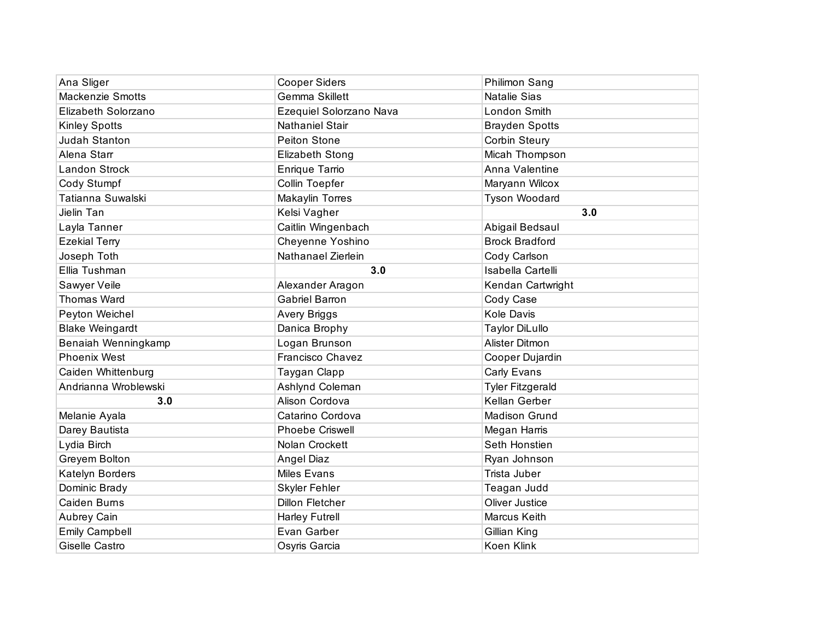| Ana Sliger              | <b>Cooper Siders</b>    | Philimon Sang           |
|-------------------------|-------------------------|-------------------------|
| <b>Mackenzie Smotts</b> | Gemma Skillett          | <b>Natalie Sias</b>     |
| Elizabeth Solorzano     | Ezequiel Solorzano Nava | London Smith            |
| <b>Kinley Spotts</b>    | <b>Nathaniel Stair</b>  | <b>Brayden Spotts</b>   |
| Judah Stanton           | <b>Peiton Stone</b>     | <b>Corbin Steury</b>    |
| Alena Starr             | <b>Elizabeth Stong</b>  | Micah Thompson          |
| Landon Strock           | Enrique Tarrio          | Anna Valentine          |
| Cody Stumpf             | Collin Toepfer          | Maryann Wilcox          |
| Tatianna Suwalski       | Makaylin Torres         | Tyson Woodard           |
| Jielin Tan              | Kelsi Vagher            | 3.0                     |
| Layla Tanner            | Caitlin Wingenbach      | Abigail Bedsaul         |
| <b>Ezekial Terry</b>    | Cheyenne Yoshino        | <b>Brock Bradford</b>   |
| Joseph Toth             | Nathanael Zierlein      | Cody Carlson            |
| Ellia Tushman           | 3.0                     | Isabella Cartelli       |
| Sawyer Veile            | Alexander Aragon        | Kendan Cartwright       |
| <b>Thomas Ward</b>      | <b>Gabriel Barron</b>   | Cody Case               |
| Peyton Weichel          | Avery Briggs            | Kole Davis              |
| <b>Blake Weingardt</b>  | Danica Brophy           | <b>Taylor DiLullo</b>   |
| Benaiah Wenningkamp     | Logan Brunson           | Alister Ditmon          |
| <b>Phoenix West</b>     | Francisco Chavez        | Cooper Dujardin         |
| Caiden Whittenburg      | Taygan Clapp            | Carly Evans             |
| Andrianna Wroblewski    | Ashlynd Coleman         | <b>Tyler Fitzgerald</b> |
| 3.0                     | Alison Cordova          | Kellan Gerber           |
| Melanie Ayala           | Catarino Cordova        | <b>Madison Grund</b>    |
| Darey Bautista          | <b>Phoebe Criswell</b>  | Megan Harris            |
| Lydia Birch             | Nolan Crockett          | Seth Honstien           |
| Greyem Bolton           | Angel Diaz              | Ryan Johnson            |
| Katelyn Borders         | Miles Evans             | Trista Juber            |
| Dominic Brady           | Skyler Fehler           | Teagan Judd             |
| Caiden Burns            | <b>Dillon Fletcher</b>  | <b>Oliver Justice</b>   |
| Aubrey Cain             | <b>Harley Futrell</b>   | Marcus Keith            |
| <b>Emily Campbell</b>   | Evan Garber             | Gillian King            |
| Giselle Castro          | Osyris Garcia           | Koen Klink              |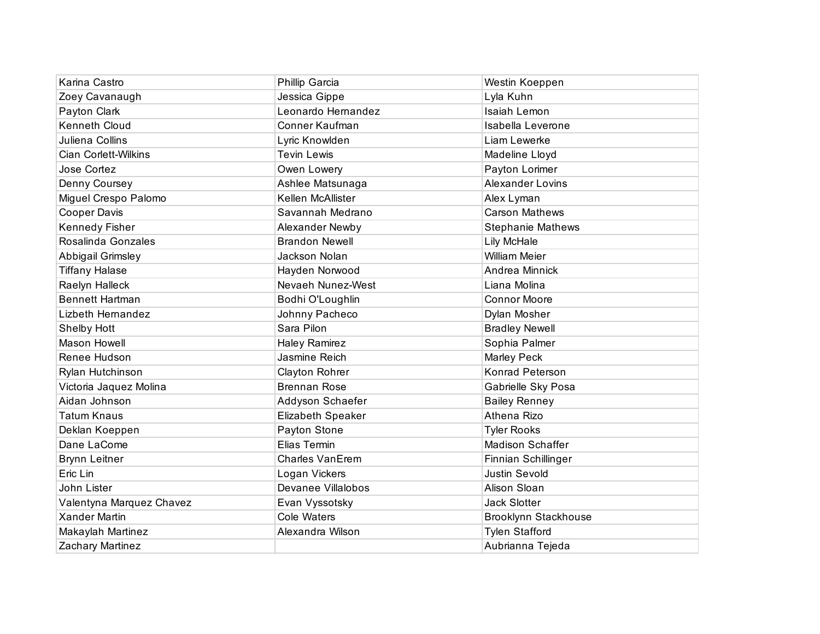| Karina Castro               | Phillip Garcia        | Westin Koeppen              |
|-----------------------------|-----------------------|-----------------------------|
| Zoey Cavanaugh              | Jessica Gippe         | Lyla Kuhn                   |
| Payton Clark                | Leonardo Hernandez    | Isaiah Lemon                |
| Kenneth Cloud               | Conner Kaufman        | Isabella Leverone           |
| Juliena Collins             | Lyric Knowlden        | Liam Lewerke                |
| <b>Cian Corlett-Wilkins</b> | <b>Tevin Lewis</b>    | Madeline Lloyd              |
| Jose Cortez                 | Owen Lowery           | Payton Lorimer              |
| Denny Coursey               | Ashlee Matsunaga      | <b>Alexander Lovins</b>     |
| Miguel Crespo Palomo        | Kellen McAllister     | Alex Lyman                  |
| <b>Cooper Davis</b>         | Savannah Medrano      | <b>Carson Mathews</b>       |
| Kennedy Fisher              | Alexander Newby       | <b>Stephanie Mathews</b>    |
| Rosalinda Gonzales          | <b>Brandon Newell</b> | Lily McHale                 |
| Abbigail Grimsley           | Jackson Nolan         | <b>William Meier</b>        |
| <b>Tiffany Halase</b>       | Hayden Norwood        | Andrea Minnick              |
| Raelyn Halleck              | Nevaeh Nunez-West     | Liana Molina                |
| <b>Bennett Hartman</b>      | Bodhi O'Loughlin      | <b>Connor Moore</b>         |
| Lizbeth Hernandez           | Johnny Pacheco        | Dylan Mosher                |
| Shelby Hott                 | Sara Pilon            | <b>Bradley Newell</b>       |
| Mason Howell                | <b>Haley Ramirez</b>  | Sophia Palmer               |
| Renee Hudson                | Jasmine Reich         | Marley Peck                 |
| Rylan Hutchinson            | Clayton Rohrer        | Konrad Peterson             |
| Victoria Jaquez Molina      | <b>Brennan Rose</b>   | Gabrielle Sky Posa          |
| Aidan Johnson               | Addyson Schaefer      | <b>Bailey Renney</b>        |
| <b>Tatum Knaus</b>          | Elizabeth Speaker     | Athena Rizo                 |
| Deklan Koeppen              | Payton Stone          | <b>Tyler Rooks</b>          |
| Dane LaCome                 | Elias Termin          | Madison Schaffer            |
| <b>Brynn Leitner</b>        | Charles VanErem       | Finnian Schillinger         |
| Eric Lin                    | Logan Vickers         | <b>Justin Sevold</b>        |
| John Lister                 | Devanee Villalobos    | Alison Sloan                |
| Valentyna Marquez Chavez    | Evan Vyssotsky        | <b>Jack Slotter</b>         |
| <b>Xander Martin</b>        | <b>Cole Waters</b>    | <b>Brooklynn Stackhouse</b> |
| Makaylah Martinez           | Alexandra Wilson      | <b>Tylen Stafford</b>       |
| Zachary Martinez            |                       | Aubrianna Tejeda            |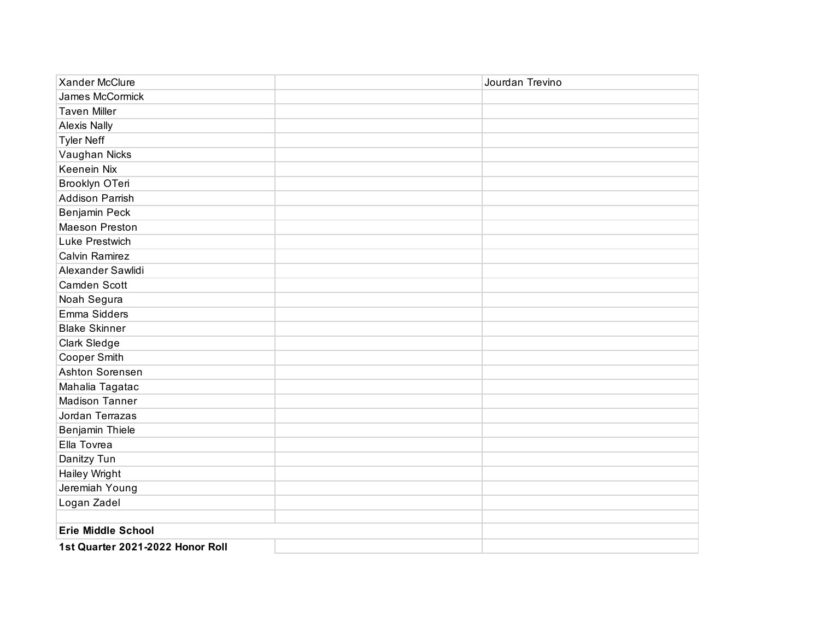| <b>Xander McClure</b>            | Jourdan Trevino |
|----------------------------------|-----------------|
| James McCormick                  |                 |
| <b>Taven Miller</b>              |                 |
| <b>Alexis Nally</b>              |                 |
| <b>Tyler Neff</b>                |                 |
| Vaughan Nicks                    |                 |
| <b>Keenein Nix</b>               |                 |
| Brooklyn OTeri                   |                 |
| <b>Addison Parrish</b>           |                 |
| Benjamin Peck                    |                 |
| <b>Maeson Preston</b>            |                 |
| Luke Prestwich                   |                 |
| <b>Calvin Ramirez</b>            |                 |
| Alexander Sawlidi                |                 |
| Camden Scott                     |                 |
| Noah Segura                      |                 |
| Emma Sidders                     |                 |
| <b>Blake Skinner</b>             |                 |
| Clark Sledge                     |                 |
| Cooper Smith                     |                 |
| Ashton Sorensen                  |                 |
| Mahalia Tagatac                  |                 |
| <b>Madison Tanner</b>            |                 |
| Jordan Terrazas                  |                 |
| Benjamin Thiele                  |                 |
| Ella Tovrea                      |                 |
| Danitzy Tun                      |                 |
| Hailey Wright                    |                 |
| Jeremiah Young                   |                 |
| Logan Zadel                      |                 |
|                                  |                 |
| <b>Erie Middle School</b>        |                 |
| 1st Quarter 2021-2022 Honor Roll |                 |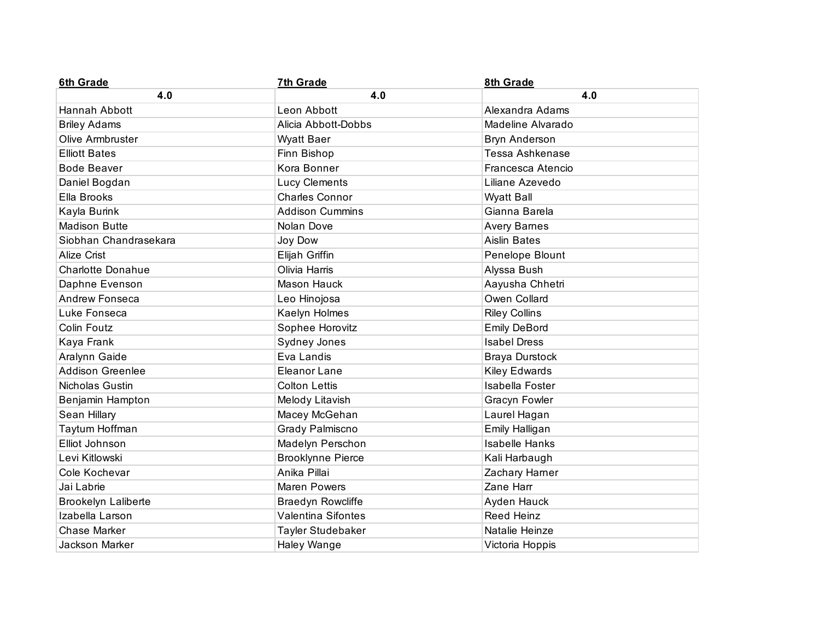| 6th Grade                  | 7th Grade                 | 8th Grade              |
|----------------------------|---------------------------|------------------------|
| 4.0                        | 4.0                       | 4.0                    |
| Hannah Abbott              | Leon Abbott               | Alexandra Adams        |
| <b>Briley Adams</b>        | Alicia Abbott-Dobbs       | Madeline Alvarado      |
| Olive Armbruster           | <b>Wyatt Baer</b>         | Bryn Anderson          |
| <b>Elliott Bates</b>       | Finn Bishop               | <b>Tessa Ashkenase</b> |
| <b>Bode Beaver</b>         | Kora Bonner               | Francesca Atencio      |
| Daniel Bogdan              | Lucy Clements             | Liliane Azevedo        |
| Ella Brooks                | Charles Connor            | <b>Wyatt Ball</b>      |
| Kayla Burink               | <b>Addison Cummins</b>    | Gianna Barela          |
| <b>Madison Butte</b>       | Nolan Dove                | <b>Avery Barnes</b>    |
| Siobhan Chandrasekara      | Joy Dow                   | <b>Aislin Bates</b>    |
| <b>Alize Crist</b>         | Elijah Griffin            | Penelope Blount        |
| <b>Charlotte Donahue</b>   | Olivia Harris             | Alyssa Bush            |
| Daphne Evenson             | Mason Hauck               | Aayusha Chhetri        |
| Andrew Fonseca             | Leo Hinojosa              | Owen Collard           |
| Luke Fonseca               | Kaelyn Holmes             | <b>Riley Collins</b>   |
| Colin Foutz                | Sophee Horovitz           | <b>Emily DeBord</b>    |
| Kaya Frank                 | Sydney Jones              | <b>Isabel Dress</b>    |
| Aralynn Gaide              | Eva Landis                | <b>Braya Durstock</b>  |
| <b>Addison Greenlee</b>    | Eleanor Lane              | Kiley Edwards          |
| Nicholas Gustin            | <b>Colton Lettis</b>      | Isabella Foster        |
| Benjamin Hampton           | Melody Litavish           | <b>Gracyn Fowler</b>   |
| Sean Hillary               | Macey McGehan             | Laurel Hagan           |
| Taytum Hoffman             | Grady Palmiscno           | Emily Halligan         |
| Elliot Johnson             | Madelyn Perschon          | <b>Isabelle Hanks</b>  |
| Levi Kitlowski             | <b>Brooklynne Pierce</b>  | Kali Harbaugh          |
| Cole Kochevar              | Anika Pillai              | Zachary Harner         |
| Jai Labrie                 | <b>Maren Powers</b>       | Zane Harr              |
| <b>Brookelyn Laliberte</b> | <b>Braedyn Rowcliffe</b>  | Ayden Hauck            |
| Izabella Larson            | <b>Valentina Sifontes</b> | <b>Reed Heinz</b>      |
| Chase Marker               | Tayler Studebaker         | Natalie Heinze         |
| Jackson Marker             | Haley Wange               | Victoria Hoppis        |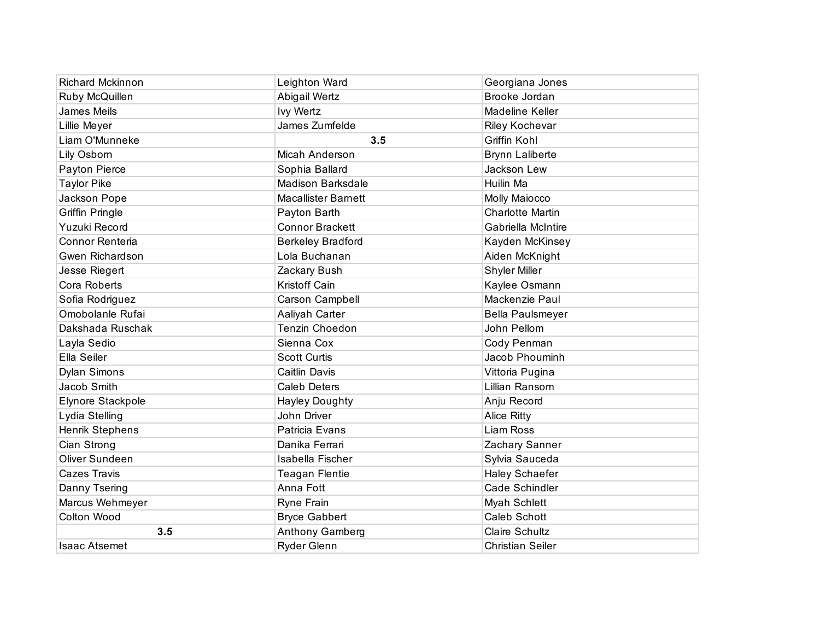| <b>Richard Mckinnon</b> | Leighton Ward              | Georgiana Jones         |
|-------------------------|----------------------------|-------------------------|
| Ruby McQuillen          | Abigail Wertz              | Brooke Jordan           |
| James Meils             | <b>Ivy Wertz</b>           | Madeline Keller         |
| Lillie Meyer            | James Zumfelde             | Riley Kochevar          |
| Liam O'Munneke          | 3.5                        | Griffin Kohl            |
| Lily Osborn             | Micah Anderson             | <b>Brynn Laliberte</b>  |
| Payton Pierce           | Sophia Ballard             | Jackson Lew             |
| <b>Taylor Pike</b>      | <b>Madison Barksdale</b>   | Huilin Ma               |
| Jackson Pope            | <b>Macallister Barnett</b> | Molly Maiocco           |
| <b>Griffin Pringle</b>  | Payton Barth               | <b>Charlotte Martin</b> |
| Yuzuki Record           | <b>Connor Brackett</b>     | Gabriella McIntire      |
| Connor Renteria         | <b>Berkeley Bradford</b>   | Kayden McKinsey         |
| Gwen Richardson         | Lola Buchanan              | Aiden McKnight          |
| Jesse Riegert           | Zackary Bush               | Shyler Miller           |
| Cora Roberts            | Kristoff Cain              | Kaylee Osmann           |
| Sofia Rodriguez         | Carson Campbell            | Mackenzie Paul          |
| Omobolanle Rufai        | Aaliyah Carter             | Bella Paulsmeyer        |
| Dakshada Ruschak        | Tenzin Choedon             | John Pellom             |
| Layla Sedio             | Sienna Cox                 | Cody Penman             |
| Ella Seiler             | <b>Scott Curtis</b>        | Jacob Phouminh          |
| <b>Dylan Simons</b>     | <b>Caitlin Davis</b>       | Vittoria Pugina         |
| Jacob Smith             | <b>Caleb Deters</b>        | Lillian Ransom          |
| Elynore Stackpole       | <b>Hayley Doughty</b>      | Anju Record             |
| Lydia Stelling          | John Driver                | <b>Alice Ritty</b>      |
| Henrik Stephens         | Patricia Evans             | <b>Liam Ross</b>        |
| Cian Strong             | Danika Ferrari             | Zachary Sanner          |
| Oliver Sundeen          | Isabella Fischer           | Sylvia Sauceda          |
| <b>Cazes Travis</b>     | <b>Teagan Flentie</b>      | Haley Schaefer          |
| Danny Tsering           | Anna Fott                  | Cade Schindler          |
| Marcus Wehmeyer         | Ryne Frain                 | Myah Schlett            |
| Colton Wood             | <b>Bryce Gabbert</b>       | Caleb Schott            |
| 3.5                     | Anthony Gamberg            | Claire Schultz          |
| Isaac Atsemet           | Ryder Glenn                | <b>Christian Seiler</b> |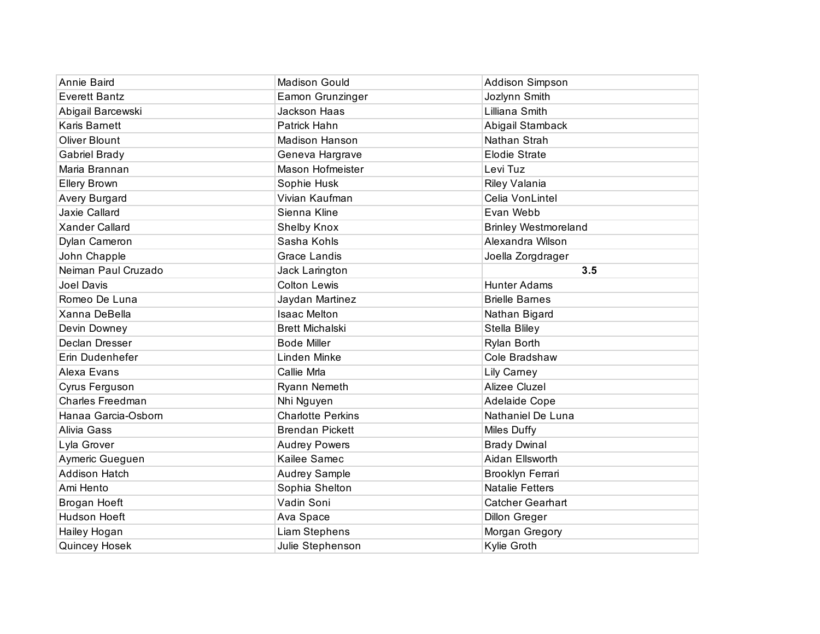| Annie Baird             | <b>Madison Gould</b>     | <b>Addison Simpson</b>      |
|-------------------------|--------------------------|-----------------------------|
| <b>Everett Bantz</b>    | Eamon Grunzinger         | Jozlynn Smith               |
| Abigail Barcewski       | Jackson Haas             | Lilliana Smith              |
| Karis Barnett           | Patrick Hahn             | Abigail Stamback            |
| Oliver Blount           | Madison Hanson           | Nathan Strah                |
| <b>Gabriel Brady</b>    | Geneva Hargrave          | <b>Elodie Strate</b>        |
| Maria Brannan           | Mason Hofmeister         | Levi Tuz                    |
| <b>Ellery Brown</b>     | Sophie Husk              | Riley Valania               |
| Avery Burgard           | Vivian Kaufman           | Celia VonLintel             |
| Jaxie Callard           | Sienna Kline             | Evan Webb                   |
| <b>Xander Callard</b>   | Shelby Knox              | <b>Brinley Westmoreland</b> |
| Dylan Cameron           | Sasha Kohls              | Alexandra Wilson            |
| John Chapple            | <b>Grace Landis</b>      | Joella Zorgdrager           |
| Neiman Paul Cruzado     | Jack Larington           | 3.5                         |
| Joel Davis              | <b>Colton Lewis</b>      | <b>Hunter Adams</b>         |
| Romeo De Luna           | Jaydan Martinez          | <b>Brielle Barnes</b>       |
| Xanna DeBella           | <b>Isaac Melton</b>      | Nathan Bigard               |
| Devin Downey            | <b>Brett Michalski</b>   | Stella Bliley               |
| Declan Dresser          | <b>Bode Miller</b>       | Rylan Borth                 |
| Erin Dudenhefer         | Linden Minke             | Cole Bradshaw               |
| Alexa Evans             | Callie Mrla              | Lily Carney                 |
| Cyrus Ferguson          | Ryann Nemeth             | Alizee Cluzel               |
| <b>Charles Freedman</b> | Nhi Nguyen               | Adelaide Cope               |
| Hanaa Garcia-Osborn     | <b>Charlotte Perkins</b> | Nathaniel De Luna           |
| Alivia Gass             | <b>Brendan Pickett</b>   | <b>Miles Duffy</b>          |
| Lyla Grover             | <b>Audrey Powers</b>     | <b>Brady Dwinal</b>         |
| Aymeric Gueguen         | Kailee Samec             | Aidan Ellsworth             |
| <b>Addison Hatch</b>    | <b>Audrey Sample</b>     | Brooklyn Ferrari            |
| Ami Hento               | Sophia Shelton           | <b>Natalie Fetters</b>      |
| Brogan Hoeft            | Vadin Soni               | <b>Catcher Gearhart</b>     |
| Hudson Hoeft            | Ava Space                | <b>Dillon Greger</b>        |
| Hailey Hogan            | Liam Stephens            | Morgan Gregory              |
| Quincey Hosek           | Julie Stephenson         | Kylie Groth                 |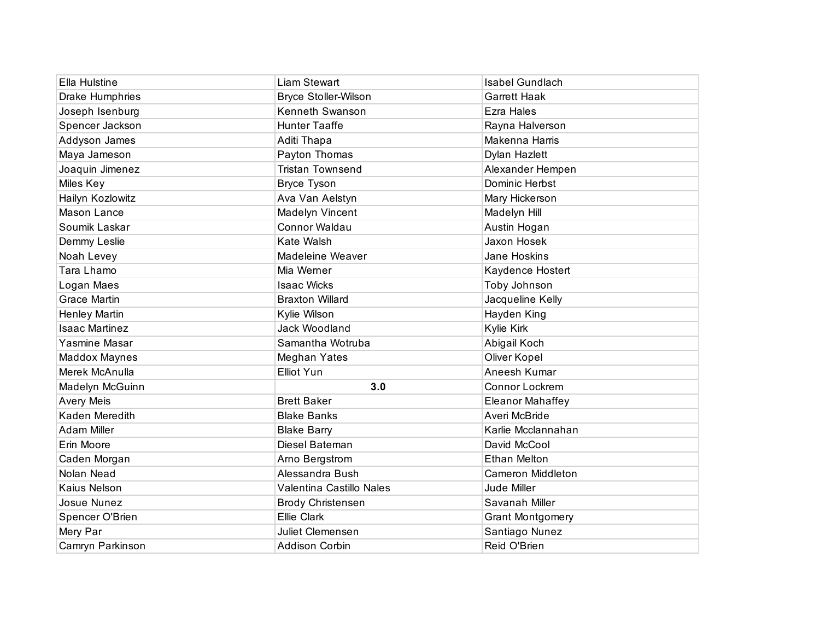| Ella Hulstine         | <b>Liam Stewart</b>         | Isabel Gundlach          |
|-----------------------|-----------------------------|--------------------------|
| Drake Humphries       | <b>Bryce Stoller-Wilson</b> | <b>Garrett Haak</b>      |
| Joseph Isenburg       | Kenneth Swanson             | Ezra Hales               |
| Spencer Jackson       | <b>Hunter Taaffe</b>        | Rayna Halverson          |
| Addyson James         | Aditi Thapa                 | Makenna Harris           |
| Maya Jameson          | Payton Thomas               | <b>Dylan Hazlett</b>     |
| Joaquin Jimenez       | <b>Tristan Townsend</b>     | Alexander Hempen         |
| Miles Key             | <b>Bryce Tyson</b>          | Dominic Herbst           |
| Hailyn Kozlowitz      | Ava Van Aelstyn             | Mary Hickerson           |
| Mason Lance           | Madelyn Vincent             | Madelyn Hill             |
| Soumik Laskar         | <b>Connor Waldau</b>        | Austin Hogan             |
| Demmy Leslie          | Kate Walsh                  | Jaxon Hosek              |
| Noah Levey            | Madeleine Weaver            | Jane Hoskins             |
| Tara Lhamo            | Mia Werner                  | Kaydence Hostert         |
| Logan Maes            | <b>Isaac Wicks</b>          | Toby Johnson             |
| <b>Grace Martin</b>   | <b>Braxton Willard</b>      | Jacqueline Kelly         |
| Henley Martin         | Kylie Wilson                | Hayden King              |
| <b>Isaac Martinez</b> | Jack Woodland               | Kylie Kirk               |
| Yasmine Masar         | Samantha Wotruba            | Abigail Koch             |
| <b>Maddox Maynes</b>  | Meghan Yates                | Oliver Kopel             |
| Merek McAnulla        | <b>Elliot Yun</b>           | Aneesh Kumar             |
| Madelyn McGuinn       | 3.0                         | Connor Lockrem           |
| <b>Avery Meis</b>     | <b>Brett Baker</b>          | <b>Eleanor Mahaffey</b>  |
| Kaden Meredith        | <b>Blake Banks</b>          | Averi McBride            |
| <b>Adam Miller</b>    | <b>Blake Barry</b>          | Karlie Mcclannahan       |
| Erin Moore            | Diesel Bateman              | David McCool             |
| Caden Morgan          | Arno Bergstrom              | <b>Ethan Melton</b>      |
| Nolan Nead            | Alessandra Bush             | <b>Cameron Middleton</b> |
| Kaius Nelson          | Valentina Castillo Nales    | Jude Miller              |
| Josue Nunez           | <b>Brody Christensen</b>    | Savanah Miller           |
| Spencer O'Brien       | Ellie Clark                 | <b>Grant Montgomery</b>  |
| Mery Par              | Juliet Clemensen            | Santiago Nunez           |
| Camryn Parkinson      | <b>Addison Corbin</b>       | Reid O'Brien             |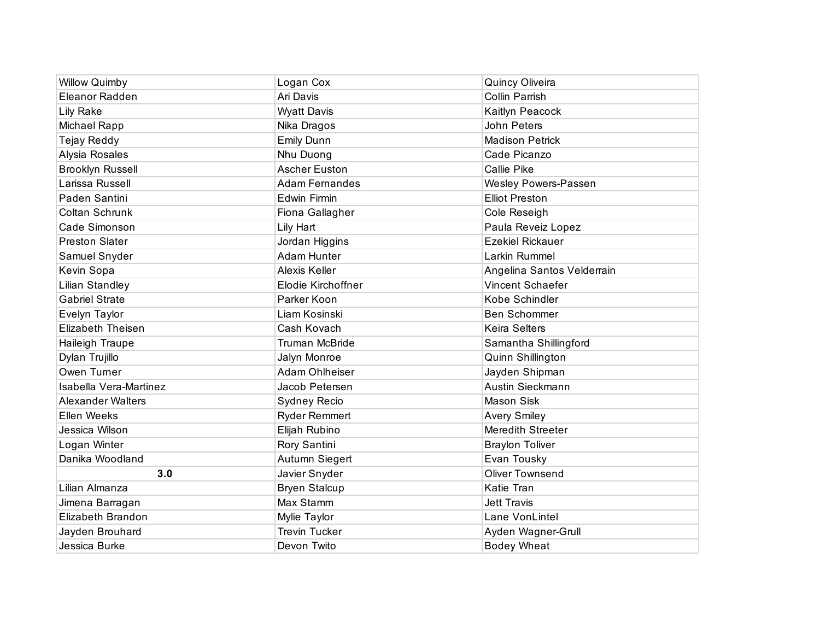| <b>Willow Quimby</b>     | Logan Cox             | <b>Quincy Oliveira</b>      |
|--------------------------|-----------------------|-----------------------------|
| Eleanor Radden           | Ari Davis             | <b>Collin Parrish</b>       |
| <b>Lily Rake</b>         | <b>Wyatt Davis</b>    | Kaitlyn Peacock             |
| Michael Rapp             | Nika Dragos           | John Peters                 |
| Tejay Reddy              | <b>Emily Dunn</b>     | <b>Madison Petrick</b>      |
| Alysia Rosales           | Nhu Duong             | Cade Picanzo                |
| <b>Brooklyn Russell</b>  | <b>Ascher Euston</b>  | Callie Pike                 |
| Larissa Russell          | <b>Adam Fernandes</b> | <b>Wesley Powers-Passen</b> |
| Paden Santini            | Edwin Firmin          | <b>Elliot Preston</b>       |
| Coltan Schrunk           | Fiona Gallagher       | Cole Reseigh                |
| Cade Simonson            | Lily Hart             | Paula Reveiz Lopez          |
| <b>Preston Slater</b>    | Jordan Higgins        | <b>Ezekiel Rickauer</b>     |
| Samuel Snyder            | <b>Adam Hunter</b>    | Larkin Rummel               |
| Kevin Sopa               | <b>Alexis Keller</b>  | Angelina Santos Velderrain  |
| Lilian Standley          | Elodie Kirchoffner    | Vincent Schaefer            |
| <b>Gabriel Strate</b>    | Parker Koon           | Kobe Schindler              |
| Evelyn Taylor            | Liam Kosinski         | Ben Schommer                |
| Elizabeth Theisen        | Cash Kovach           | <b>Keira Selters</b>        |
| Haileigh Traupe          | <b>Truman McBride</b> | Samantha Shillingford       |
| Dylan Trujillo           | Jalyn Monroe          | Quinn Shillington           |
| Owen Turner              | Adam Ohlheiser        | Jayden Shipman              |
| Isabella Vera-Martinez   | Jacob Petersen        | Austin Sieckmann            |
| <b>Alexander Walters</b> | Sydney Recio          | Mason Sisk                  |
| Ellen Weeks              | <b>Ryder Remmert</b>  | <b>Avery Smiley</b>         |
| Jessica Wilson           | Elijah Rubino         | Meredith Streeter           |
| Logan Winter             | Rory Santini          | <b>Braylon Toliver</b>      |
| Danika Woodland          | Autumn Siegert        | Evan Tousky                 |
| 3.0                      | Javier Snyder         | <b>Oliver Townsend</b>      |
| Lilian Almanza           | <b>Bryen Stalcup</b>  | Katie Tran                  |
| Jimena Barragan          | Max Stamm             | <b>Jett Travis</b>          |
| Elizabeth Brandon        | Mylie Taylor          | Lane VonLintel              |
| Jayden Brouhard          | <b>Trevin Tucker</b>  | Ayden Wagner-Grull          |
| Jessica Burke            | Devon Twito           | <b>Bodey Wheat</b>          |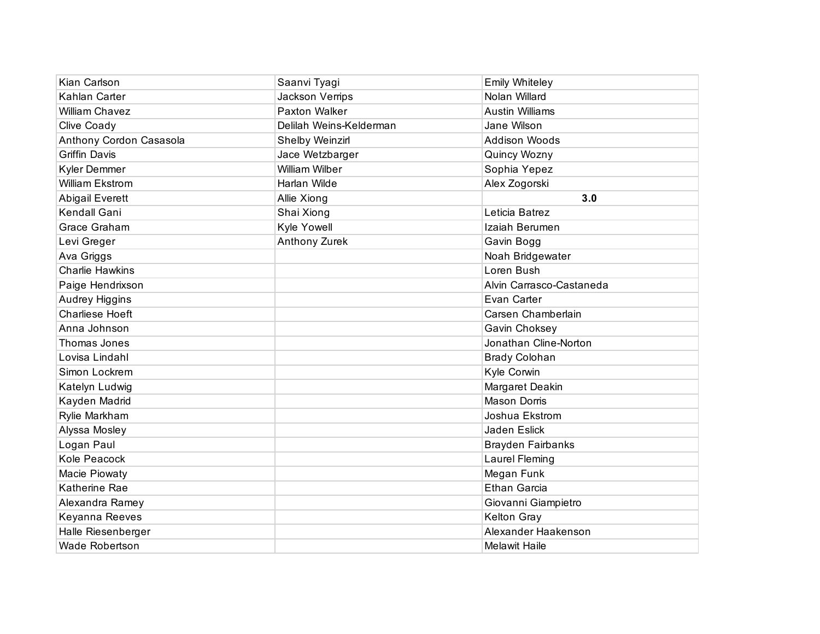| Kian Carlson            | Saanvi Tyagi            | <b>Emily Whiteley</b>    |
|-------------------------|-------------------------|--------------------------|
| Kahlan Carter           | Jackson Verrips         | Nolan Willard            |
| <b>William Chavez</b>   | <b>Paxton Walker</b>    | <b>Austin Williams</b>   |
| Clive Coady             | Delilah Weins-Kelderman | Jane Wilson              |
| Anthony Cordon Casasola | Shelby Weinzirl         | <b>Addison Woods</b>     |
| <b>Griffin Davis</b>    | Jace Wetzbarger         | Quincy Wozny             |
| Kyler Demmer            | William Wilber          | Sophia Yepez             |
| <b>William Ekstrom</b>  | Harlan Wilde            | Alex Zogorski            |
| <b>Abigail Everett</b>  | Allie Xiong             | 3.0                      |
| Kendall Gani            | Shai Xiong              | Leticia Batrez           |
| Grace Graham            | Kyle Yowell             | Izaiah Berumen           |
| Levi Greger             | Anthony Zurek           | Gavin Bogg               |
| Ava Griggs              |                         | Noah Bridgewater         |
| <b>Charlie Hawkins</b>  |                         | Loren Bush               |
| Paige Hendrixson        |                         | Alvin Carrasco-Castaneda |
| <b>Audrey Higgins</b>   |                         | Evan Carter              |
| <b>Charliese Hoeft</b>  |                         | Carsen Chamberlain       |
| Anna Johnson            |                         | Gavin Choksey            |
| Thomas Jones            |                         | Jonathan Cline-Norton    |
| Lovisa Lindahl          |                         | <b>Brady Colohan</b>     |
| Simon Lockrem           |                         | Kyle Corwin              |
| Katelyn Ludwig          |                         | Margaret Deakin          |
| Kayden Madrid           |                         | <b>Mason Dorris</b>      |
| Rylie Markham           |                         | Joshua Ekstrom           |
| Alyssa Mosley           |                         | Jaden Eslick             |
| Logan Paul              |                         | <b>Brayden Fairbanks</b> |
| Kole Peacock            |                         | Laurel Fleming           |
| Macie Piowaty           |                         | Megan Funk               |
| Katherine Rae           |                         | <b>Ethan Garcia</b>      |
| Alexandra Ramey         |                         | Giovanni Giampietro      |
| Keyanna Reeves          |                         | <b>Kelton Gray</b>       |
| Halle Riesenberger      |                         | Alexander Haakenson      |
| <b>Wade Robertson</b>   |                         | <b>Melawit Haile</b>     |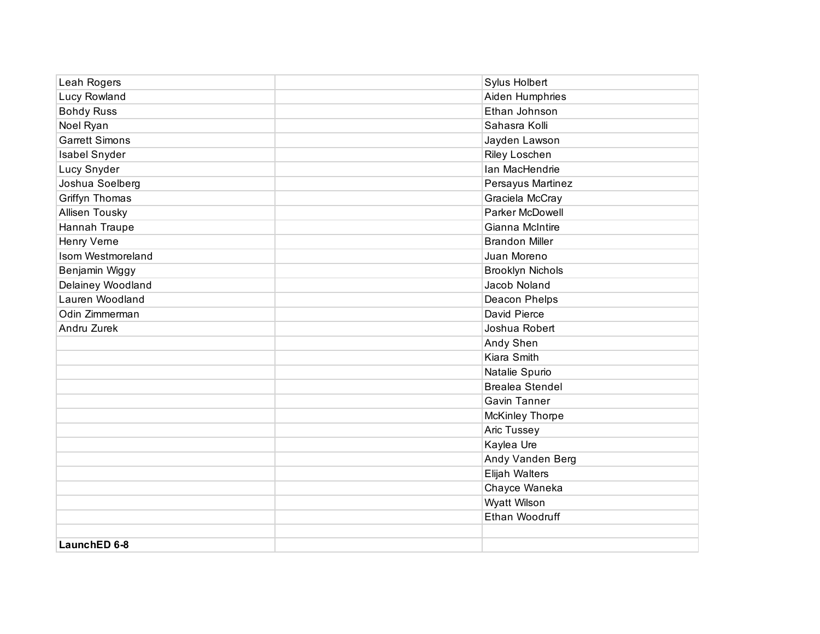| Leah Rogers           | Sylus Holbert           |
|-----------------------|-------------------------|
| Lucy Rowland          | Aiden Humphries         |
| <b>Bohdy Russ</b>     | Ethan Johnson           |
| Noel Ryan             | Sahasra Kolli           |
| <b>Garrett Simons</b> | Jayden Lawson           |
| Isabel Snyder         | Riley Loschen           |
| Lucy Snyder           | Ian MacHendrie          |
| Joshua Soelberg       | Persayus Martinez       |
| Griffyn Thomas        | Graciela McCray         |
| Allisen Tousky        | Parker McDowell         |
| Hannah Traupe         | Gianna McIntire         |
| Henry Verne           | <b>Brandon Miller</b>   |
| Isom Westmoreland     | Juan Moreno             |
| Benjamin Wiggy        | <b>Brooklyn Nichols</b> |
| Delainey Woodland     | Jacob Noland            |
| Lauren Woodland       | Deacon Phelps           |
| Odin Zimmerman        | David Pierce            |
| Andru Zurek           | Joshua Robert           |
|                       | Andy Shen               |
|                       | Kiara Smith             |
|                       | Natalie Spurio          |
|                       | <b>Brealea Stendel</b>  |
|                       | <b>Gavin Tanner</b>     |
|                       | <b>McKinley Thorpe</b>  |
|                       | Aric Tussey             |
|                       | Kaylea Ure              |
|                       | Andy Vanden Berg        |
|                       | Elijah Walters          |
|                       | Chayce Waneka           |
|                       | Wyatt Wilson            |
|                       | Ethan Woodruff          |
|                       |                         |
| LaunchED 6-8          |                         |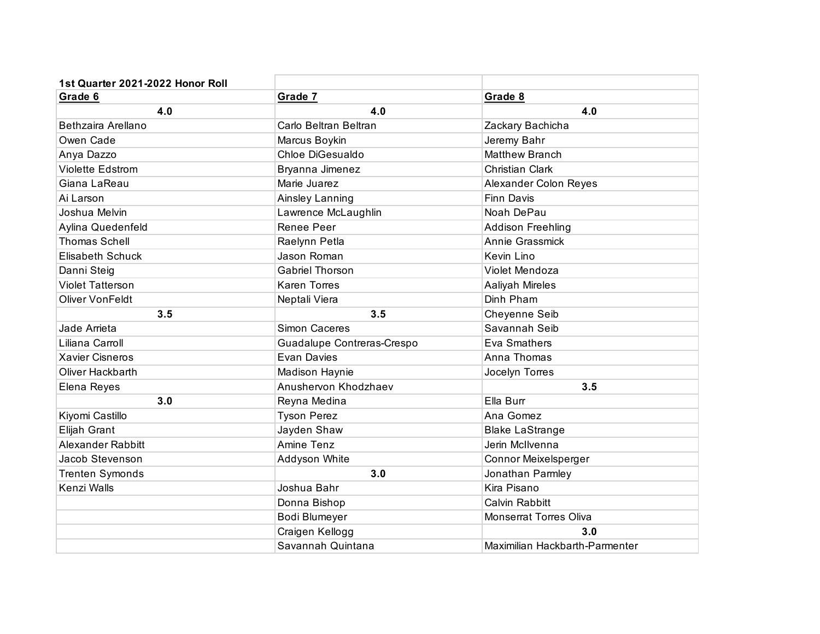| 1st Quarter 2021-2022 Honor Roll |                            |                                |
|----------------------------------|----------------------------|--------------------------------|
| Grade 6                          | Grade 7                    | Grade 8                        |
| 4.0                              | 4.0                        | 4.0                            |
| Bethzaira Arellano               | Carlo Beltran Beltran      | Zackary Bachicha               |
| Owen Cade                        | Marcus Boykin              | Jeremy Bahr                    |
| Anya Dazzo                       | Chloe DiGesualdo           | <b>Matthew Branch</b>          |
| <b>Violette Edstrom</b>          | Bryanna Jimenez            | Christian Clark                |
| Giana LaReau                     | Marie Juarez               | Alexander Colon Reyes          |
| Ai Larson                        | Ainsley Lanning            | Finn Davis                     |
| Joshua Melvin                    | Lawrence McLaughlin        | Noah DePau                     |
| Aylina Quedenfeld                | Renee Peer                 | <b>Addison Freehling</b>       |
| <b>Thomas Schell</b>             | Raelynn Petla              | Annie Grassmick                |
| <b>Elisabeth Schuck</b>          | Jason Roman                | Kevin Lino                     |
| Danni Steig                      | <b>Gabriel Thorson</b>     | Violet Mendoza                 |
| <b>Violet Tatterson</b>          | <b>Karen Torres</b>        | <b>Aaliyah Mireles</b>         |
| <b>Oliver Von Feldt</b>          | Neptali Viera              | Dinh Pham                      |
| 3.5                              | 3.5                        | Cheyenne Seib                  |
| Jade Arrieta                     | Simon Caceres              | Savannah Seib                  |
| Liliana Carroll                  | Guadalupe Contreras-Crespo | Eva Smathers                   |
| <b>Xavier Cisneros</b>           | Evan Davies                | Anna Thomas                    |
| Oliver Hackbarth                 | <b>Madison Haynie</b>      | Jocelyn Torres                 |
| Elena Reyes                      | Anushervon Khodzhaev       | 3.5                            |
| 3.0                              | Reyna Medina               | Ella Burr                      |
| Kiyomi Castillo                  | <b>Tyson Perez</b>         | Ana Gomez                      |
| Elijah Grant                     | Jayden Shaw                | <b>Blake LaStrange</b>         |
| Alexander Rabbitt                | Amine Tenz                 | Jerin McIlvenna                |
| Jacob Stevenson                  | Addyson White              | Connor Meixelsperger           |
| <b>Trenten Symonds</b>           | 3.0                        | Jonathan Parmley               |
| Kenzi Walls                      | Joshua Bahr                | Kira Pisano                    |
|                                  | Donna Bishop               | Calvin Rabbitt                 |
|                                  | Bodi Blumeyer              | Monserrat Torres Oliva         |
|                                  | Craigen Kellogg            | 3.0                            |
|                                  | Savannah Quintana          | Maximilian Hackbarth-Parmenter |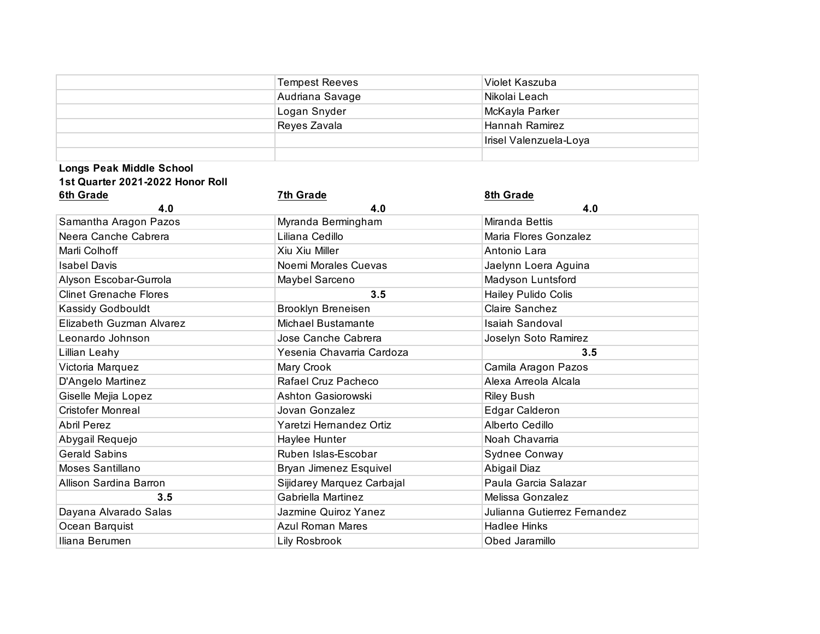|                                  | <b>Tempest Reeves</b>      | Violet Kaszuba               |
|----------------------------------|----------------------------|------------------------------|
|                                  | Audriana Savage            | Nikolai Leach                |
|                                  | Logan Snyder               | McKayla Parker               |
|                                  | Reyes Zavala               | Hannah Ramirez               |
|                                  |                            | Irisel Valenzuela-Loya       |
|                                  |                            |                              |
| <b>Longs Peak Middle School</b>  |                            |                              |
| 1st Quarter 2021-2022 Honor Roll |                            |                              |
| 6th Grade                        | <b>7th Grade</b>           | 8th Grade                    |
| 4.0                              | 4.0                        | 4.0                          |
| Samantha Aragon Pazos            | Myranda Bermingham         | Miranda Bettis               |
| Neera Canche Cabrera             | Liliana Cedillo            | Maria Flores Gonzalez        |
| Marli Colhoff                    | Xiu Xiu Miller             | Antonio Lara                 |
| <b>Isabel Davis</b>              | Noemi Morales Cuevas       | Jaelynn Loera Aguina         |
| Alyson Escobar-Gurrola           | Maybel Sarceno             | Madyson Luntsford            |
| <b>Clinet Grenache Flores</b>    | 3.5                        | Hailey Pulido Colis          |
| Kassidy Godbouldt                | <b>Brooklyn Breneisen</b>  | Claire Sanchez               |
| Elizabeth Guzman Alvarez         | <b>Michael Bustamante</b>  | <b>Isaiah Sandoval</b>       |
| Leonardo Johnson                 | Jose Canche Cabrera        | Joselyn Soto Ramirez         |
| Lillian Leahy                    | Yesenia Chavarria Cardoza  | 3.5                          |
| Victoria Marquez                 | Mary Crook                 | Camila Aragon Pazos          |
| D'Angelo Martinez                | Rafael Cruz Pacheco        | Alexa Arreola Alcala         |
| Giselle Mejia Lopez              | Ashton Gasiorowski         | <b>Riley Bush</b>            |
| <b>Cristofer Monreal</b>         | Jovan Gonzalez             | <b>Edgar Calderon</b>        |
| <b>Abril Perez</b>               | Yaretzi Hernandez Ortiz    | Alberto Cedillo              |
| Abygail Requejo                  | Haylee Hunter              | Noah Chavarria               |
| <b>Gerald Sabins</b>             | Ruben Islas-Escobar        | Sydnee Conway                |
| Moses Santillano                 | Bryan Jimenez Esquivel     | Abigail Diaz                 |
| Allison Sardina Barron           | Sijidarey Marquez Carbajal | Paula Garcia Salazar         |
| 3.5                              | Gabriella Martinez         | Melissa Gonzalez             |
| Dayana Alvarado Salas            | Jazmine Quiroz Yanez       | Julianna Gutierrez Fernandez |
| Ocean Barquist                   | <b>Azul Roman Mares</b>    | <b>Hadlee Hinks</b>          |
| Iliana Berumen                   | Lily Rosbrook              | Obed Jaramillo               |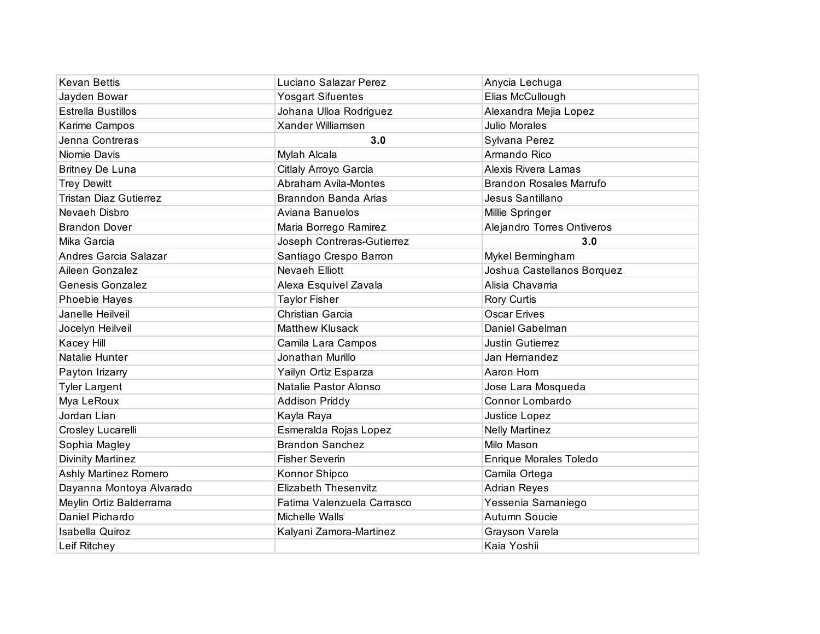| <b>Kevan Bettis</b>           | Luciano Salazar Perez       | Anycia Lechuga                 |
|-------------------------------|-----------------------------|--------------------------------|
| Jayden Bowar                  | <b>Yosgart Sifuentes</b>    | Elias McCullough               |
| <b>Estrella Bustillos</b>     | Johana Ulloa Rodriguez      | Alexandra Mejia Lopez          |
| Karime Campos                 | Xander Williamsen           | <b>Julio Morales</b>           |
| Jenna Contreras               | 3.0                         | Sylvana Perez                  |
| Niomie Davis                  | Mylah Alcala                | Armando Rico                   |
| <b>Britney De Luna</b>        | Citlaly Arroyo Garcia       | Alexis Rivera Lamas            |
| <b>Trey Dewitt</b>            | Abraham Avila-Montes        | <b>Brandon Rosales Marrufo</b> |
| <b>Tristan Diaz Gutierrez</b> | Branndon Banda Arias        | Jesus Santillano               |
| Nevaeh Disbro                 | Aviana Banuelos             | Millie Springer                |
| <b>Brandon Dover</b>          | Maria Borrego Ramirez       | Alejandro Torres Ontiveros     |
| Mika Garcia                   | Joseph Contreras-Gutierrez  | 3.0                            |
| Andres Garcia Salazar         | Santiago Crespo Barron      | Mykel Bermingham               |
| Aileen Gonzalez               | <b>Nevaeh Elliott</b>       | Joshua Castellanos Borquez     |
| <b>Genesis Gonzalez</b>       | Alexa Esquivel Zavala       | Alisia Chavarria               |
| Phoebie Hayes                 | <b>Taylor Fisher</b>        | Rory Curtis                    |
| Janelle Heilveil              | Christian Garcia            | <b>Oscar Erives</b>            |
| Jocelyn Heilveil              | <b>Matthew Klusack</b>      | Daniel Gabelman                |
| Kacey Hill                    | Camila Lara Campos          | <b>Justin Gutierrez</b>        |
| Natalie Hunter                | Jonathan Murillo            | Jan Hernandez                  |
| Payton Irizarry               | Yailyn Ortiz Esparza        | Aaron Horn                     |
| <b>Tyler Largent</b>          | Natalie Pastor Alonso       | Jose Lara Mosqueda             |
| Mya LeRoux                    | Addison Priddy              | Connor Lombardo                |
| Jordan Lian                   | Kayla Raya                  | Justice Lopez                  |
| Crosley Lucarelli             | Esmeralda Rojas Lopez       | <b>Nelly Martinez</b>          |
| Sophia Magley                 | <b>Brandon Sanchez</b>      | Milo Mason                     |
| <b>Divinity Martinez</b>      | <b>Fisher Severin</b>       | Enrique Morales Toledo         |
| Ashly Martinez Romero         | Konnor Shipco               | Camila Ortega                  |
| Dayanna Montoya Alvarado      | <b>Elizabeth Thesenvitz</b> | <b>Adrian Reyes</b>            |
| Meylin Ortiz Balderrama       | Fatima Valenzuela Carrasco  | Yessenia Samaniego             |
| Daniel Pichardo               | Michelle Walls              | Autumn Soucie                  |
| <b>Isabella Quiroz</b>        | Kalyani Zamora-Martinez     | Grayson Varela                 |
| Leif Ritchey                  |                             | Kaia Yoshii                    |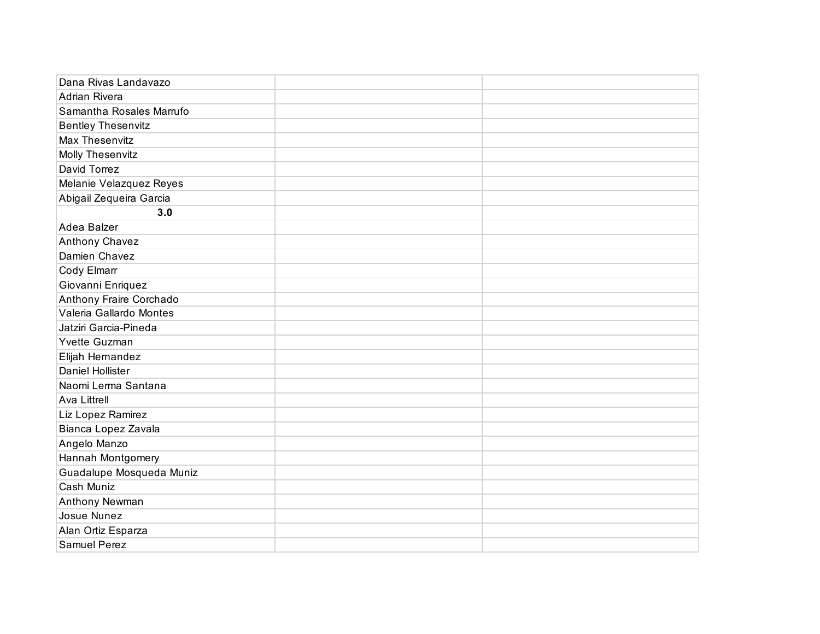| Dana Rivas Landavazo      |  |
|---------------------------|--|
| Adrian Rivera             |  |
| Samantha Rosales Marrufo  |  |
| <b>Bentley Thesenvitz</b> |  |
| Max Thesenvitz            |  |
| Molly Thesenvitz          |  |
| David Torrez              |  |
| Melanie Velazquez Reyes   |  |
| Abigail Zequeira Garcia   |  |
| 3.0                       |  |
| Adea Balzer               |  |
| Anthony Chavez            |  |
| Damien Chavez             |  |
| Cody Elmarr               |  |
| Giovanni Enriquez         |  |
| Anthony Fraire Corchado   |  |
| Valeria Gallardo Montes   |  |
| Jatziri Garcia-Pineda     |  |
| Yvette Guzman             |  |
| Elijah Hernandez          |  |
| <b>Daniel Hollister</b>   |  |
| Naomi Lerma Santana       |  |
| <b>Ava Littrell</b>       |  |
| Liz Lopez Ramirez         |  |
| Bianca Lopez Zavala       |  |
| Angelo Manzo              |  |
| Hannah Montgomery         |  |
| Guadalupe Mosqueda Muniz  |  |
| Cash Muniz                |  |
| Anthony Newman            |  |
| Josue Nunez               |  |
| Alan Ortiz Esparza        |  |
| Samuel Perez              |  |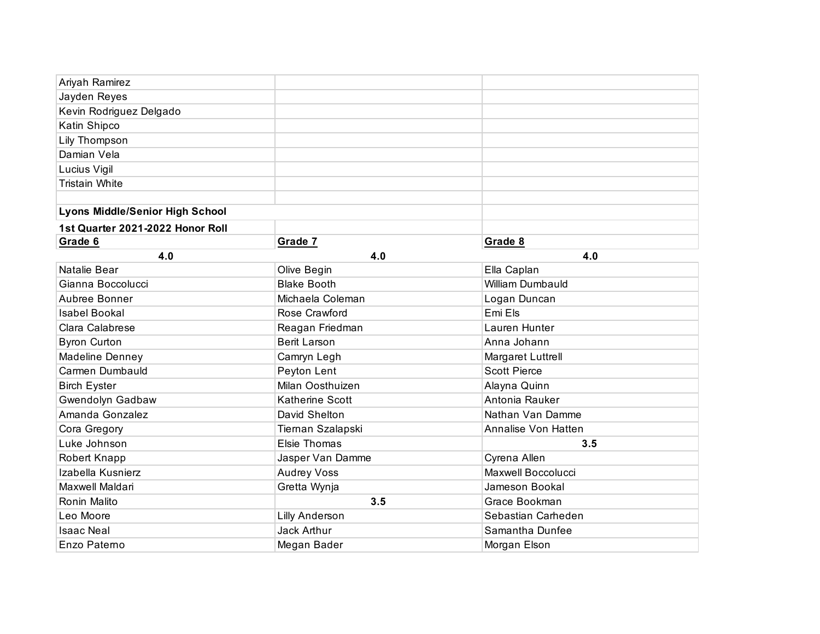| Ariyah Ramirez                         |                        |                     |
|----------------------------------------|------------------------|---------------------|
| Jayden Reyes                           |                        |                     |
| Kevin Rodriguez Delgado                |                        |                     |
| Katin Shipco                           |                        |                     |
| Lily Thompson                          |                        |                     |
| Damian Vela                            |                        |                     |
| Lucius Vigil                           |                        |                     |
| <b>Tristain White</b>                  |                        |                     |
|                                        |                        |                     |
| <b>Lyons Middle/Senior High School</b> |                        |                     |
| 1st Quarter 2021-2022 Honor Roll       |                        |                     |
| Grade 6                                | Grade 7                | Grade 8             |
| 4.0                                    | 4.0                    | 4.0                 |
| Natalie Bear                           | Olive Begin            | Ella Caplan         |
| Gianna Boccolucci                      | <b>Blake Booth</b>     | William Dumbauld    |
| Aubree Bonner                          | Michaela Coleman       | Logan Duncan        |
| <b>Isabel Bookal</b>                   | Rose Crawford          | Emi Els             |
| Clara Calabrese                        | Reagan Friedman        | Lauren Hunter       |
| <b>Byron Curton</b>                    | <b>Berit Larson</b>    | Anna Johann         |
| Madeline Denney                        | Camryn Legh            | Margaret Luttrell   |
| Carmen Dumbauld                        | Peyton Lent            | <b>Scott Pierce</b> |
| <b>Birch Eyster</b>                    | Milan Oosthuizen       | Alayna Quinn        |
| Gwendolyn Gadbaw                       | <b>Katherine Scott</b> | Antonia Rauker      |
| Amanda Gonzalez                        | David Shelton          | Nathan Van Damme    |
| Cora Gregory                           | Tiernan Szalapski      | Annalise Von Hatten |
| Luke Johnson                           | Elsie Thomas           | 3.5                 |
| Robert Knapp                           | Jasper Van Damme       | Cyrena Allen        |
| Izabella Kusnierz                      | <b>Audrey Voss</b>     | Maxwell Boccolucci  |
| Maxwell Maldari                        | Gretta Wynja           | Jameson Bookal      |
| Ronin Malito                           | 3.5                    | Grace Bookman       |
| Leo Moore                              | <b>Lilly Anderson</b>  | Sebastian Carheden  |
| <b>Isaac Neal</b>                      | <b>Jack Arthur</b>     | Samantha Dunfee     |
| Enzo Paterno                           | Megan Bader            | Morgan Elson        |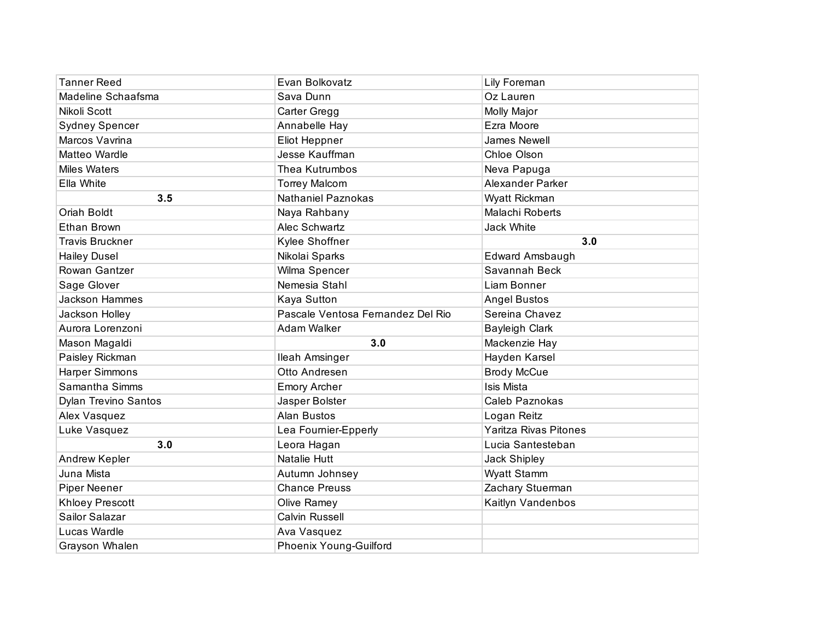| <b>Tanner Reed</b>          | Evan Bolkovatz                    | Lily Foreman                 |
|-----------------------------|-----------------------------------|------------------------------|
| Madeline Schaafsma          | Sava Dunn                         | Oz Lauren                    |
| Nikoli Scott                | Carter Gregg                      | Molly Major                  |
| <b>Sydney Spencer</b>       | Annabelle Hay                     | Ezra Moore                   |
| Marcos Vavrina              | Eliot Heppner                     | James Newell                 |
| Matteo Wardle               | Jesse Kauffman                    | Chloe Olson                  |
| <b>Miles Waters</b>         | Thea Kutrumbos                    | Neva Papuga                  |
| Ella White                  | <b>Torrey Malcom</b>              | <b>Alexander Parker</b>      |
| 3.5                         | Nathaniel Paznokas                | Wyatt Rickman                |
| Oriah Boldt                 | Naya Rahbany                      | Malachi Roberts              |
| <b>Ethan Brown</b>          | Alec Schwartz                     | Jack White                   |
| <b>Travis Bruckner</b>      | Kylee Shoffner                    | 3.0                          |
| <b>Hailey Dusel</b>         | Nikolai Sparks                    | Edward Amsbaugh              |
| Rowan Gantzer               | Wilma Spencer                     | Savannah Beck                |
| Sage Glover                 | Nemesia Stahl                     | Liam Bonner                  |
| Jackson Hammes              | Kaya Sutton                       | <b>Angel Bustos</b>          |
| Jackson Holley              | Pascale Ventosa Fernandez Del Rio | Sereina Chavez               |
| Aurora Lorenzoni            | Adam Walker                       | <b>Bayleigh Clark</b>        |
| Mason Magaldi               | 3.0                               | Mackenzie Hay                |
| Paisley Rickman             | Ileah Amsinger                    | Hayden Karsel                |
| <b>Harper Simmons</b>       | Otto Andresen                     | <b>Brody McCue</b>           |
| Samantha Simms              | <b>Emory Archer</b>               | <b>Isis Mista</b>            |
| <b>Dylan Trevino Santos</b> | Jasper Bolster                    | Caleb Paznokas               |
| Alex Vasquez                | <b>Alan Bustos</b>                | Logan Reitz                  |
| Luke Vasquez                | Lea Fournier-Epperly              | <b>Yaritza Rivas Pitones</b> |
| 3.0                         | Leora Hagan                       | Lucia Santesteban            |
| Andrew Kepler               | Natalie Hutt                      | Jack Shipley                 |
| Juna Mista                  | Autumn Johnsey                    | Wyatt Stamm                  |
| <b>Piper Neener</b>         | <b>Chance Preuss</b>              | Zachary Stuerman             |
| <b>Khloey Prescott</b>      | Olive Ramey                       | Kaitlyn Vandenbos            |
| Sailor Salazar              | Calvin Russell                    |                              |
| Lucas Wardle                | Ava Vasquez                       |                              |
| Grayson Whalen              | <b>Phoenix Young-Guilford</b>     |                              |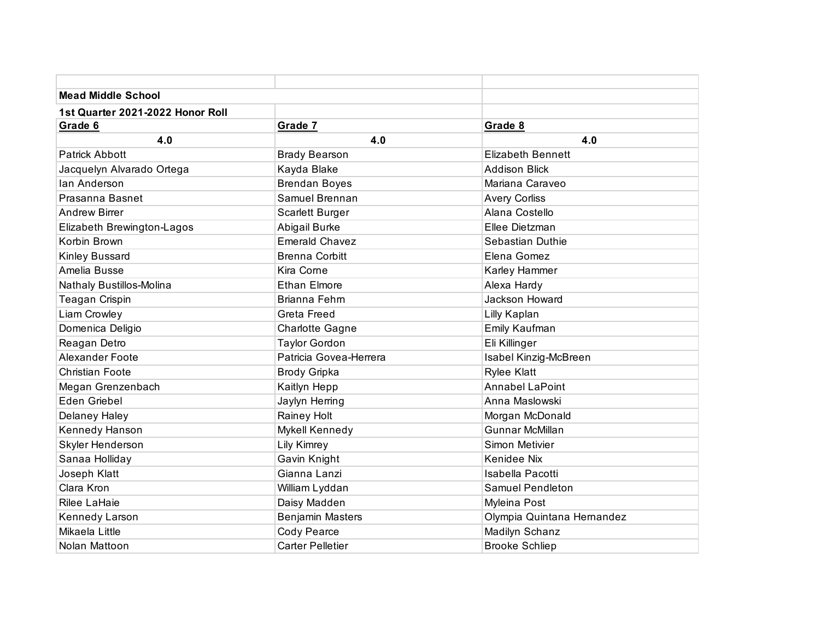| <b>Mead Middle School</b>        |                         |                            |
|----------------------------------|-------------------------|----------------------------|
| 1st Quarter 2021-2022 Honor Roll |                         |                            |
| Grade 6                          | Grade 7                 | Grade 8                    |
| 4.0                              | 4.0                     | 4.0                        |
| <b>Patrick Abbott</b>            | <b>Brady Bearson</b>    | <b>Elizabeth Bennett</b>   |
| Jacquelyn Alvarado Ortega        | Kayda Blake             | <b>Addison Blick</b>       |
| lan Anderson                     | <b>Brendan Boyes</b>    | Mariana Caraveo            |
| Prasanna Basnet                  | Samuel Brennan          | <b>Avery Corliss</b>       |
| <b>Andrew Birrer</b>             | <b>Scarlett Burger</b>  | Alana Costello             |
| Elizabeth Brewington-Lagos       | Abigail Burke           | Ellee Dietzman             |
| Korbin Brown                     | <b>Emerald Chavez</b>   | Sebastian Duthie           |
| Kinley Bussard                   | <b>Brenna Corbitt</b>   | Elena Gomez                |
| Amelia Busse                     | Kira Corne              | Karley Hammer              |
| Nathaly Bustillos-Molina         | <b>Ethan Elmore</b>     | Alexa Hardy                |
| Teagan Crispin                   | Brianna Fehrn           | <b>Jackson Howard</b>      |
| Liam Crowley                     | <b>Greta Freed</b>      | Lilly Kaplan               |
| Domenica Deligio                 | <b>Charlotte Gagne</b>  | Emily Kaufman              |
| Reagan Detro                     | <b>Taylor Gordon</b>    | Eli Killinger              |
| Alexander Foote                  | Patricia Govea-Herrera  | Isabel Kinzig-McBreen      |
| <b>Christian Foote</b>           | <b>Brody Gripka</b>     | <b>Rylee Klatt</b>         |
| Megan Grenzenbach                | Kaitlyn Hepp            | <b>Annabel LaPoint</b>     |
| Eden Griebel                     | Jaylyn Herring          | Anna Maslowski             |
| Delaney Haley                    | Rainey Holt             | Morgan McDonald            |
| Kennedy Hanson                   | Mykell Kennedy          | <b>Gunnar McMillan</b>     |
| Skyler Henderson                 | <b>Lily Kimrey</b>      | Simon Metivier             |
| Sanaa Holliday                   | Gavin Knight            | Kenidee Nix                |
| Joseph Klatt                     | Gianna Lanzi            | Isabella Pacotti           |
| Clara Kron                       | William Lyddan          | <b>Samuel Pendleton</b>    |
| Rilee LaHaie                     | Daisy Madden            | Myleina Post               |
| Kennedy Larson                   | <b>Benjamin Masters</b> | Olympia Quintana Hernandez |
| Mikaela Little                   | Cody Pearce             | Madilyn Schanz             |
| Nolan Mattoon                    | <b>Carter Pelletier</b> | <b>Brooke Schliep</b>      |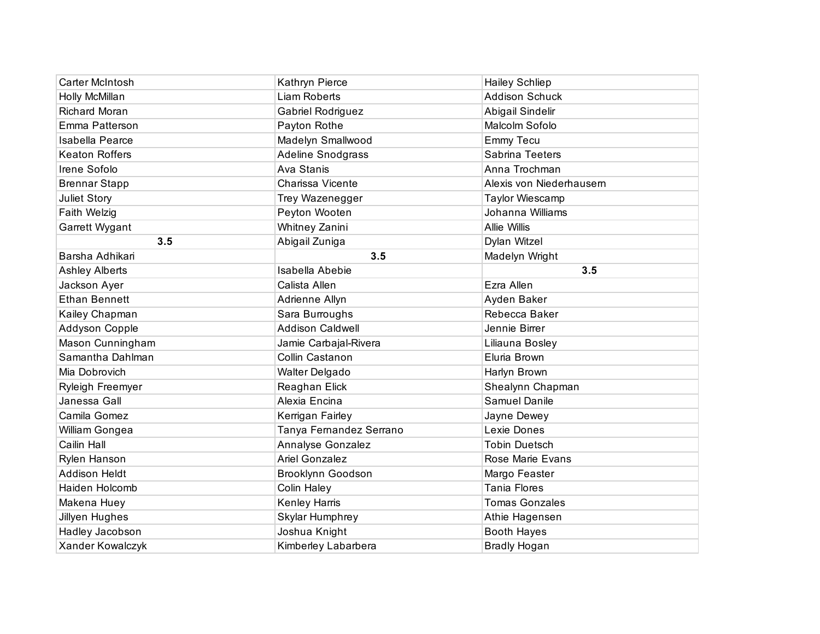| Carter McIntosh         | Kathryn Pierce           | <b>Hailey Schliep</b>    |
|-------------------------|--------------------------|--------------------------|
| Holly McMillan          | <b>Liam Roberts</b>      | <b>Addison Schuck</b>    |
| Richard Moran           | Gabriel Rodriguez        | Abigail Sindelir         |
| Emma Patterson          | Payton Rothe             | Malcolm Sofolo           |
| <b>Isabella Pearce</b>  | Madelyn Smallwood        | Emmy Tecu                |
| <b>Keaton Roffers</b>   | Adeline Snodgrass        | Sabrina Teeters          |
| Irene Sofolo            | Ava Stanis               | Anna Trochman            |
| <b>Brennar Stapp</b>    | Charissa Vicente         | Alexis von Niederhausern |
| Juliet Story            | Trey Wazenegger          | Taylor Wiescamp          |
| Faith Welzig            | Peyton Wooten            | Johanna Williams         |
| Garrett Wygant          | Whitney Zanini           | <b>Allie Willis</b>      |
| 3.5                     | Abigail Zuniga           | Dylan Witzel             |
| Barsha Adhikari         | 3.5                      | Madelyn Wright           |
| <b>Ashley Alberts</b>   | <b>Isabella Abebie</b>   | 3.5                      |
| Jackson Ayer            | Calista Allen            | Ezra Allen               |
| <b>Ethan Bennett</b>    | Adrienne Allyn           | Ayden Baker              |
| Kailey Chapman          | Sara Burroughs           | Rebecca Baker            |
| Addyson Copple          | <b>Addison Caldwell</b>  | Jennie Birrer            |
| Mason Cunningham        | Jamie Carbajal-Rivera    | Liliauna Bosley          |
| Samantha Dahlman        | Collin Castanon          | Eluria Brown             |
| Mia Dobrovich           | Walter Delgado           | Harlyn Brown             |
| <b>Ryleigh Freemyer</b> | Reaghan Elick            | Shealynn Chapman         |
| Janessa Gall            | Alexia Encina            | <b>Samuel Danile</b>     |
| Camila Gomez            | Kerrigan Fairley         | Jayne Dewey              |
| William Gongea          | Tanya Fernandez Serrano  | Lexie Dones              |
| Cailin Hall             | <b>Annalyse Gonzalez</b> | <b>Tobin Duetsch</b>     |
| Rylen Hanson            | <b>Ariel Gonzalez</b>    | Rose Marie Evans         |
| <b>Addison Heldt</b>    | Brooklynn Goodson        | Margo Feaster            |
| Haiden Holcomb          | Colin Haley              | <b>Tania Flores</b>      |
| Makena Huey             | Kenley Harris            | <b>Tomas Gonzales</b>    |
| Jillyen Hughes          | Skylar Humphrey          | Athie Hagensen           |
| Hadley Jacobson         | Joshua Knight            | <b>Booth Hayes</b>       |
| Xander Kowalczyk        | Kimberley Labarbera      | <b>Bradly Hogan</b>      |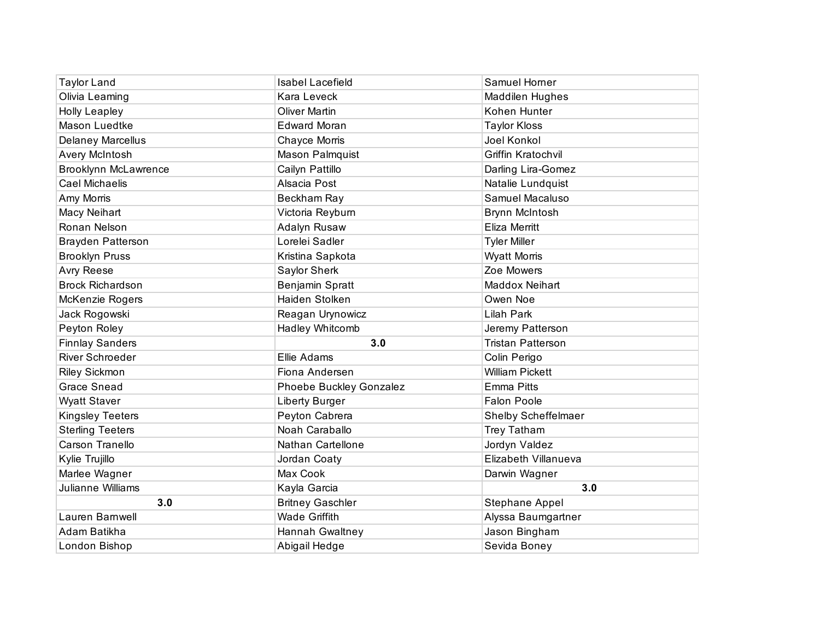| <b>Taylor Land</b>          | <b>Isabel Lacefield</b> | Samuel Horner              |
|-----------------------------|-------------------------|----------------------------|
| Olivia Leaming              | Kara Leveck             | <b>Maddilen Hughes</b>     |
| <b>Holly Leapley</b>        | <b>Oliver Martin</b>    | Kohen Hunter               |
| Mason Luedtke               | <b>Edward Moran</b>     | <b>Taylor Kloss</b>        |
| <b>Delaney Marcellus</b>    | Chayce Morris           | Joel Konkol                |
| Avery McIntosh              | Mason Palmquist         | Griffin Kratochvil         |
| <b>Brooklynn McLawrence</b> | Cailyn Pattillo         | Darling Lira-Gomez         |
| <b>Cael Michaelis</b>       | Alsacia Post            | Natalie Lundquist          |
| Amy Morris                  | Beckham Ray             | Samuel Macaluso            |
| Macy Neihart                | Victoria Reyburn        | Brynn McIntosh             |
| Ronan Nelson                | Adalyn Rusaw            | <b>Eliza Merritt</b>       |
| <b>Brayden Patterson</b>    | Lorelei Sadler          | <b>Tyler Miller</b>        |
| <b>Brooklyn Pruss</b>       | Kristina Sapkota        | <b>Wyatt Morris</b>        |
| <b>Avry Reese</b>           | Saylor Sherk            | Zoe Mowers                 |
| <b>Brock Richardson</b>     | Benjamin Spratt         | <b>Maddox Neihart</b>      |
| McKenzie Rogers             | Haiden Stolken          | Owen Noe                   |
| Jack Rogowski               | Reagan Urynowicz        | Lilah Park                 |
| Peyton Roley                | Hadley Whitcomb         | Jeremy Patterson           |
| <b>Finnlay Sanders</b>      | 3.0                     | <b>Tristan Patterson</b>   |
| River Schroeder             | Ellie Adams             | Colin Perigo               |
| <b>Riley Sickmon</b>        | Fiona Andersen          | <b>William Pickett</b>     |
| <b>Grace Snead</b>          | Phoebe Buckley Gonzalez | <b>Emma Pitts</b>          |
| <b>Wyatt Staver</b>         | Liberty Burger          | <b>Falon Poole</b>         |
| <b>Kingsley Teeters</b>     | Peyton Cabrera          | <b>Shelby Scheffelmaer</b> |
| <b>Sterling Teeters</b>     | Noah Caraballo          | Trey Tatham                |
| Carson Tranello             | Nathan Cartellone       | Jordyn Valdez              |
| Kylie Trujillo              | Jordan Coaty            | Elizabeth Villanueva       |
| Marlee Wagner               | Max Cook                | Darwin Wagner              |
| Julianne Williams           | Kayla Garcia            | 3.0                        |
| 3.0                         | <b>Britney Gaschler</b> | Stephane Appel             |
| Lauren Barnwell             | <b>Wade Griffith</b>    | Alyssa Baumgartner         |
| Adam Batikha                | Hannah Gwaltney         | Jason Bingham              |
| London Bishop               | Abigail Hedge           | Sevida Boney               |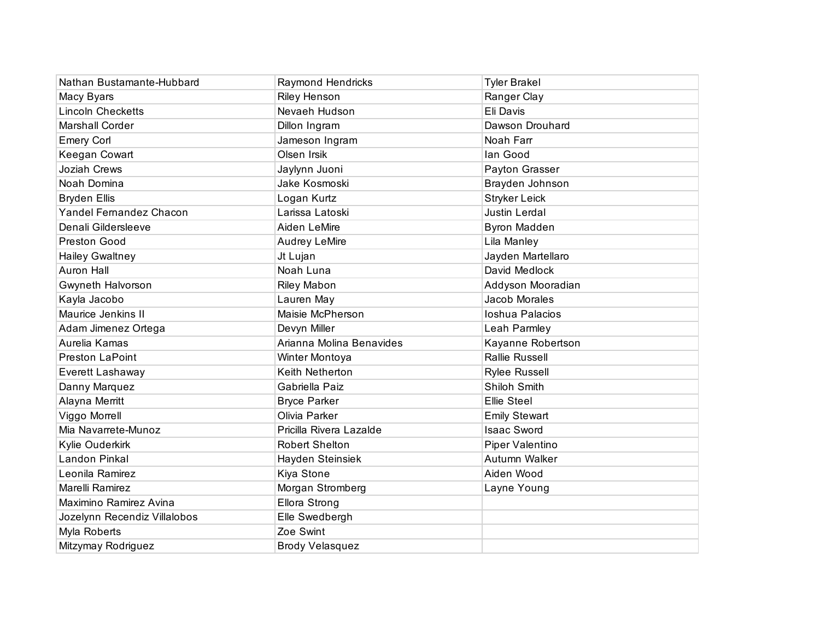| Nathan Bustamante-Hubbard    | Raymond Hendricks        | <b>Tyler Brakel</b>   |
|------------------------------|--------------------------|-----------------------|
| Macy Byars                   | <b>Riley Henson</b>      | Ranger Clay           |
| <b>Lincoln Checketts</b>     | Nevaeh Hudson            | Eli Davis             |
| <b>Marshall Corder</b>       | Dillon Ingram            | Dawson Drouhard       |
| <b>Emery Corl</b>            | Jameson Ingram           | Noah Farr             |
| Keegan Cowart                | Olsen Irsik              | lan Good              |
| Joziah Crews                 | Jaylynn Juoni            | Payton Grasser        |
| Noah Domina                  | Jake Kosmoski            | Brayden Johnson       |
| <b>Bryden Ellis</b>          | Logan Kurtz              | <b>Stryker Leick</b>  |
| Yandel Fernandez Chacon      | Larissa Latoski          | Justin Lerdal         |
| Denali Gildersleeve          | Aiden LeMire             | <b>Byron Madden</b>   |
| Preston Good                 | <b>Audrey LeMire</b>     | Lila Manley           |
| <b>Hailey Gwaltney</b>       | Jt Lujan                 | Jayden Martellaro     |
| <b>Auron Hall</b>            | Noah Luna                | David Medlock         |
| <b>Gwyneth Halvorson</b>     | <b>Riley Mabon</b>       | Addyson Mooradian     |
| Kayla Jacobo                 | Lauren May               | Jacob Morales         |
| Maurice Jenkins II           | Maisie McPherson         | Ioshua Palacios       |
| Adam Jimenez Ortega          | Devyn Miller             | Leah Parmley          |
| Aurelia Kamas                | Arianna Molina Benavides | Kayanne Robertson     |
| Preston LaPoint              | Winter Montoya           | <b>Rallie Russell</b> |
| Everett Lashaway             | Keith Netherton          | <b>Rylee Russell</b>  |
| Danny Marquez                | Gabriella Paiz           | Shiloh Smith          |
| Alayna Merritt               | <b>Bryce Parker</b>      | <b>Ellie Steel</b>    |
| Viggo Morrell                | Olivia Parker            | <b>Emily Stewart</b>  |
| Mia Navarrete-Munoz          | Pricilla Rivera Lazalde  | <b>Isaac Sword</b>    |
| Kylie Ouderkirk              | <b>Robert Shelton</b>    | Piper Valentino       |
| Landon Pinkal                | Hayden Steinsiek         | Autumn Walker         |
| Leonila Ramirez              | Kiya Stone               | Aiden Wood            |
| Marelli Ramirez              | Morgan Stromberg         | Layne Young           |
| Maximino Ramirez Avina       | Ellora Strong            |                       |
| Jozelynn Recendiz Villalobos | Elle Swedbergh           |                       |
| Myla Roberts                 | Zoe Swint                |                       |
| Mitzymay Rodriguez           | <b>Brody Velasquez</b>   |                       |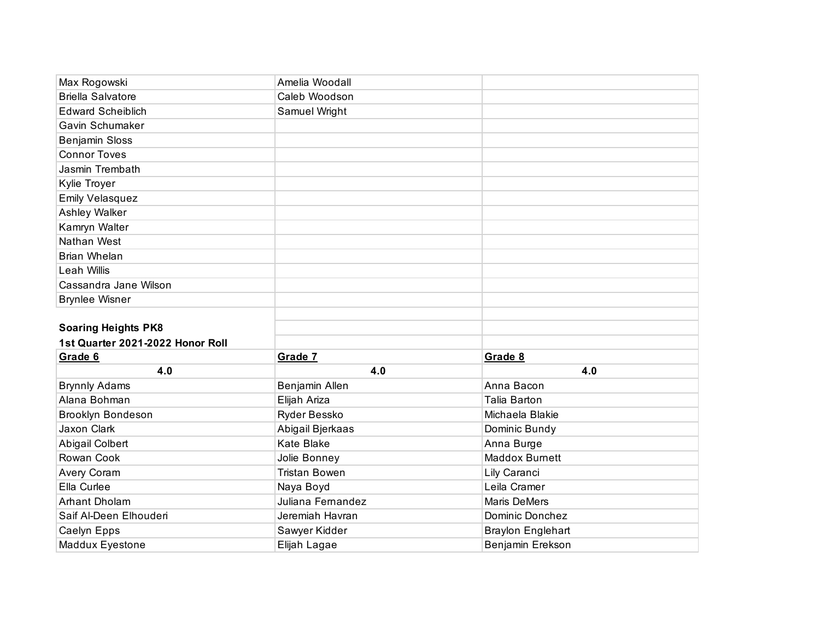| Max Rogowski                     | Amelia Woodall       |                          |
|----------------------------------|----------------------|--------------------------|
| <b>Briella Salvatore</b>         | Caleb Woodson        |                          |
| <b>Edward Scheiblich</b>         | Samuel Wright        |                          |
| Gavin Schumaker                  |                      |                          |
| <b>Benjamin Sloss</b>            |                      |                          |
| <b>Connor Toves</b>              |                      |                          |
| Jasmin Trembath                  |                      |                          |
| Kylie Troyer                     |                      |                          |
| Emily Velasquez                  |                      |                          |
| Ashley Walker                    |                      |                          |
| Kamryn Walter                    |                      |                          |
| Nathan West                      |                      |                          |
| Brian Whelan                     |                      |                          |
| <b>Leah Willis</b>               |                      |                          |
| Cassandra Jane Wilson            |                      |                          |
| <b>Brynlee Wisner</b>            |                      |                          |
|                                  |                      |                          |
| <b>Soaring Heights PK8</b>       |                      |                          |
| 1st Quarter 2021-2022 Honor Roll |                      |                          |
| Grade 6                          | Grade 7              | Grade 8                  |
| 4.0                              | 4.0                  | 4.0                      |
| <b>Brynnly Adams</b>             | Benjamin Allen       | Anna Bacon               |
| Alana Bohman                     | Elijah Ariza         | <b>Talia Barton</b>      |
| <b>Brooklyn Bondeson</b>         | Ryder Bessko         | Michaela Blakie          |
| Jaxon Clark                      | Abigail Bjerkaas     | Dominic Bundy            |
| Abigail Colbert                  | <b>Kate Blake</b>    | Anna Burge               |
| Rowan Cook                       | Jolie Bonney         | <b>Maddox Burnett</b>    |
| Avery Coram                      | <b>Tristan Bowen</b> | Lily Caranci             |
| Ella Curlee                      | Naya Boyd            | Leila Cramer             |
| Arhant Dholam                    | Juliana Fernandez    | <b>Maris DeMers</b>      |
| Saif Al-Deen Elhouderi           |                      | Dominic Donchez          |
|                                  | Jeremiah Havran      |                          |
| Caelyn Epps                      | Sawyer Kidder        | <b>Braylon Englehart</b> |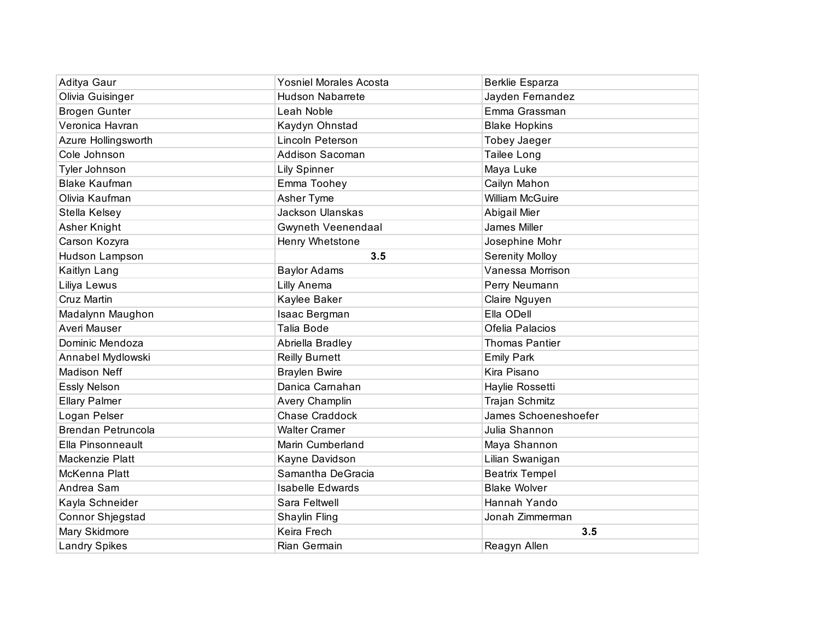| Aditya Gaur          | <b>Yosniel Morales Acosta</b> | <b>Berklie Esparza</b> |
|----------------------|-------------------------------|------------------------|
| Olivia Guisinger     | <b>Hudson Nabarrete</b>       | Jayden Fernandez       |
| <b>Brogen Gunter</b> | Leah Noble                    | Emma Grassman          |
| Veronica Havran      | Kaydyn Ohnstad                | <b>Blake Hopkins</b>   |
| Azure Hollingsworth  | Lincoln Peterson              | <b>Tobey Jaeger</b>    |
| Cole Johnson         | Addison Sacoman               | Tailee Long            |
| Tyler Johnson        | <b>Lily Spinner</b>           | Maya Luke              |
| <b>Blake Kaufman</b> | Emma Toohey                   | Cailyn Mahon           |
| Olivia Kaufman       | Asher Tyme                    | <b>William McGuire</b> |
| Stella Kelsey        | <b>Jackson Ulanskas</b>       | Abigail Mier           |
| Asher Knight         | Gwyneth Veenendaal            | James Miller           |
| Carson Kozyra        | Henry Whetstone               | Josephine Mohr         |
| Hudson Lampson       | 3.5                           | <b>Serenity Molloy</b> |
| Kaitlyn Lang         | <b>Baylor Adams</b>           | Vanessa Morrison       |
| Liliya Lewus         | Lilly Anema                   | Perry Neumann          |
| Cruz Martin          | Kaylee Baker                  | Claire Nguyen          |
| Madalynn Maughon     | Isaac Bergman                 | Ella ODell             |
| Averi Mauser         | <b>Talia Bode</b>             | Ofelia Palacios        |
| Dominic Mendoza      | Abriella Bradley              | <b>Thomas Pantier</b>  |
| Annabel Mydlowski    | <b>Reilly Burnett</b>         | <b>Emily Park</b>      |
| <b>Madison Neff</b>  | <b>Braylen Bwire</b>          | Kira Pisano            |
| <b>Essly Nelson</b>  | Danica Carnahan               | Haylie Rossetti        |
| <b>Ellary Palmer</b> | Avery Champlin                | Trajan Schmitz         |
| Logan Pelser         | <b>Chase Craddock</b>         | James Schoeneshoefer   |
| Brendan Petruncola   | <b>Walter Cramer</b>          | Julia Shannon          |
| Ella Pinsonneault    | Marin Cumberland              | Maya Shannon           |
| Mackenzie Platt      | Kayne Davidson                | Lilian Swanigan        |
| McKenna Platt        | Samantha DeGracia             | <b>Beatrix Tempel</b>  |
| Andrea Sam           | <b>Isabelle Edwards</b>       | <b>Blake Wolver</b>    |
| Kayla Schneider      | Sara Feltwell                 | Hannah Yando           |
| Connor Shjegstad     | Shaylin Fling                 | Jonah Zimmerman        |
| Mary Skidmore        | Keira Frech                   | 3.5                    |
| <b>Landry Spikes</b> | Rian Germain                  | Reagyn Allen           |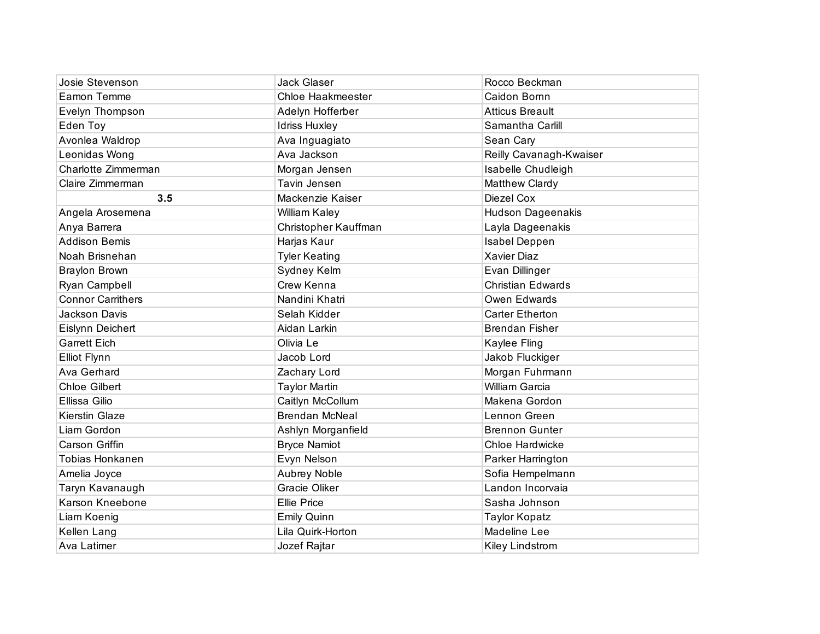| Josie Stevenson          | Jack Glaser              | Rocco Beckman            |
|--------------------------|--------------------------|--------------------------|
| Eamon Temme              | <b>Chloe Haakmeester</b> | Caidon Bornn             |
| Evelyn Thompson          | Adelyn Hofferber         | <b>Atticus Breault</b>   |
| Eden Toy                 | <b>Idriss Huxley</b>     | Samantha Carlill         |
| Avonlea Waldrop          | Ava Inguagiato           | Sean Cary                |
| Leonidas Wong            | Ava Jackson              | Reilly Cavanagh-Kwaiser  |
| Charlotte Zimmerman      | Morgan Jensen            | Isabelle Chudleigh       |
| Claire Zimmerman         | Tavin Jensen             | Matthew Clardy           |
| 3.5                      | Mackenzie Kaiser         | Diezel Cox               |
| Angela Arosemena         | William Kaley            | <b>Hudson Dageenakis</b> |
| Anya Barrera             | Christopher Kauffman     | Layla Dageenakis         |
| <b>Addison Bemis</b>     | Harjas Kaur              | Isabel Deppen            |
| Noah Brisnehan           | <b>Tyler Keating</b>     | Xavier Diaz              |
| <b>Braylon Brown</b>     | Sydney Kelm              | Evan Dillinger           |
| Ryan Campbell            | Crew Kenna               | <b>Christian Edwards</b> |
| <b>Connor Carrithers</b> | Nandini Khatri           | Owen Edwards             |
| Jackson Davis            | Selah Kidder             | <b>Carter Etherton</b>   |
| Eislynn Deichert         | Aidan Larkin             | <b>Brendan Fisher</b>    |
| <b>Garrett Eich</b>      | Olivia Le                | Kaylee Fling             |
| <b>Elliot Flynn</b>      | Jacob Lord               | Jakob Fluckiger          |
| Ava Gerhard              | Zachary Lord             | Morgan Fuhrmann          |
| <b>Chloe Gilbert</b>     | <b>Taylor Martin</b>     | William Garcia           |
| Ellissa Gilio            | Caitlyn McCollum         | Makena Gordon            |
| <b>Kierstin Glaze</b>    | <b>Brendan McNeal</b>    | Lennon Green             |
| Liam Gordon              | Ashlyn Morganfield       | <b>Brennon Gunter</b>    |
| <b>Carson Griffin</b>    | <b>Bryce Namiot</b>      | Chloe Hardwicke          |
| Tobias Honkanen          | Evyn Nelson              | Parker Harrington        |
| Amelia Joyce             | <b>Aubrey Noble</b>      | Sofia Hempelmann         |
| Taryn Kavanaugh          | Gracie Oliker            | Landon Incorvaia         |
| Karson Kneebone          | <b>Ellie Price</b>       | Sasha Johnson            |
| Liam Koenig              | <b>Emily Quinn</b>       | <b>Taylor Kopatz</b>     |
| Kellen Lang              | Lila Quirk-Horton        | Madeline Lee             |
| Ava Latimer              | Jozef Rajtar             | Kiley Lindstrom          |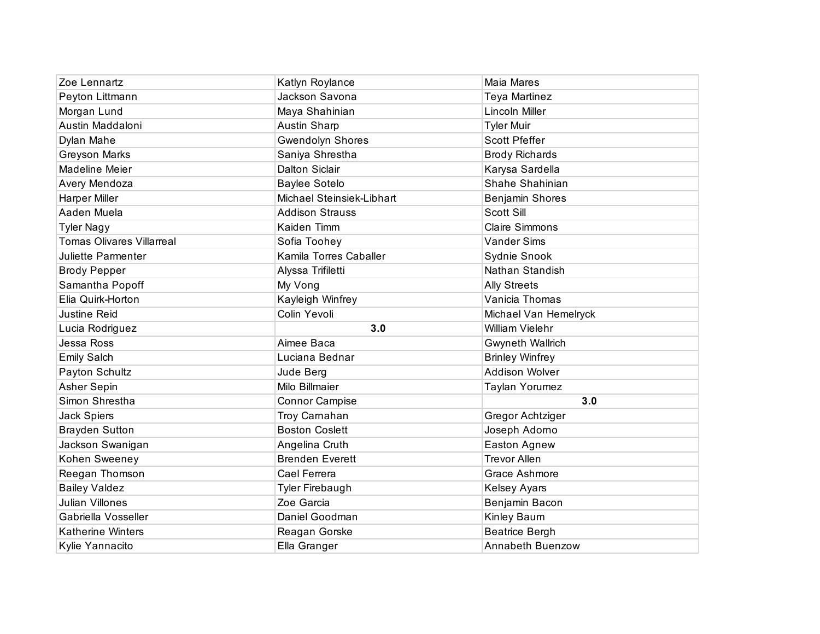| Zoe Lennartz                     | Katlyn Roylance           | Maia Mares              |
|----------------------------------|---------------------------|-------------------------|
| Peyton Littmann                  | Jackson Savona            | Teya Martinez           |
| Morgan Lund                      | Maya Shahinian            | Lincoln Miller          |
| Austin Maddaloni                 | <b>Austin Sharp</b>       | <b>Tyler Muir</b>       |
| Dylan Mahe                       | <b>Gwendolyn Shores</b>   | <b>Scott Pfeffer</b>    |
| <b>Greyson Marks</b>             | Saniya Shrestha           | <b>Brody Richards</b>   |
| Madeline Meier                   | <b>Dalton Siclair</b>     | Karysa Sardella         |
| Avery Mendoza                    | <b>Baylee Sotelo</b>      | Shahe Shahinian         |
| <b>Harper Miller</b>             | Michael Steinsiek-Libhart | Benjamin Shores         |
| Aaden Muela                      | <b>Addison Strauss</b>    | Scott Sill              |
| <b>Tyler Nagy</b>                | Kaiden Timm               | <b>Claire Simmons</b>   |
| <b>Tomas Olivares Villarreal</b> | Sofia Toohey              | <b>Vander Sims</b>      |
| Juliette Parmenter               | Kamila Torres Caballer    | Sydnie Snook            |
| <b>Brody Pepper</b>              | Alyssa Trifiletti         | Nathan Standish         |
| Samantha Popoff                  | My Vong                   | <b>Ally Streets</b>     |
| Elia Quirk-Horton                | Kayleigh Winfrey          | Vanicia Thomas          |
| <b>Justine Reid</b>              | Colin Yevoli              | Michael Van Hemelryck   |
| Lucia Rodriguez                  | 3.0                       | <b>William Vielehr</b>  |
| Jessa Ross                       | Aimee Baca                | Gwyneth Wallrich        |
| <b>Emily Salch</b>               | Luciana Bednar            | <b>Brinley Winfrey</b>  |
| Payton Schultz                   | Jude Berg                 | Addison Wolver          |
| Asher Sepin                      | Milo Billmaier            | Taylan Yorumez          |
| Simon Shrestha                   | <b>Connor Campise</b>     | 3.0                     |
| Jack Spiers                      | Troy Carnahan             | Gregor Achtziger        |
| <b>Brayden Sutton</b>            | <b>Boston Coslett</b>     | Joseph Adorno           |
| Jackson Swanigan                 | Angelina Cruth            | Easton Agnew            |
| Kohen Sweeney                    | <b>Brenden Everett</b>    | <b>Trevor Allen</b>     |
| Reegan Thomson                   | Cael Ferrera              | Grace Ashmore           |
| <b>Bailey Valdez</b>             | <b>Tyler Firebaugh</b>    | <b>Kelsey Ayars</b>     |
| <b>Julian Villones</b>           | Zoe Garcia                | Benjamin Bacon          |
| Gabriella Vosseller              | Daniel Goodman            | Kinley Baum             |
| <b>Katherine Winters</b>         | Reagan Gorske             | Beatrice Bergh          |
| Kylie Yannacito                  | Ella Granger              | <b>Annabeth Buenzow</b> |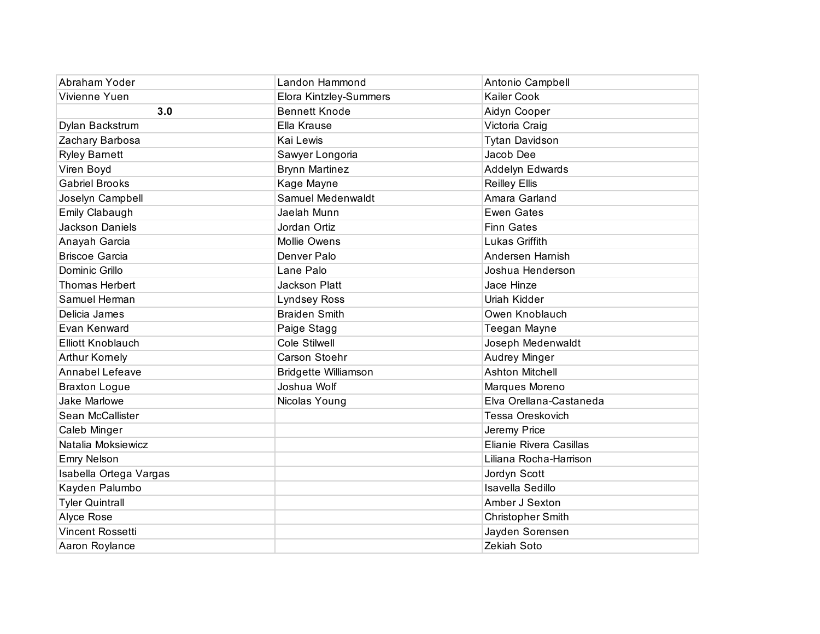| Abraham Yoder            | Landon Hammond              | Antonio Campbell         |
|--------------------------|-----------------------------|--------------------------|
| Vivienne Yuen            | Elora Kintzley-Summers      | <b>Kailer Cook</b>       |
| 3.0                      | <b>Bennett Knode</b>        | Aidyn Cooper             |
| Dylan Backstrum          | Ella Krause                 | Victoria Craig           |
| Zachary Barbosa          | Kai Lewis                   | <b>Tytan Davidson</b>    |
| <b>Ryley Barnett</b>     | Sawyer Longoria             | Jacob Dee                |
| Viren Boyd               | <b>Brynn Martinez</b>       | Addelyn Edwards          |
| <b>Gabriel Brooks</b>    | Kage Mayne                  | <b>Reilley Ellis</b>     |
| Joselyn Campbell         | Samuel Medenwaldt           | Amara Garland            |
| Emily Clabaugh           | Jaelah Munn                 | <b>Ewen Gates</b>        |
| Jackson Daniels          | Jordan Ortiz                | <b>Finn Gates</b>        |
| Anayah Garcia            | <b>Mollie Owens</b>         | Lukas Griffith           |
| <b>Briscoe Garcia</b>    | Denver Palo                 | Andersen Harnish         |
| Dominic Grillo           | Lane Palo                   | Joshua Henderson         |
| <b>Thomas Herbert</b>    | <b>Jackson Platt</b>        | Jace Hinze               |
| Samuel Herman            | <b>Lyndsey Ross</b>         | Uriah Kidder             |
| Delicia James            | <b>Braiden Smith</b>        | Owen Knoblauch           |
| Evan Kenward             | Paige Stagg                 | Teegan Mayne             |
| <b>Elliott Knoblauch</b> | Cole Stilwell               | Joseph Medenwaldt        |
| <b>Arthur Kornely</b>    | Carson Stoehr               | Audrey Minger            |
| <b>Annabel Lefeave</b>   | <b>Bridgette Williamson</b> | <b>Ashton Mitchell</b>   |
| <b>Braxton Logue</b>     | Joshua Wolf                 | Marques Moreno           |
| Jake Marlowe             | Nicolas Young               | Elva Orellana-Castaneda  |
| Sean McCallister         |                             | Tessa Oreskovich         |
| Caleb Minger             |                             | Jeremy Price             |
| Natalia Moksiewicz       |                             | Elianie Rivera Casillas  |
| <b>Emry Nelson</b>       |                             | Liliana Rocha-Harrison   |
| Isabella Ortega Vargas   |                             | Jordyn Scott             |
| Kayden Palumbo           |                             | Isavella Sedillo         |
| <b>Tyler Quintrall</b>   |                             | Amber J Sexton           |
| Alyce Rose               |                             | <b>Christopher Smith</b> |
| <b>Vincent Rossetti</b>  |                             | Jayden Sorensen          |
| Aaron Roylance           |                             | Zekiah Soto              |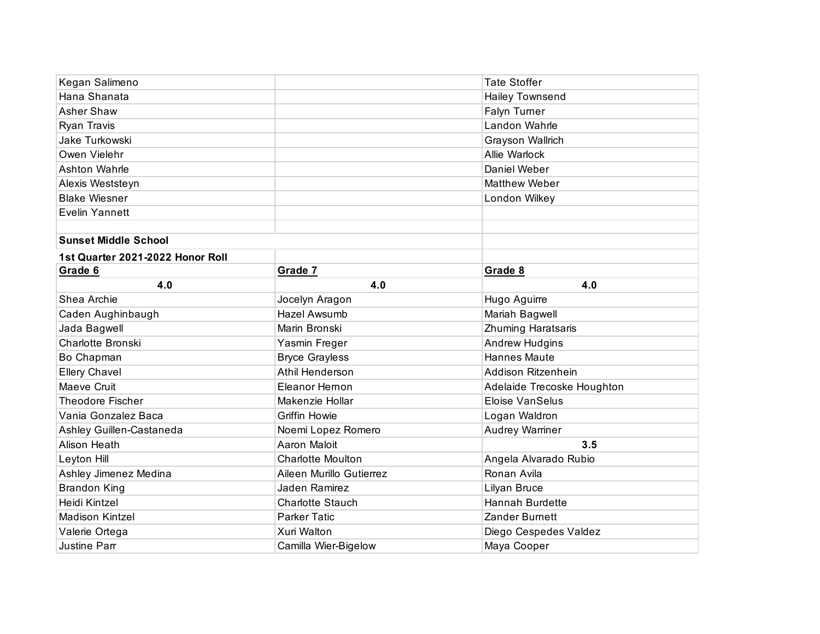| Kegan Salimeno                   |                          | <b>Tate Stoffer</b>        |
|----------------------------------|--------------------------|----------------------------|
| Hana Shanata                     |                          | <b>Hailey Townsend</b>     |
| Asher Shaw                       |                          | Falyn Turner               |
| Ryan Travis                      |                          | Landon Wahrle              |
| Jake Turkowski                   |                          | Grayson Wallrich           |
| Owen Vielehr                     |                          | Allie Warlock              |
| Ashton Wahrle                    |                          | Daniel Weber               |
| Alexis Weststeyn                 |                          | <b>Matthew Weber</b>       |
| <b>Blake Wiesner</b>             |                          | London Wilkey              |
| <b>Evelin Yannett</b>            |                          |                            |
|                                  |                          |                            |
| <b>Sunset Middle School</b>      |                          |                            |
| 1st Quarter 2021-2022 Honor Roll |                          |                            |
| Grade 6                          | Grade 7                  | Grade 8                    |
| 4.0                              | 4.0                      | 4.0                        |
| Shea Archie                      | Jocelyn Aragon           | Hugo Aguirre               |
| Caden Aughinbaugh                | Hazel Awsumb             | Mariah Bagwell             |
| Jada Bagwell                     | Marin Bronski            | Zhuming Haratsaris         |
| Charlotte Bronski                | Yasmin Freger            | <b>Andrew Hudgins</b>      |
| Bo Chapman                       | <b>Bryce Grayless</b>    | <b>Hannes Maute</b>        |
| <b>Ellery Chavel</b>             | Athil Henderson          | Addison Ritzenhein         |
| Maeve Cruit                      | Eleanor Hernon           | Adelaide Trecoske Houghton |
| <b>Theodore Fischer</b>          | Makenzie Hollar          | <b>Eloise VanSelus</b>     |
| Vania Gonzalez Baca              | <b>Griffin Howie</b>     | Logan Waldron              |
| Ashley Guillen-Castaneda         | Noemi Lopez Romero       | Audrey Warriner            |
| Alison Heath                     | Aaron Maloit             | 3.5                        |
| Leyton Hill                      | <b>Charlotte Moulton</b> | Angela Alvarado Rubio      |
| Ashley Jimenez Medina            | Aileen Murillo Gutierrez | Ronan Avila                |
| <b>Brandon King</b>              | Jaden Ramirez            | Lilyan Bruce               |
| Heidi Kintzel                    | <b>Charlotte Stauch</b>  | <b>Hannah Burdette</b>     |
| <b>Madison Kintzel</b>           | <b>Parker Tatic</b>      | <b>Zander Burnett</b>      |
| Valerie Ortega                   | Xuri Walton              | Diego Cespedes Valdez      |
| <b>Justine Parr</b>              | Camilla Wier-Bigelow     | Maya Cooper                |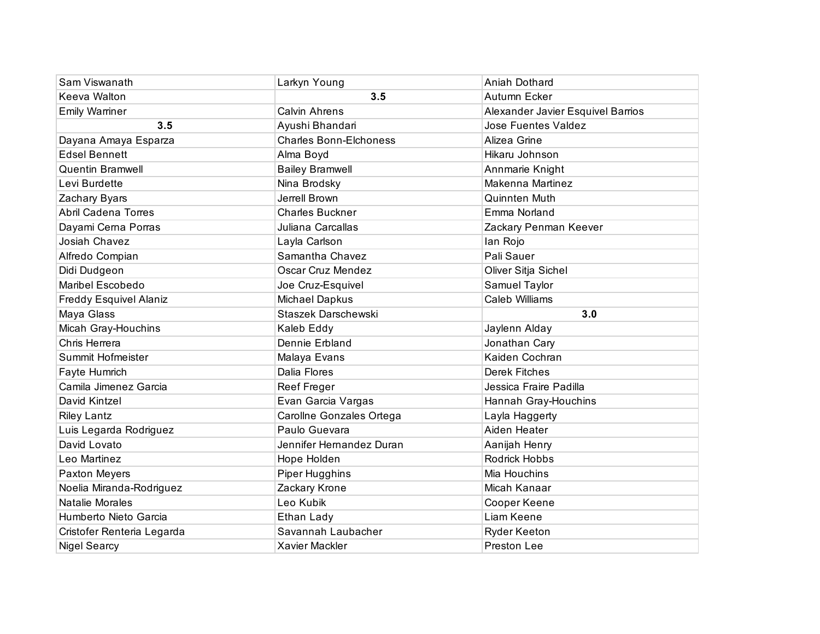| Sam Viswanath                 | Larkyn Young                  | Aniah Dothard                     |
|-------------------------------|-------------------------------|-----------------------------------|
| Keeva Walton                  | 3.5                           | Autumn Ecker                      |
| <b>Emily Warriner</b>         | <b>Calvin Ahrens</b>          | Alexander Javier Esquivel Barrios |
| 3.5                           | Ayushi Bhandari               | <b>Jose Fuentes Valdez</b>        |
| Dayana Amaya Esparza          | <b>Charles Bonn-Elchoness</b> | Alizea Grine                      |
| <b>Edsel Bennett</b>          | Alma Boyd                     | Hikaru Johnson                    |
| <b>Quentin Bramwell</b>       | <b>Bailey Bramwell</b>        | Annmarie Knight                   |
| Levi Burdette                 | Nina Brodsky                  | Makenna Martinez                  |
| Zachary Byars                 | Jerrell Brown                 | Quinnten Muth                     |
| <b>Abril Cadena Torres</b>    | <b>Charles Buckner</b>        | Emma Norland                      |
| Dayami Cerna Porras           | Juliana Carcallas             | Zackary Penman Keever             |
| Josiah Chavez                 | Layla Carlson                 | lan Rojo                          |
| Alfredo Compian               | Samantha Chavez               | Pali Sauer                        |
| Didi Dudgeon                  | Oscar Cruz Mendez             | Oliver Sitja Sichel               |
| Maribel Escobedo              | Joe Cruz-Esquivel             | Samuel Taylor                     |
| <b>Freddy Esquivel Alaniz</b> | Michael Dapkus                | <b>Caleb Williams</b>             |
| Maya Glass                    | Staszek Darschewski           | 3.0                               |
| Micah Gray-Houchins           | Kaleb Eddy                    | Jaylenn Alday                     |
| Chris Herrera                 | Dennie Erbland                | Jonathan Cary                     |
| Summit Hofmeister             | Malaya Evans                  | Kaiden Cochran                    |
| Fayte Humrich                 | Dalia Flores                  | <b>Derek Fitches</b>              |
| Camila Jimenez Garcia         | Reef Freger                   | Jessica Fraire Padilla            |
| David Kintzel                 | Evan Garcia Vargas            | Hannah Gray-Houchins              |
| <b>Riley Lantz</b>            | Carollne Gonzales Ortega      | Layla Haggerty                    |
| Luis Legarda Rodriguez        | Paulo Guevara                 | Aiden Heater                      |
| David Lovato                  | Jennifer Hernandez Duran      | Aanijah Henry                     |
| Leo Martinez                  | Hope Holden                   | Rodrick Hobbs                     |
| Paxton Meyers                 | Piper Hugghins                | Mia Houchins                      |
| Noelia Miranda-Rodriguez      | Zackary Krone                 | Micah Kanaar                      |
| Natalie Morales               | Leo Kubik                     | Cooper Keene                      |
| Humberto Nieto Garcia         | Ethan Lady                    | Liam Keene                        |
| Cristofer Renteria Legarda    | Savannah Laubacher            | <b>Ryder Keeton</b>               |
| <b>Nigel Searcy</b>           | Xavier Mackler                | Preston Lee                       |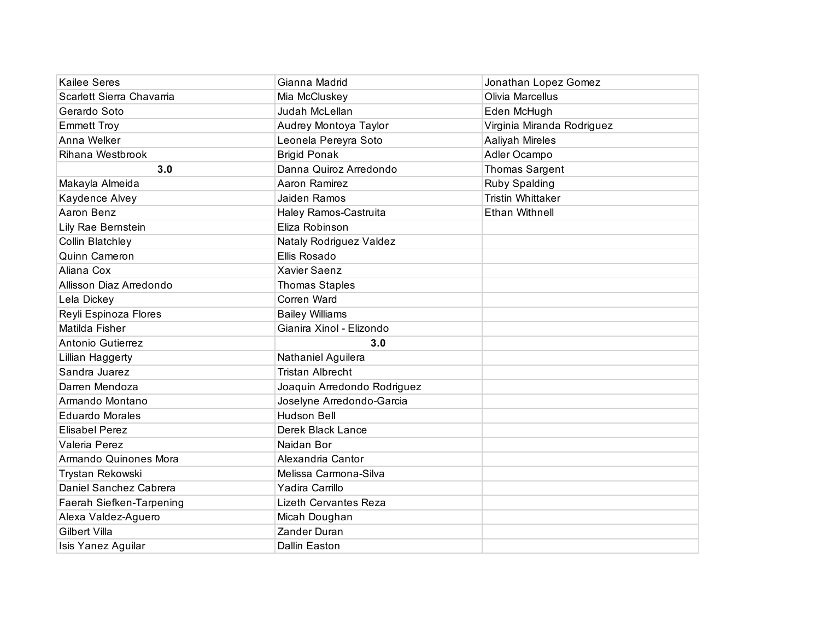| <b>Kailee Seres</b>       | Gianna Madrid                | Jonathan Lopez Gomez       |
|---------------------------|------------------------------|----------------------------|
| Scarlett Sierra Chavarria | Mia McCluskey                | <b>Olivia Marcellus</b>    |
| Gerardo Soto              | Judah McLellan               | Eden McHugh                |
| <b>Emmett Troy</b>        | Audrey Montoya Taylor        | Virginia Miranda Rodriguez |
| Anna Welker               | Leonela Pereyra Soto         | Aaliyah Mireles            |
| Rihana Westbrook          | <b>Brigid Ponak</b>          | Adler Ocampo               |
| 3.0                       | Danna Quiroz Arredondo       | Thomas Sargent             |
| Makayla Almeida           | Aaron Ramirez                | Ruby Spalding              |
| Kaydence Alvey            | Jaiden Ramos                 | <b>Tristin Whittaker</b>   |
| Aaron Benz                | Haley Ramos-Castruita        | <b>Ethan Withnell</b>      |
| Lily Rae Bernstein        | Eliza Robinson               |                            |
| Collin Blatchley          | Nataly Rodriguez Valdez      |                            |
| Quinn Cameron             | Ellis Rosado                 |                            |
| Aliana Cox                | <b>Xavier Saenz</b>          |                            |
| Allisson Diaz Arredondo   | <b>Thomas Staples</b>        |                            |
| Lela Dickey               | Corren Ward                  |                            |
| Reyli Espinoza Flores     | <b>Bailey Williams</b>       |                            |
| Matilda Fisher            | Gianira Xinol - Elizondo     |                            |
| Antonio Gutierrez         | 3.0                          |                            |
| Lillian Haggerty          | Nathaniel Aguilera           |                            |
| Sandra Juarez             | <b>Tristan Albrecht</b>      |                            |
| Darren Mendoza            | Joaquin Arredondo Rodriguez  |                            |
| Armando Montano           | Joselyne Arredondo-Garcia    |                            |
| <b>Eduardo Morales</b>    | <b>Hudson Bell</b>           |                            |
| <b>Elisabel Perez</b>     | Derek Black Lance            |                            |
| Valeria Perez             | Naidan Bor                   |                            |
| Armando Quinones Mora     | Alexandria Cantor            |                            |
| Trystan Rekowski          | Melissa Carmona-Silva        |                            |
| Daniel Sanchez Cabrera    | Yadira Carrillo              |                            |
| Faerah Siefken-Tarpening  | <b>Lizeth Cervantes Reza</b> |                            |
| Alexa Valdez-Aguero       | Micah Doughan                |                            |
| <b>Gilbert Villa</b>      | Zander Duran                 |                            |
| Isis Yanez Aguilar        | Dallin Easton                |                            |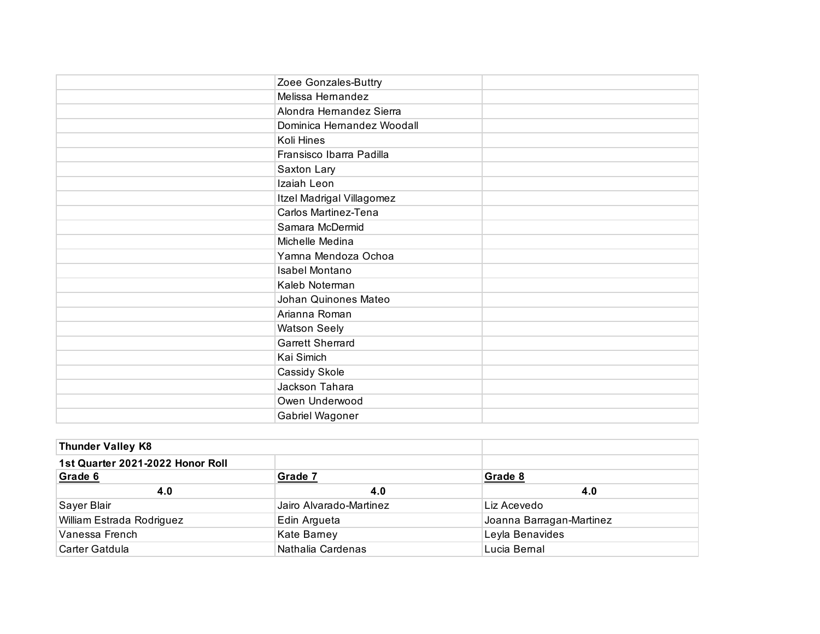| Zoee Gonzales-Buttry       |  |
|----------------------------|--|
| Melissa Hernandez          |  |
| Alondra Hernandez Sierra   |  |
| Dominica Hernandez Woodall |  |
| Koli Hines                 |  |
| Fransisco Ibarra Padilla   |  |
| Saxton Lary                |  |
| Izaiah Leon                |  |
| Itzel Madrigal Villagomez  |  |
| Carlos Martinez-Tena       |  |
| Samara McDermid            |  |
| Michelle Medina            |  |
| Yamna Mendoza Ochoa        |  |
| Isabel Montano             |  |
| Kaleb Noterman             |  |
| Johan Quinones Mateo       |  |
| Arianna Roman              |  |
| <b>Watson Seely</b>        |  |
| <b>Garrett Sherrard</b>    |  |
| Kai Simich                 |  |
| Cassidy Skole              |  |
| Jackson Tahara             |  |
| Owen Underwood             |  |
| Gabriel Wagoner            |  |

| <b>Thunder Valley K8</b>         |                         |                          |
|----------------------------------|-------------------------|--------------------------|
| 1st Quarter 2021-2022 Honor Roll |                         |                          |
| Grade 6                          | Grade 7                 | Grade 8                  |
| 4.0                              | 4.0                     | 4.0                      |
| Sayer Blair                      | Jairo Alvarado-Martinez | Liz Acevedo              |
| William Estrada Rodriguez        | Edin Argueta            | Joanna Barragan-Martinez |
| Vanessa French                   | Kate Barney             | Leyla Benavides          |
| Carter Gatdula                   | Nathalia Cardenas       | Lucia Bernal             |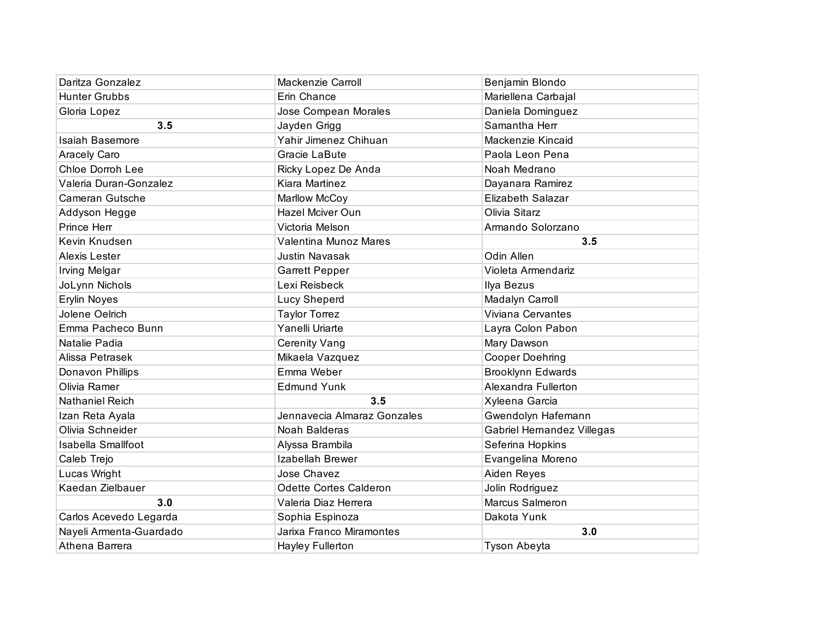| Daritza Gonzalez          | Mackenzie Carroll           | Benjamin Blondo            |
|---------------------------|-----------------------------|----------------------------|
| <b>Hunter Grubbs</b>      | Erin Chance                 | Mariellena Carbajal        |
| Gloria Lopez              | Jose Compean Morales        | Daniela Dominguez          |
| 3.5                       | Jayden Grigg                | Samantha Herr              |
| Isaiah Basemore           | Yahir Jimenez Chihuan       | Mackenzie Kincaid          |
| Aracely Caro              | Gracie LaBute               | Paola Leon Pena            |
| Chloe Dorroh Lee          | Ricky Lopez De Anda         | Noah Medrano               |
| Valeria Duran-Gonzalez    | Kiara Martinez              | Dayanara Ramirez           |
| Cameran Gutsche           | Marllow McCoy               | <b>Elizabeth Salazar</b>   |
| Addyson Hegge             | Hazel Mciver Oun            | Olivia Sitarz              |
| Prince Herr               | Victoria Melson             | Armando Solorzano          |
| Kevin Knudsen             | Valentina Munoz Mares       | 3.5                        |
| Alexis Lester             | <b>Justin Navasak</b>       | Odin Allen                 |
| <b>Irving Melgar</b>      | <b>Garrett Pepper</b>       | Violeta Armendariz         |
| JoLynn Nichols            | Lexi Reisbeck               | Ilya Bezus                 |
| Erylin Noyes              | Lucy Sheperd                | Madalyn Carroll            |
| Jolene Oelrich            | <b>Taylor Torrez</b>        | Viviana Cervantes          |
| Emma Pacheco Bunn         | Yanelli Uriarte             | Layra Colon Pabon          |
| Natalie Padia             | <b>Cerenity Vang</b>        | Mary Dawson                |
| Alissa Petrasek           | Mikaela Vazquez             | <b>Cooper Doehring</b>     |
| Donavon Phillips          | Emma Weber                  | <b>Brooklynn Edwards</b>   |
| Olivia Ramer              | <b>Edmund Yunk</b>          | Alexandra Fullerton        |
| <b>Nathaniel Reich</b>    | 3.5                         | Xyleena Garcia             |
| Izan Reta Ayala           | Jennavecia Almaraz Gonzales | Gwendolyn Hafemann         |
| Olivia Schneider          | Noah Balderas               | Gabriel Hernandez Villegas |
| <b>Isabella Smallfoot</b> | Alyssa Brambila             | Seferina Hopkins           |
| Caleb Trejo               | Izabellah Brewer            | Evangelina Moreno          |
| Lucas Wright              | Jose Chavez                 | Aiden Reyes                |
| Kaedan Zielbauer          | Odette Cortes Calderon      | Jolin Rodriguez            |
| 3.0                       | Valeria Diaz Herrera        | Marcus Salmeron            |
| Carlos Acevedo Legarda    | Sophia Espinoza             | Dakota Yunk                |
| Nayeli Armenta-Guardado   | Jarixa Franco Miramontes    | 3.0                        |
| Athena Barrera            | <b>Hayley Fullerton</b>     | Tyson Abeyta               |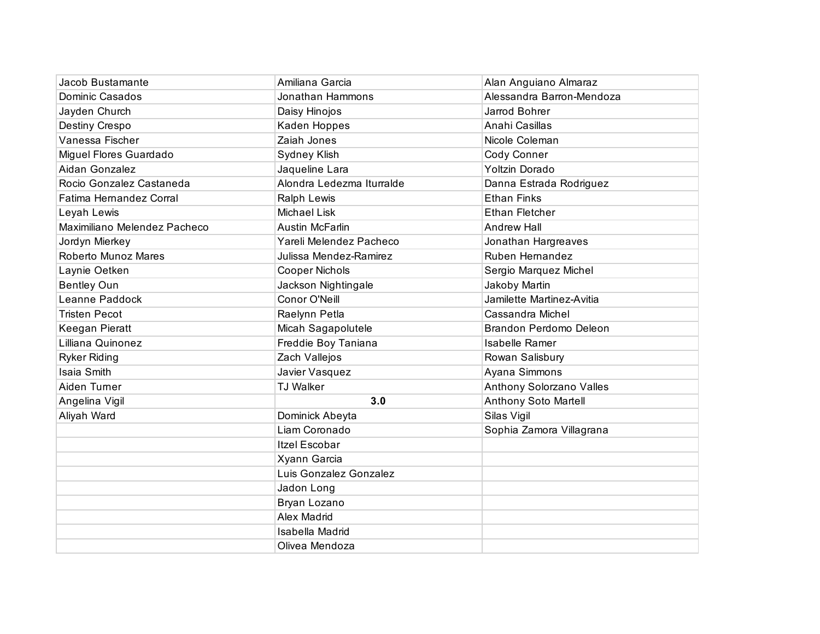| Jacob Bustamante             | Amiliana Garcia           | Alan Anguiano Almaraz       |
|------------------------------|---------------------------|-----------------------------|
| <b>Dominic Casados</b>       | Jonathan Hammons          | Alessandra Barron-Mendoza   |
| Jayden Church                | Daisy Hinojos             | Jarrod Bohrer               |
| Destiny Crespo               | Kaden Hoppes              | Anahi Casillas              |
| Vanessa Fischer              | Zaiah Jones               | Nicole Coleman              |
| Miguel Flores Guardado       | Sydney Klish              | Cody Conner                 |
| Aidan Gonzalez               | Jaqueline Lara            | Yoltzin Dorado              |
| Rocio Gonzalez Castaneda     | Alondra Ledezma Iturralde | Danna Estrada Rodriguez     |
| Fatima Hernandez Corral      | Ralph Lewis               | <b>Ethan Finks</b>          |
| Leyah Lewis                  | <b>Michael Lisk</b>       | <b>Ethan Fletcher</b>       |
| Maximiliano Melendez Pacheco | <b>Austin McFarlin</b>    | <b>Andrew Hall</b>          |
| Jordyn Mierkey               | Yareli Melendez Pacheco   | Jonathan Hargreaves         |
| Roberto Munoz Mares          | Julissa Mendez-Ramirez    | Ruben Hernandez             |
| Laynie Oetken                | <b>Cooper Nichols</b>     | Sergio Marquez Michel       |
| <b>Bentley Oun</b>           | Jackson Nightingale       | Jakoby Martin               |
| Leanne Paddock               | Conor O'Neill             | Jamilette Martinez-Avitia   |
| <b>Tristen Pecot</b>         | Raelynn Petla             | Cassandra Michel            |
| Keegan Pieratt               | Micah Sagapolutele        | Brandon Perdomo Deleon      |
| Lilliana Quinonez            | Freddie Boy Taniana       | Isabelle Ramer              |
| <b>Ryker Riding</b>          | Zach Vallejos             | Rowan Salisbury             |
| Isaia Smith                  | Javier Vasquez            | Ayana Simmons               |
| Aiden Turner                 | <b>TJ Walker</b>          | Anthony Solorzano Valles    |
| Angelina Vigil               | 3.0                       | <b>Anthony Soto Martell</b> |
| Aliyah Ward                  | Dominick Abeyta           | Silas Vigil                 |
|                              | Liam Coronado             | Sophia Zamora Villagrana    |
|                              | Itzel Escobar             |                             |
|                              | Xyann Garcia              |                             |
|                              | Luis Gonzalez Gonzalez    |                             |
|                              | Jadon Long                |                             |
|                              | Bryan Lozano              |                             |
|                              | <b>Alex Madrid</b>        |                             |
|                              | Isabella Madrid           |                             |
|                              | Olivea Mendoza            |                             |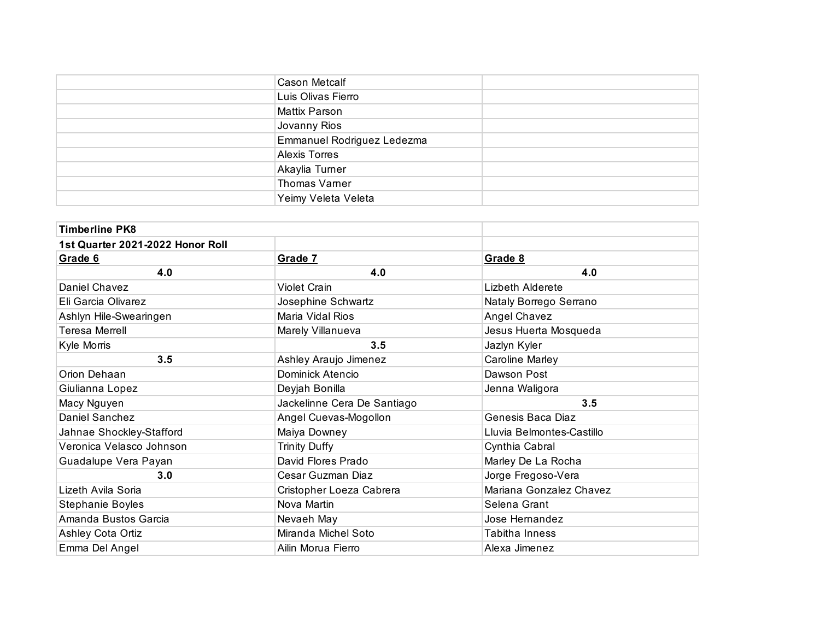| <b>Cason Metcalf</b>       |  |
|----------------------------|--|
| Luis Olivas Fierro         |  |
| Mattix Parson              |  |
| Jovanny Rios               |  |
| Emmanuel Rodriguez Ledezma |  |
| <b>Alexis Torres</b>       |  |
| Akaylia Turner             |  |
| Thomas Varner              |  |
| Yeimy Veleta Veleta        |  |

| <b>Timberline PK8</b>            |                             |                           |
|----------------------------------|-----------------------------|---------------------------|
| 1st Quarter 2021-2022 Honor Roll |                             |                           |
| Grade 6                          | Grade 7                     | Grade 8                   |
| 4.0                              | 4.0                         | 4.0                       |
| Daniel Chavez                    | <b>Violet Crain</b>         | Lizbeth Alderete          |
| Eli Garcia Olivarez              | Josephine Schwartz          | Nataly Borrego Serrano    |
| Ashlyn Hile-Swearingen           | Maria Vidal Rios            | Angel Chavez              |
| Teresa Merrell                   | Marely Villanueva           | Jesus Huerta Mosqueda     |
| Kyle Morris                      | 3.5                         | Jazlyn Kyler              |
| 3.5                              | Ashley Araujo Jimenez       | Caroline Marley           |
| Orion Dehaan                     | Dominick Atencio            | Dawson Post               |
| Giulianna Lopez                  | Deyjah Bonilla              | Jenna Waligora            |
| Macy Nguyen                      | Jackelinne Cera De Santiago | 3.5                       |
| Daniel Sanchez                   | Angel Cuevas-Mogollon       | Genesis Baca Diaz         |
| Jahnae Shockley-Stafford         | Maiya Downey                | Lluvia Belmontes-Castillo |
| Veronica Velasco Johnson         | <b>Trinity Duffy</b>        | Cynthia Cabral            |
| Guadalupe Vera Payan             | David Flores Prado          | Marley De La Rocha        |
| 3.0                              | Cesar Guzman Diaz           | Jorge Fregoso-Vera        |
| Lizeth Avila Soria               | Cristopher Loeza Cabrera    | Mariana Gonzalez Chavez   |
| Stephanie Boyles                 | Nova Martin                 | Selena Grant              |
| Amanda Bustos Garcia             | Nevaeh May                  | Jose Hernandez            |
| Ashley Cota Ortiz                | Miranda Michel Soto         | Tabitha Inness            |
| Emma Del Angel                   | Ailin Morua Fierro          | Alexa Jimenez             |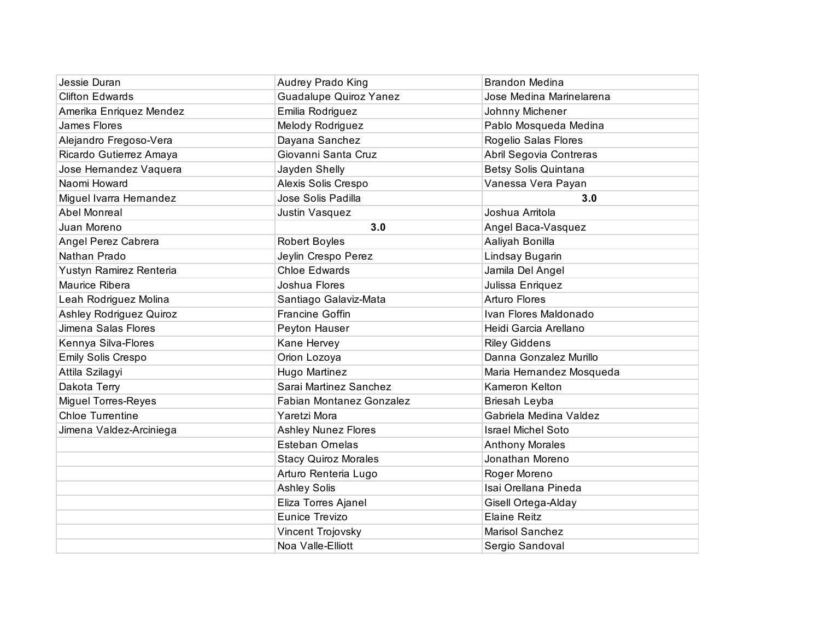| Jessie Duran               | Audrey Prado King               | <b>Brandon Medina</b>     |
|----------------------------|---------------------------------|---------------------------|
| <b>Clifton Edwards</b>     | <b>Guadalupe Quiroz Yanez</b>   | Jose Medina Marinelarena  |
| Amerika Enriquez Mendez    | Emilia Rodriguez                | Johnny Michener           |
| James Flores               | Melody Rodriguez                | Pablo Mosqueda Medina     |
| Alejandro Fregoso-Vera     | Dayana Sanchez                  | Rogelio Salas Flores      |
| Ricardo Gutierrez Amaya    | Giovanni Santa Cruz             | Abril Segovia Contreras   |
| Jose Hernandez Vaquera     | Jayden Shelly                   | Betsy Solis Quintana      |
| Naomi Howard               | Alexis Solis Crespo             | Vanessa Vera Payan        |
| Miguel Ivarra Hernandez    | Jose Solis Padilla              | 3.0                       |
| Abel Monreal               | Justin Vasquez                  | Joshua Arritola           |
| Juan Moreno                | 3.0                             | Angel Baca-Vasquez        |
| Angel Perez Cabrera        | Robert Boyles                   | Aaliyah Bonilla           |
| Nathan Prado               | Jeylin Crespo Perez             | Lindsay Bugarin           |
| Yustyn Ramirez Renteria    | <b>Chloe Edwards</b>            | Jamila Del Angel          |
| Maurice Ribera             | Joshua Flores                   | Julissa Enriquez          |
| Leah Rodriguez Molina      | Santiago Galaviz-Mata           | <b>Arturo Flores</b>      |
| Ashley Rodriguez Quiroz    | <b>Francine Goffin</b>          | Ivan Flores Maldonado     |
| Jimena Salas Flores        | Peyton Hauser                   | Heidi Garcia Arellano     |
| Kennya Silva-Flores        | Kane Hervey                     | <b>Riley Giddens</b>      |
| Emily Solis Crespo         | Orion Lozoya                    | Danna Gonzalez Murillo    |
| Attila Szilagyi            | Hugo Martinez                   | Maria Hernandez Mosqueda  |
| Dakota Terry               | Sarai Martinez Sanchez          | Kameron Kelton            |
| <b>Miguel Torres-Reyes</b> | <b>Fabian Montanez Gonzalez</b> | Briesah Leyba             |
| <b>Chloe Turrentine</b>    | Yaretzi Mora                    | Gabriela Medina Valdez    |
| Jimena Valdez-Arciniega    | <b>Ashley Nunez Flores</b>      | <b>Israel Michel Soto</b> |
|                            | <b>Esteban Ornelas</b>          | <b>Anthony Morales</b>    |
|                            | <b>Stacy Quiroz Morales</b>     | Jonathan Moreno           |
|                            | Arturo Renteria Lugo            | Roger Moreno              |
|                            | <b>Ashley Solis</b>             | Isai Orellana Pineda      |
|                            | Eliza Torres Ajanel             | Gisell Ortega-Alday       |
|                            | Eunice Trevizo                  | <b>Elaine Reitz</b>       |
|                            | Vincent Trojovsky               | Marisol Sanchez           |
|                            | Noa Valle-Elliott               | Sergio Sandoval           |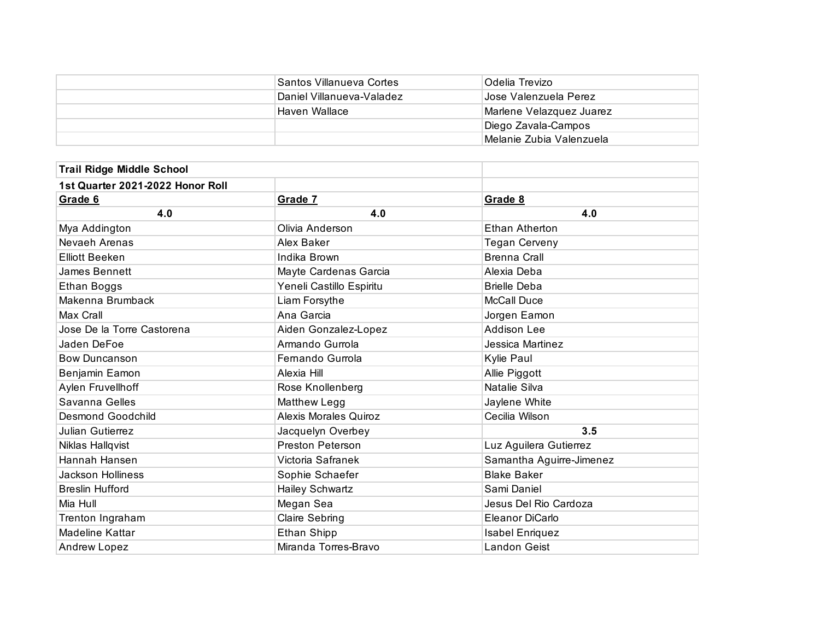| Santos Villanueva Cortes  | Odelia Trevizo           |
|---------------------------|--------------------------|
| Daniel Villanueva-Valadez | I Jose Valenzuela Perez  |
| Haven Wallace             | Marlene Velazquez Juarez |
|                           | Diego Zavala-Campos      |
|                           | Melanie Zubia Valenzuela |

| <b>Trail Ridge Middle School</b> |                              |                          |
|----------------------------------|------------------------------|--------------------------|
| 1st Quarter 2021-2022 Honor Roll |                              |                          |
| Grade 6                          | Grade 7                      | Grade 8                  |
| 4.0                              | 4.0                          | 4.0                      |
| Mya Addington                    | Olivia Anderson              | <b>Ethan Atherton</b>    |
| Nevaeh Arenas                    | Alex Baker                   | <b>Tegan Cerveny</b>     |
| <b>Elliott Beeken</b>            | Indika Brown                 | <b>Brenna Crall</b>      |
| James Bennett                    | Mayte Cardenas Garcia        | Alexia Deba              |
| Ethan Boggs                      | Yeneli Castillo Espiritu     | <b>Brielle Deba</b>      |
| Makenna Brumback                 | Liam Forsythe                | <b>McCall Duce</b>       |
| Max Crall                        | Ana Garcia                   | Jorgen Eamon             |
| Jose De la Torre Castorena       | Aiden Gonzalez-Lopez         | <b>Addison Lee</b>       |
| Jaden DeFoe                      | Armando Gurrola              | Jessica Martinez         |
| <b>Bow Duncanson</b>             | Fernando Gurrola             | Kylie Paul               |
| Benjamin Eamon                   | Alexia Hill                  | Allie Piggott            |
| Aylen Fruvellhoff                | Rose Knollenberg             | Natalie Silva            |
| Savanna Gelles                   | Matthew Legg                 | Jaylene White            |
| Desmond Goodchild                | <b>Alexis Morales Quiroz</b> | Cecilia Wilson           |
| <b>Julian Gutierrez</b>          | Jacquelyn Overbey            | 3.5                      |
| Niklas Hallqvist                 | Preston Peterson             | Luz Aguilera Gutierrez   |
| Hannah Hansen                    | Victoria Safranek            | Samantha Aguirre-Jimenez |
| <b>Jackson Holliness</b>         | Sophie Schaefer              | <b>Blake Baker</b>       |
| <b>Breslin Hufford</b>           | Hailey Schwartz              | Sami Daniel              |
| Mia Hull                         | Megan Sea                    | Jesus Del Rio Cardoza    |
| Trenton Ingraham                 | Claire Sebring               | Eleanor DiCarlo          |
| Madeline Kattar                  | Ethan Shipp                  | <b>Isabel Enriquez</b>   |
| <b>Andrew Lopez</b>              | Miranda Torres-Bravo         | Landon Geist             |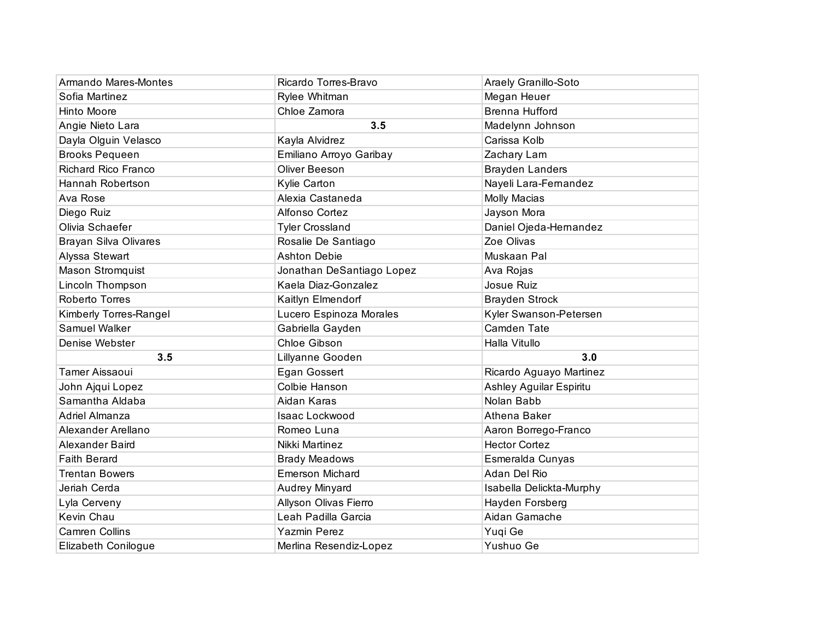| Armando Mares-Montes         | Ricardo Torres-Bravo      | Araely Granillo-Soto     |
|------------------------------|---------------------------|--------------------------|
| Sofia Martinez               | Rylee Whitman             | Megan Heuer              |
| Hinto Moore                  | Chloe Zamora              | <b>Brenna Hufford</b>    |
| Angie Nieto Lara             | 3.5                       | Madelynn Johnson         |
| Dayla Olguin Velasco         | Kayla Alvidrez            | Carissa Kolb             |
| <b>Brooks Pequeen</b>        | Emiliano Arroyo Garibay   | Zachary Lam              |
| <b>Richard Rico Franco</b>   | Oliver Beeson             | <b>Brayden Landers</b>   |
| Hannah Robertson             | Kylie Carton              | Nayeli Lara-Fernandez    |
| Ava Rose                     | Alexia Castaneda          | <b>Molly Macias</b>      |
| Diego Ruiz                   | Alfonso Cortez            | Jayson Mora              |
| Olivia Schaefer              | <b>Tyler Crossland</b>    | Daniel Ojeda-Hernandez   |
| <b>Brayan Silva Olivares</b> | Rosalie De Santiago       | Zoe Olivas               |
| Alyssa Stewart               | <b>Ashton Debie</b>       | Muskaan Pal              |
| Mason Stromquist             | Jonathan DeSantiago Lopez | Ava Rojas                |
| Lincoln Thompson             | Kaela Diaz-Gonzalez       | Josue Ruiz               |
| Roberto Torres               | Kaitlyn Elmendorf         | <b>Brayden Strock</b>    |
| Kimberly Torres-Rangel       | Lucero Espinoza Morales   | Kyler Swanson-Petersen   |
| Samuel Walker                | Gabriella Gayden          | Camden Tate              |
| Denise Webster               | Chloe Gibson              | Halla Vitullo            |
| 3.5                          | Lillyanne Gooden          | 3.0                      |
| Tamer Aissaoui               | Egan Gossert              | Ricardo Aguayo Martinez  |
| John Ajqui Lopez             | Colbie Hanson             | Ashley Aguilar Espiritu  |
| Samantha Aldaba              | Aidan Karas               | Nolan Babb               |
| Adriel Almanza               | Isaac Lockwood            | Athena Baker             |
| Alexander Arellano           | Romeo Luna                | Aaron Borrego-Franco     |
| Alexander Baird              | Nikki Martinez            | <b>Hector Cortez</b>     |
| <b>Faith Berard</b>          | <b>Brady Meadows</b>      | Esmeralda Cunyas         |
| <b>Trentan Bowers</b>        | <b>Emerson Michard</b>    | Adan Del Rio             |
| Jeriah Cerda                 | Audrey Minyard            | Isabella Delickta-Murphy |
| Lyla Cerveny                 | Allyson Olivas Fierro     | Hayden Forsberg          |
| Kevin Chau                   | Leah Padilla Garcia       | Aidan Gamache            |
| <b>Camren Collins</b>        | <b>Yazmin Perez</b>       | Yuqi Ge                  |
| Elizabeth Conilogue          | Merlina Resendiz-Lopez    | Yushuo Ge                |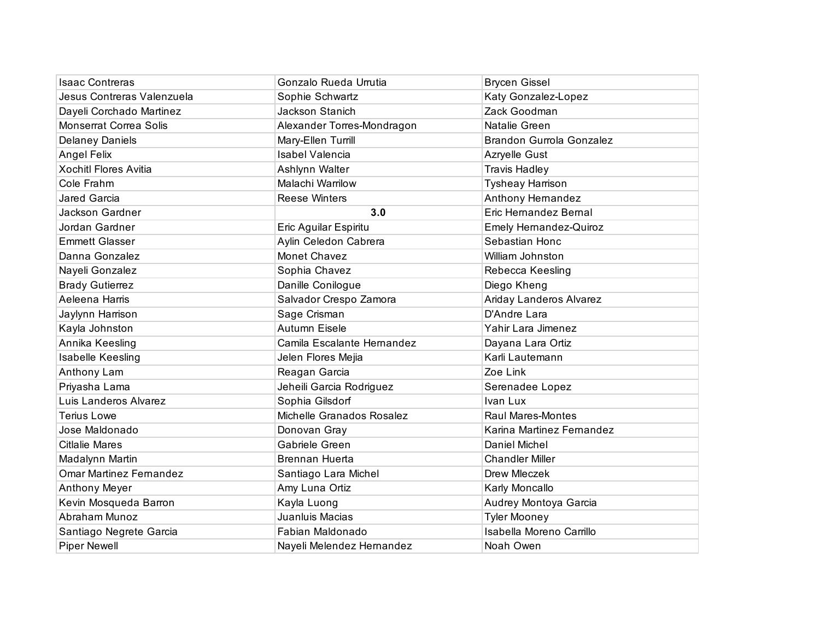| <b>Isaac Contreras</b>         | Gonzalo Rueda Urrutia      | <b>Brycen Gissel</b>            |
|--------------------------------|----------------------------|---------------------------------|
| Jesus Contreras Valenzuela     | Sophie Schwartz            | Katy Gonzalez-Lopez             |
| Dayeli Corchado Martinez       | Jackson Stanich            | Zack Goodman                    |
| <b>Monserrat Correa Solis</b>  | Alexander Torres-Mondragon | Natalie Green                   |
| <b>Delaney Daniels</b>         | Mary-Ellen Turrill         | <b>Brandon Gurrola Gonzalez</b> |
| <b>Angel Felix</b>             | <b>Isabel Valencia</b>     | Azryelle Gust                   |
| <b>Xochitl Flores Avitia</b>   | Ashlynn Walter             | <b>Travis Hadley</b>            |
| Cole Frahm                     | Malachi Warrilow           | <b>Tysheay Harrison</b>         |
| Jared Garcia                   | <b>Reese Winters</b>       | Anthony Hernandez               |
| Jackson Gardner                | 3.0                        | Eric Hernandez Bernal           |
| Jordan Gardner                 | Eric Aguilar Espiritu      | Emely Hernandez-Quiroz          |
| <b>Emmett Glasser</b>          | Aylin Celedon Cabrera      | Sebastian Honc                  |
| Danna Gonzalez                 | Monet Chavez               | William Johnston                |
| Nayeli Gonzalez                | Sophia Chavez              | Rebecca Keesling                |
| <b>Brady Gutierrez</b>         | Danille Conilogue          | Diego Kheng                     |
| Aeleena Harris                 | Salvador Crespo Zamora     | Ariday Landeros Alvarez         |
| Jaylynn Harrison               | Sage Crisman               | D'Andre Lara                    |
| Kayla Johnston                 | Autumn Eisele              | Yahir Lara Jimenez              |
| Annika Keesling                | Camila Escalante Hernandez | Dayana Lara Ortiz               |
| Isabelle Keesling              | Jelen Flores Mejia         | Karli Lautemann                 |
| Anthony Lam                    | Reagan Garcia              | Zoe Link                        |
| Priyasha Lama                  | Jeheili Garcia Rodriguez   | Serenadee Lopez                 |
| Luis Landeros Alvarez          | Sophia Gilsdorf            | Ivan Lux                        |
| <b>Terius Lowe</b>             | Michelle Granados Rosalez  | <b>Raul Mares-Montes</b>        |
| Jose Maldonado                 | Donovan Gray               | Karina Martinez Fernandez       |
| <b>Citlalie Mares</b>          | Gabriele Green             | Daniel Michel                   |
| Madalynn Martin                | <b>Brennan Huerta</b>      | <b>Chandler Miller</b>          |
| <b>Omar Martinez Fernandez</b> | Santiago Lara Michel       | Drew Mleczek                    |
| Anthony Meyer                  | Amy Luna Ortiz             | Karly Moncallo                  |
| Kevin Mosqueda Barron          | Kayla Luong                | Audrey Montoya Garcia           |
| Abraham Munoz                  | Juanluis Macias            | <b>Tyler Mooney</b>             |
| Santiago Negrete Garcia        | Fabian Maldonado           | Isabella Moreno Carrillo        |
| <b>Piper Newell</b>            | Nayeli Melendez Hernandez  | Noah Owen                       |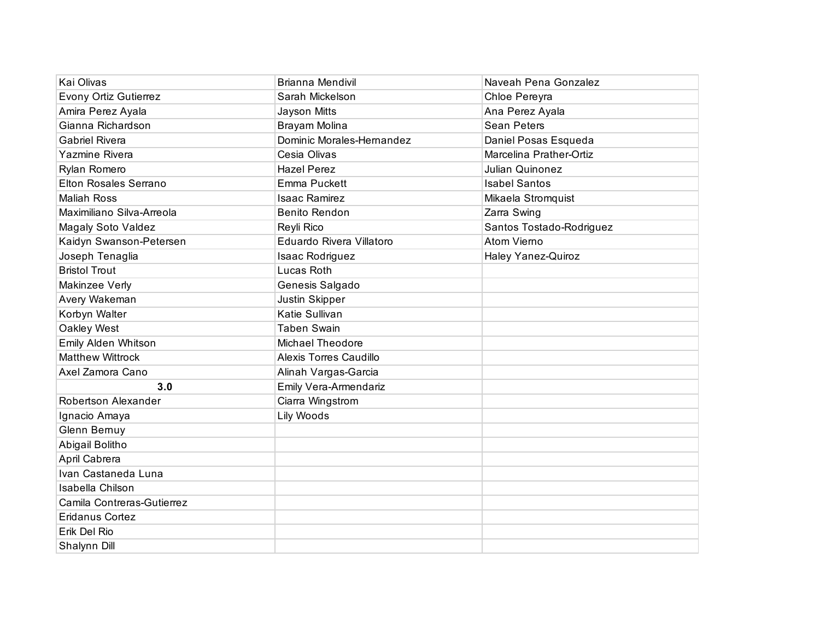| Kai Olivas                 | <b>Brianna Mendivil</b>      | Naveah Pena Gonzalez     |
|----------------------------|------------------------------|--------------------------|
| Evony Ortiz Gutierrez      | Sarah Mickelson              | Chloe Pereyra            |
| Amira Perez Ayala          | Jayson Mitts                 | Ana Perez Ayala          |
| Gianna Richardson          | Brayam Molina                | <b>Sean Peters</b>       |
| <b>Gabriel Rivera</b>      | Dominic Morales-Hernandez    | Daniel Posas Esqueda     |
| Yazmine Rivera             | Cesia Olivas                 | Marcelina Prather-Ortiz  |
| Rylan Romero               | <b>Hazel Perez</b>           | Julian Quinonez          |
| Elton Rosales Serrano      | Emma Puckett                 | <b>Isabel Santos</b>     |
| <b>Maliah Ross</b>         | <b>Isaac Ramirez</b>         | Mikaela Stromquist       |
| Maximiliano Silva-Arreola  | Benito Rendon                | Zarra Swing              |
| <b>Magaly Soto Valdez</b>  | Reyli Rico                   | Santos Tostado-Rodriguez |
| Kaidyn Swanson-Petersen    | Eduardo Rivera Villatoro     | Atom Vierno              |
| Joseph Tenaglia            | Isaac Rodriguez              | Haley Yanez-Quiroz       |
| <b>Bristol Trout</b>       | Lucas Roth                   |                          |
| Makinzee Verly             | Genesis Salgado              |                          |
| Avery Wakeman              | Justin Skipper               |                          |
| Korbyn Walter              | Katie Sullivan               |                          |
| Oakley West                | <b>Taben Swain</b>           |                          |
| Emily Alden Whitson        | <b>Michael Theodore</b>      |                          |
| <b>Matthew Wittrock</b>    | Alexis Torres Caudillo       |                          |
| Axel Zamora Cano           | Alinah Vargas-Garcia         |                          |
| 3.0                        | <b>Emily Vera-Armendariz</b> |                          |
| Robertson Alexander        | Ciarra Wingstrom             |                          |
| Ignacio Amaya              | Lily Woods                   |                          |
| Glenn Bernuy               |                              |                          |
| Abigail Bolitho            |                              |                          |
| April Cabrera              |                              |                          |
| Ivan Castaneda Luna        |                              |                          |
| Isabella Chilson           |                              |                          |
| Camila Contreras-Gutierrez |                              |                          |
| <b>Eridanus Cortez</b>     |                              |                          |
| Erik Del Rio               |                              |                          |
| Shalynn Dill               |                              |                          |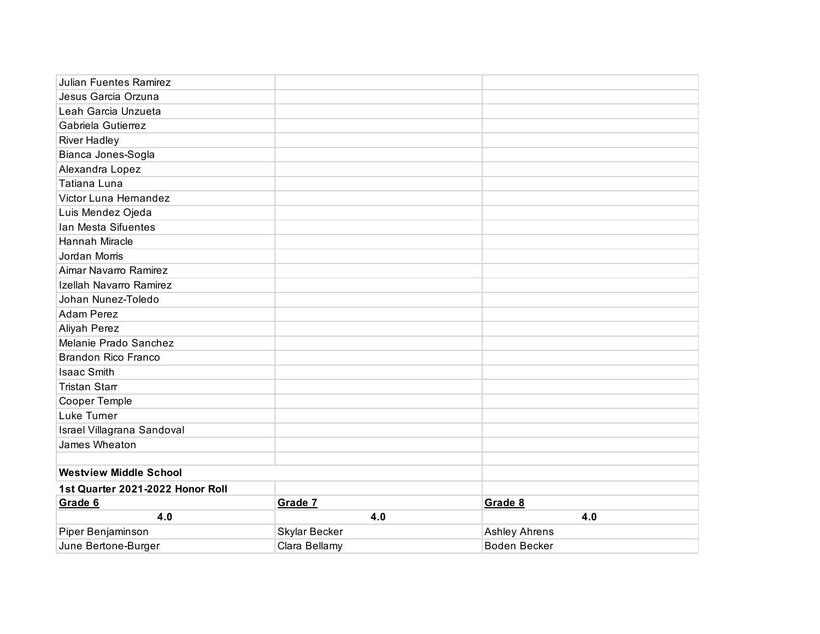| <b>Julian Fuentes Ramirez</b>    |               |                      |
|----------------------------------|---------------|----------------------|
| Jesus Garcia Orzuna              |               |                      |
| Leah Garcia Unzueta              |               |                      |
| Gabriela Gutierrez               |               |                      |
| <b>River Hadley</b>              |               |                      |
| Bianca Jones-Sogla               |               |                      |
| Alexandra Lopez                  |               |                      |
| Tatiana Luna                     |               |                      |
| Victor Luna Hernandez            |               |                      |
| Luis Mendez Ojeda                |               |                      |
| Ian Mesta Sifuentes              |               |                      |
| Hannah Miracle                   |               |                      |
| Jordan Morris                    |               |                      |
| Aimar Navarro Ramirez            |               |                      |
| Izellah Navarro Ramirez          |               |                      |
| Johan Nunez-Toledo               |               |                      |
| <b>Adam Perez</b>                |               |                      |
| Aliyah Perez                     |               |                      |
| Melanie Prado Sanchez            |               |                      |
| <b>Brandon Rico Franco</b>       |               |                      |
| <b>Isaac Smith</b>               |               |                      |
| <b>Tristan Starr</b>             |               |                      |
| Cooper Temple                    |               |                      |
| Luke Turner                      |               |                      |
| Israel Villagrana Sandoval       |               |                      |
| James Wheaton                    |               |                      |
|                                  |               |                      |
| <b>Westview Middle School</b>    |               |                      |
| 1st Quarter 2021-2022 Honor Roll |               |                      |
| Grade 6                          | Grade 7       | Grade 8              |
| 4.0                              | 4.0           | 4.0                  |
| Piper Benjaminson                | Skylar Becker | <b>Ashley Ahrens</b> |
| June Bertone-Burger              | Clara Bellamy | <b>Boden Becker</b>  |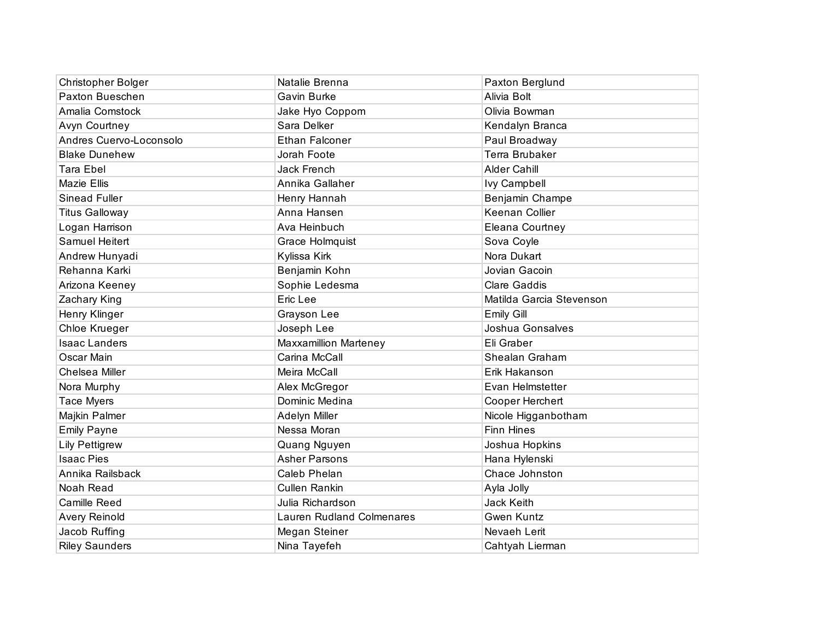| <b>Christopher Bolger</b> | Natalie Brenna                   | Paxton Berglund          |
|---------------------------|----------------------------------|--------------------------|
| Paxton Bueschen           | Gavin Burke                      | Alivia Bolt              |
| Amalia Comstock           | Jake Hyo Coppom                  | Olivia Bowman            |
| Avyn Courtney             | Sara Delker                      | Kendalyn Branca          |
| Andres Cuervo-Loconsolo   | <b>Ethan Falconer</b>            | Paul Broadway            |
| <b>Blake Dunehew</b>      | Jorah Foote                      | Terra Brubaker           |
| <b>Tara Ebel</b>          | <b>Jack French</b>               | Alder Cahill             |
| <b>Mazie Ellis</b>        | Annika Gallaher                  | <b>Ivy Campbell</b>      |
| Sinead Fuller             | Henry Hannah                     | Benjamin Champe          |
| <b>Titus Galloway</b>     | Anna Hansen                      | Keenan Collier           |
| Logan Harrison            | Ava Heinbuch                     | Eleana Courtney          |
| Samuel Heitert            | Grace Holmquist                  | Sova Coyle               |
| Andrew Hunyadi            | Kylissa Kirk                     | Nora Dukart              |
| Rehanna Karki             | Benjamin Kohn                    | Jovian Gacoin            |
| Arizona Keeney            | Sophie Ledesma                   | <b>Clare Gaddis</b>      |
| Zachary King              | Eric Lee                         | Matilda Garcia Stevenson |
| Henry Klinger             | Grayson Lee                      | <b>Emily Gill</b>        |
| Chloe Krueger             | Joseph Lee                       | Joshua Gonsalves         |
| <b>Isaac Landers</b>      | Maxxamillion Marteney            | Eli Graber               |
| Oscar Main                | Carina McCall                    | Shealan Graham           |
| Chelsea Miller            | Meira McCall                     | Erik Hakanson            |
| Nora Murphy               | Alex McGregor                    | Evan Helmstetter         |
| <b>Tace Myers</b>         | Dominic Medina                   | Cooper Herchert          |
| Majkin Palmer             | Adelyn Miller                    | Nicole Higganbotham      |
| <b>Emily Payne</b>        | Nessa Moran                      | <b>Finn Hines</b>        |
| <b>Lily Pettigrew</b>     | Quang Nguyen                     | Joshua Hopkins           |
| <b>Isaac Pies</b>         | <b>Asher Parsons</b>             | Hana Hylenski            |
| Annika Railsback          | Caleb Phelan                     | Chace Johnston           |
| Noah Read                 | Cullen Rankin                    | Ayla Jolly               |
| Camille Reed              | Julia Richardson                 | Jack Keith               |
| Avery Reinold             | <b>Lauren Rudland Colmenares</b> | <b>Gwen Kuntz</b>        |
| Jacob Ruffing             | Megan Steiner                    | Nevaeh Lerit             |
| <b>Riley Saunders</b>     | Nina Tayefeh                     | Cahtyah Lierman          |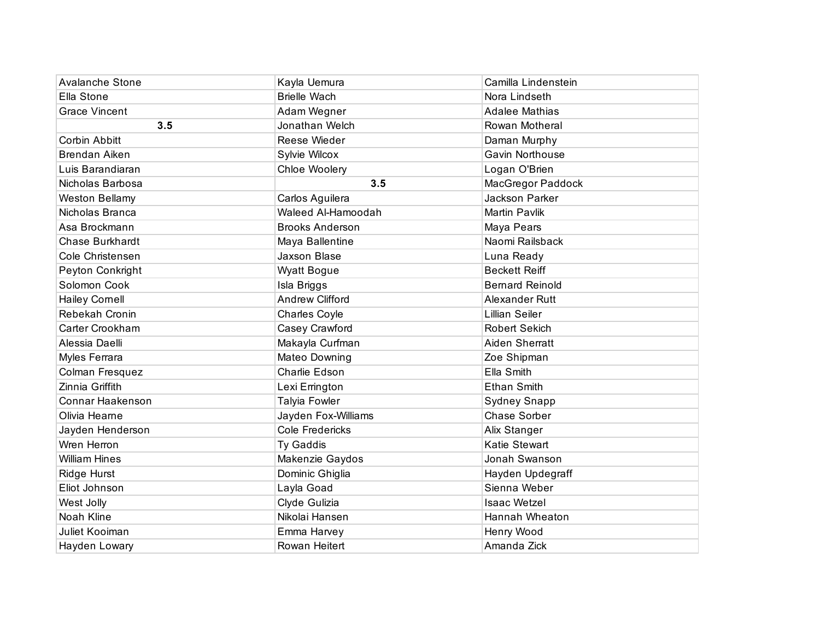| <b>Avalanche Stone</b> | Kayla Uemura           | Camilla Lindenstein      |
|------------------------|------------------------|--------------------------|
| Ella Stone             | <b>Brielle Wach</b>    | Nora Lindseth            |
| <b>Grace Vincent</b>   | Adam Wegner            | <b>Adalee Mathias</b>    |
| 3.5                    | Jonathan Welch         | Rowan Motheral           |
| Corbin Abbitt          | Reese Wieder           | Daman Murphy             |
| <b>Brendan Aiken</b>   | Sylvie Wilcox          | Gavin Northouse          |
| Luis Barandiaran       | Chloe Woolery          | Logan O'Brien            |
| Nicholas Barbosa       | 3.5                    | <b>MacGregor Paddock</b> |
| <b>Weston Bellamy</b>  | Carlos Aguilera        | Jackson Parker           |
| Nicholas Branca        | Waleed Al-Hamoodah     | <b>Martin Pavlik</b>     |
| Asa Brockmann          | <b>Brooks Anderson</b> | Maya Pears               |
| Chase Burkhardt        | Maya Ballentine        | Naomi Railsback          |
| Cole Christensen       | Jaxson Blase           | Luna Ready               |
| Peyton Conkright       | <b>Wyatt Bogue</b>     | <b>Beckett Reiff</b>     |
| Solomon Cook           | Isla Briggs            | <b>Bernard Reinold</b>   |
| <b>Hailey Cornell</b>  | <b>Andrew Clifford</b> | Alexander Rutt           |
| Rebekah Cronin         | Charles Coyle          | <b>Lillian Seiler</b>    |
| Carter Crookham        | Casey Crawford         | <b>Robert Sekich</b>     |
| Alessia Daelli         | Makayla Curfman        | Aiden Sherratt           |
| Myles Ferrara          | Mateo Downing          | Zoe Shipman              |
| Colman Fresquez        | Charlie Edson          | Ella Smith               |
| Zinnia Griffith        | Lexi Errington         | <b>Ethan Smith</b>       |
| Connar Haakenson       | Talyia Fowler          | <b>Sydney Snapp</b>      |
| Olivia Hearne          | Jayden Fox-Williams    | Chase Sorber             |
| Jayden Henderson       | <b>Cole Fredericks</b> | Alix Stanger             |
| Wren Herron            | Ty Gaddis              | Katie Stewart            |
| <b>William Hines</b>   | Makenzie Gaydos        | Jonah Swanson            |
| Ridge Hurst            | Dominic Ghiglia        | Hayden Updegraff         |
| Eliot Johnson          | Layla Goad             | Sienna Weber             |
| West Jolly             | Clyde Gulizia          | <b>Isaac Wetzel</b>      |
| Noah Kline             | Nikolai Hansen         | Hannah Wheaton           |
| Juliet Kooiman         | Emma Harvey            | Henry Wood               |
| Hayden Lowary          | Rowan Heitert          | Amanda Zick              |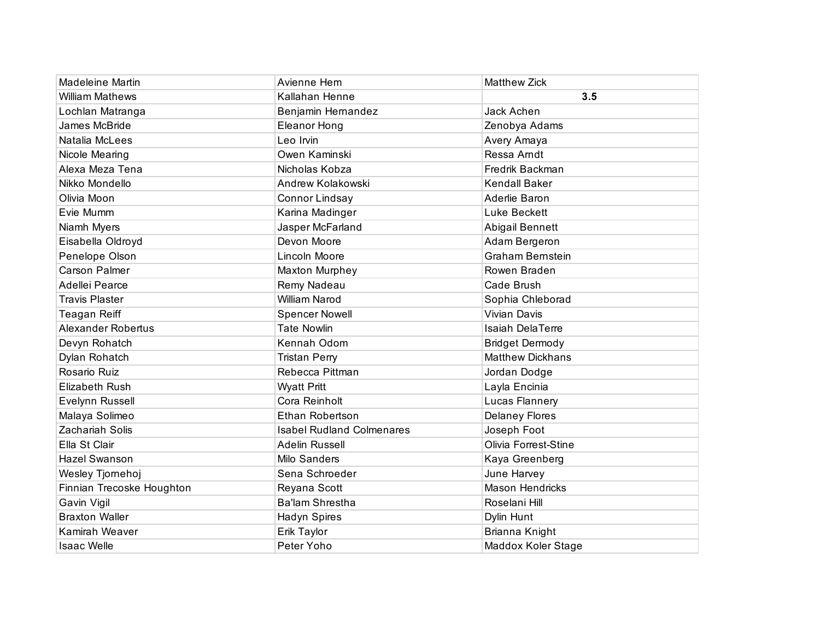| <b>Madeleine Martin</b>   | Avienne Hem                      | <b>Matthew Zick</b>     |
|---------------------------|----------------------------------|-------------------------|
| <b>William Mathews</b>    | Kallahan Henne                   | 3.5                     |
| Lochlan Matranga          | Benjamin Hernandez               | Jack Achen              |
| James McBride             | <b>Eleanor Hong</b>              | Zenobya Adams           |
| Natalia McLees            | Leo Irvin                        | Avery Amaya             |
| Nicole Mearing            | Owen Kaminski                    | Ressa Arndt             |
| Alexa Meza Tena           | Nicholas Kobza                   | Fredrik Backman         |
| Nikko Mondello            | Andrew Kolakowski                | <b>Kendall Baker</b>    |
| Olivia Moon               | Connor Lindsay                   | Aderlie Baron           |
| Evie Mumm                 | Karina Madinger                  | Luke Beckett            |
| Niamh Myers               | Jasper McFarland                 | Abigail Bennett         |
| Eisabella Oldroyd         | Devon Moore                      | Adam Bergeron           |
| Penelope Olson            | Lincoln Moore                    | <b>Graham Bernstein</b> |
| <b>Carson Palmer</b>      | <b>Maxton Murphey</b>            | Rowen Braden            |
| Adellei Pearce            | Remy Nadeau                      | Cade Brush              |
| <b>Travis Plaster</b>     | <b>William Narod</b>             | Sophia Chleborad        |
| Teagan Reiff              | <b>Spencer Nowell</b>            | <b>Vivian Davis</b>     |
| Alexander Robertus        | <b>Tate Nowlin</b>               | <b>Isaiah DelaTerre</b> |
| Devyn Rohatch             | Kennah Odom                      | <b>Bridget Dermody</b>  |
| Dylan Rohatch             | <b>Tristan Perry</b>             | <b>Matthew Dickhans</b> |
| Rosario Ruiz              | Rebecca Pittman                  | Jordan Dodge            |
| <b>Elizabeth Rush</b>     | <b>Wyatt Pritt</b>               | Layla Encinia           |
| Evelynn Russell           | Cora Reinholt                    | Lucas Flannery          |
| Malaya Solimeo            | Ethan Robertson                  | <b>Delaney Flores</b>   |
| Zachariah Solis           | <b>Isabel Rudland Colmenares</b> | Joseph Foot             |
| Ella St Clair             | Adelin Russell                   | Olivia Forrest-Stine    |
| Hazel Swanson             | Milo Sanders                     | Kaya Greenberg          |
| Wesley Tjornehoj          | Sena Schroeder                   | June Harvey             |
| Finnian Trecoske Houghton | Reyana Scott                     | <b>Mason Hendricks</b>  |
| Gavin Vigil               | Ba'lam Shrestha                  | Roselani Hill           |
| <b>Braxton Waller</b>     | Hadyn Spires                     | Dylin Hunt              |
| Kamirah Weaver            | Erik Taylor                      | Brianna Knight          |
| <b>Isaac Welle</b>        | Peter Yoho                       | Maddox Koler Stage      |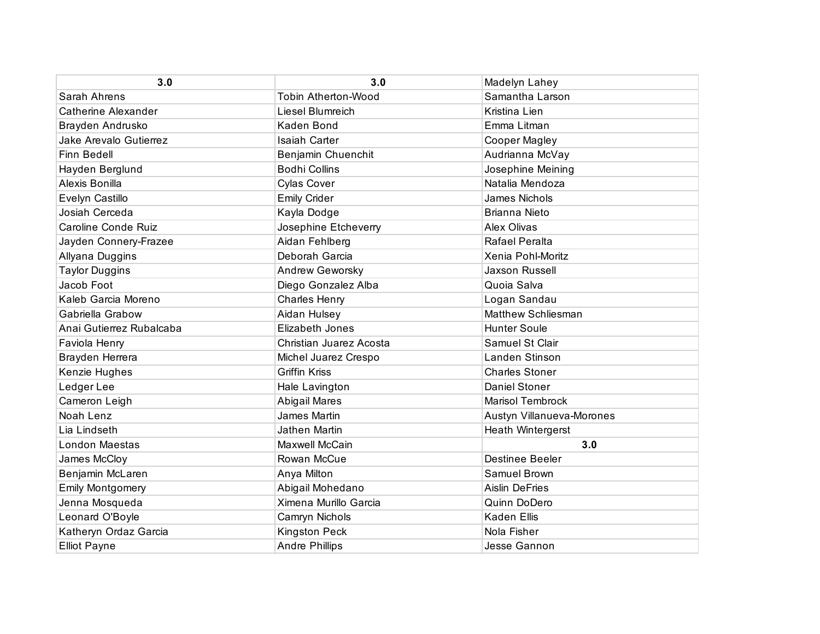| 3.0                      | 3.0                        | Madelyn Lahey             |
|--------------------------|----------------------------|---------------------------|
| Sarah Ahrens             | <b>Tobin Atherton-Wood</b> | Samantha Larson           |
| Catherine Alexander      | Liesel Blumreich           | Kristina Lien             |
| Brayden Andrusko         | Kaden Bond                 | Emma Litman               |
| Jake Arevalo Gutierrez   | <b>Isaiah Carter</b>       | Cooper Magley             |
| Finn Bedell              | Benjamin Chuenchit         | Audrianna McVay           |
| Hayden Berglund          | <b>Bodhi Collins</b>       | Josephine Meining         |
| Alexis Bonilla           | <b>Cylas Cover</b>         | Natalia Mendoza           |
| Evelyn Castillo          | <b>Emily Crider</b>        | James Nichols             |
| Josiah Cerceda           | Kayla Dodge                | <b>Brianna Nieto</b>      |
| Caroline Conde Ruiz      | Josephine Etcheverry       | <b>Alex Olivas</b>        |
| Jayden Connery-Frazee    | Aidan Fehlberg             | Rafael Peralta            |
| Allyana Duggins          | Deborah Garcia             | Xenia Pohl-Moritz         |
| <b>Taylor Duggins</b>    | <b>Andrew Geworsky</b>     | <b>Jaxson Russell</b>     |
| Jacob Foot               | Diego Gonzalez Alba        | Quoia Salva               |
| Kaleb Garcia Moreno      | <b>Charles Henry</b>       | Logan Sandau              |
| Gabriella Grabow         | Aidan Hulsey               | Matthew Schliesman        |
| Anai Gutierrez Rubalcaba | <b>Elizabeth Jones</b>     | <b>Hunter Soule</b>       |
| Faviola Henry            | Christian Juarez Acosta    | Samuel St Clair           |
| Brayden Herrera          | Michel Juarez Crespo       | Landen Stinson            |
| Kenzie Hughes            | <b>Griffin Kriss</b>       | <b>Charles Stoner</b>     |
| Ledger Lee               | Hale Lavington             | <b>Daniel Stoner</b>      |
| Cameron Leigh            | Abigail Mares              | <b>Marisol Tembrock</b>   |
| Noah Lenz                | James Martin               | Austyn Villanueva-Morones |
| Lia Lindseth             | Jathen Martin              | Heath Wintergerst         |
| London Maestas           | Maxwell McCain             | 3.0                       |
| James McCloy             | Rowan McCue                | <b>Destinee Beeler</b>    |
| Benjamin McLaren         | Anya Milton                | Samuel Brown              |
| <b>Emily Montgomery</b>  | Abigail Mohedano           | <b>Aislin DeFries</b>     |
| Jenna Mosqueda           | Ximena Murillo Garcia      | Quinn DoDero              |
| Leonard O'Boyle          | Camryn Nichols             | <b>Kaden Ellis</b>        |
| Katheryn Ordaz Garcia    | <b>Kingston Peck</b>       | Nola Fisher               |
| <b>Elliot Payne</b>      | <b>Andre Phillips</b>      | Jesse Gannon              |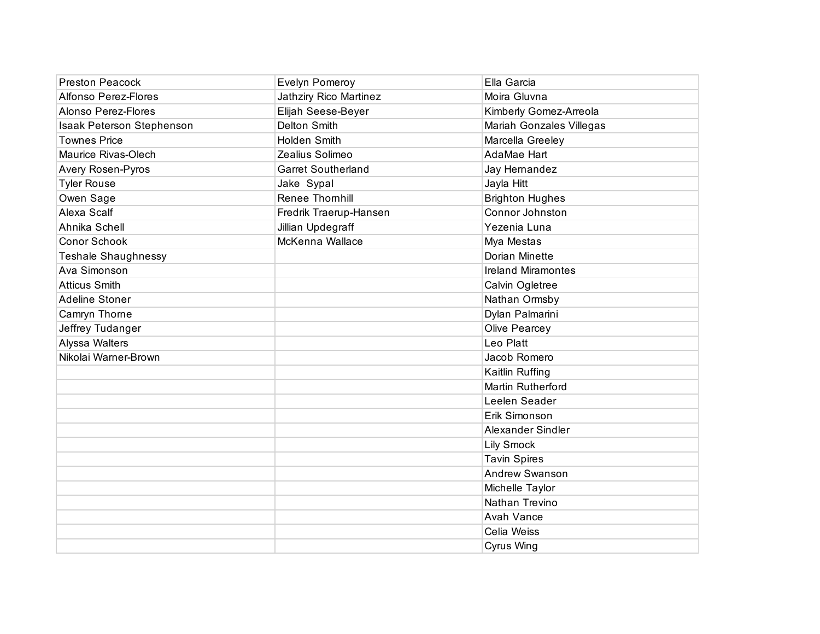| <b>Preston Peacock</b>     | Evelyn Pomeroy            | Ella Garcia               |
|----------------------------|---------------------------|---------------------------|
| Alfonso Perez-Flores       | Jathziry Rico Martinez    | Moira Gluvna              |
| Alonso Perez-Flores        | Elijah Seese-Beyer        | Kimberly Gomez-Arreola    |
| Isaak Peterson Stephenson  | <b>Delton Smith</b>       | Mariah Gonzales Villegas  |
| <b>Townes Price</b>        | Holden Smith              | Marcella Greeley          |
| Maurice Rivas-Olech        | Zealius Solimeo           | AdaMae Hart               |
| Avery Rosen-Pyros          | <b>Garret Southerland</b> | Jay Hernandez             |
| <b>Tyler Rouse</b>         | Jake Sypal                | Jayla Hitt                |
| Owen Sage                  | Renee Thornhill           | <b>Brighton Hughes</b>    |
| Alexa Scalf                | Fredrik Traerup-Hansen    | Connor Johnston           |
| Ahnika Schell              | Jillian Updegraff         | Yezenia Luna              |
| <b>Conor Schook</b>        | McKenna Wallace           | Mya Mestas                |
| <b>Teshale Shaughnessy</b> |                           | Dorian Minette            |
| Ava Simonson               |                           | <b>Ireland Miramontes</b> |
| <b>Atticus Smith</b>       |                           | Calvin Ogletree           |
| Adeline Stoner             |                           | Nathan Ormsby             |
| Camryn Thorne              |                           | Dylan Palmarini           |
| Jeffrey Tudanger           |                           | Olive Pearcey             |
| Alyssa Walters             |                           | Leo Platt                 |
| Nikolai Warner-Brown       |                           | Jacob Romero              |
|                            |                           | Kaitlin Ruffing           |
|                            |                           | Martin Rutherford         |
|                            |                           | Leelen Seader             |
|                            |                           | Erik Simonson             |
|                            |                           | Alexander Sindler         |
|                            |                           | Lily Smock                |
|                            |                           | <b>Tavin Spires</b>       |
|                            |                           | Andrew Swanson            |
|                            |                           | Michelle Taylor           |
|                            |                           | Nathan Trevino            |
|                            |                           | Avah Vance                |
|                            |                           | Celia Weiss               |
|                            |                           | Cyrus Wing                |